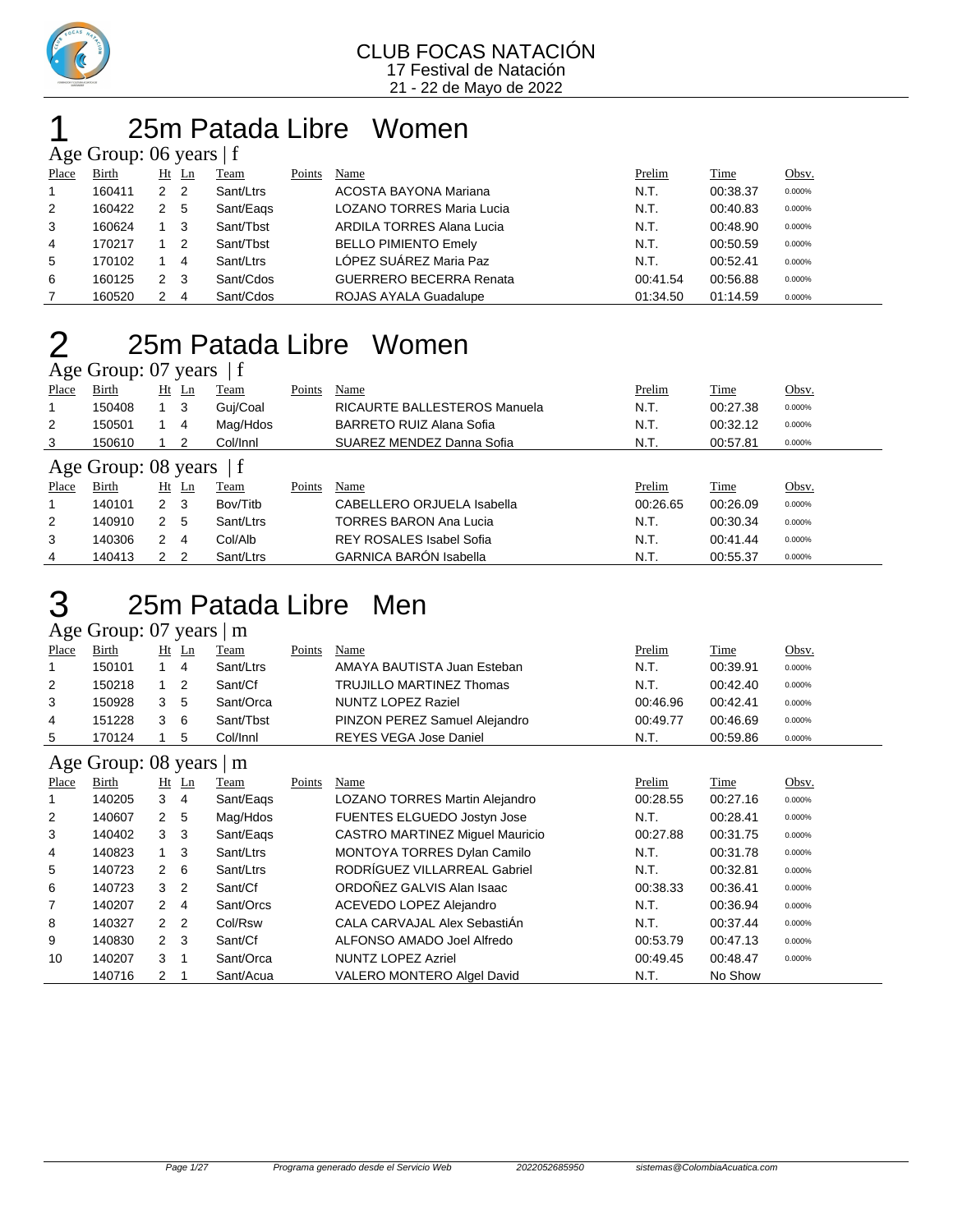

### 25m Patada Libre Women Age Group: 06 years | f

|       | $\frac{1}{2}$ Section $\frac{1}{2}$ or $\frac{1}{2}$ or $\frac{1}{2}$ or $\frac{1}{2}$ or $\frac{1}{2}$ or $\frac{1}{2}$ |                |                |           |        |                                  |  |          |          |        |  |  |  |
|-------|--------------------------------------------------------------------------------------------------------------------------|----------------|----------------|-----------|--------|----------------------------------|--|----------|----------|--------|--|--|--|
| Place | <b>Birth</b>                                                                                                             |                | $Ht$ Ln        | Team      | Points | Name                             |  | Prelim   | Time     | Obsv.  |  |  |  |
|       | 160411                                                                                                                   | 2 <sub>2</sub> |                | Sant/Ltrs |        | ACOSTA BAYONA Mariana            |  | N.T.     | 00:38.37 | 0.000% |  |  |  |
| 2     | 160422                                                                                                                   | 2              | 5              | Sant/Eags |        | <b>LOZANO TORRES Maria Lucia</b> |  | N.T.     | 00:40.83 | 0.000% |  |  |  |
| 3     | 160624                                                                                                                   |                | - 3            | Sant/Tbst |        | <b>ARDILA TORRES Alana Lucia</b> |  | N.T.     | 00:48.90 | 0.000% |  |  |  |
| 4     | 170217                                                                                                                   |                | $\overline{2}$ | Sant/Tbst |        | <b>BELLO PIMIENTO Emely</b>      |  | N.T.     | 00:50.59 | 0.000% |  |  |  |
| 5     | 170102                                                                                                                   |                | -4             | Sant/Ltrs |        | LÓPEZ SUÁREZ Maria Paz           |  | N.T.     | 00:52.41 | 0.000% |  |  |  |
| 6     | 160125                                                                                                                   |                | - 3            | Sant/Cdos |        | <b>GUERRERO BECERRA Renata</b>   |  | 00:41.54 | 00:56.88 | 0.000% |  |  |  |
|       | 160520                                                                                                                   |                | -4             | Sant/Cdos |        | <b>ROJAS AYALA Guadalupe</b>     |  | 01:34.50 | 01:14.59 | 0.000% |  |  |  |

### 25m Patada Libre Women 25m Pata

| Place                     | Birth  |             | $Ht$ Ln | Team      | Points | Name                            | Prelim   | Time     | Obsv.  |  |  |  |
|---------------------------|--------|-------------|---------|-----------|--------|---------------------------------|----------|----------|--------|--|--|--|
|                           | 150408 |             | 3       | Guj/Coal  |        | RICAURTE BALLESTEROS Manuela    | N.T.     | 00:27.38 | 0.000% |  |  |  |
| 2                         | 150501 |             | 4       | Mag/Hdos  |        | BARRETO RUIZ Alana Sofia        | N.T.     | 00:32.12 | 0.000% |  |  |  |
| 3                         | 150610 |             | 2       | Col/Innl  |        | SUAREZ MENDEZ Danna Sofia       | N.T.     | 00:57.81 | 0.000% |  |  |  |
| Age Group: 08 years $ f $ |        |             |         |           |        |                                 |          |          |        |  |  |  |
| Place                     | Birth  | Ht          | Ln      | Team      | Points | Name                            | Prelim   | Time     | Obsv.  |  |  |  |
|                           | 140101 | $2 \quad 3$ |         | Bov/Titb  |        | CABELLERO ORJUELA Isabella      | 00:26.65 | 00:26.09 | 0.000% |  |  |  |
| 2                         | 140910 | 2           | -5      | Sant/Ltrs |        | TORRES BARON Ana Lucia          | N.T.     | 00:30.34 | 0.000% |  |  |  |
| 3                         | 140306 | 2           | 4       | Col/Alb   |        | <b>REY ROSALES Isabel Sofia</b> | N.T.     | 00:41.44 | 0.000% |  |  |  |
| 4                         | 140413 | 2           | -2      | Sant/Ltrs |        | <b>GARNICA BARÓN Isabella</b>   | N.T.     | 00:55.37 | 0.000% |  |  |  |

### 25m Patada Libre Men

### Age Group: 07 years | m

| Place | Birth  | Ht | Ln | Team      | Points | Name                            | Prelim   | Time     | Obsv.  |
|-------|--------|----|----|-----------|--------|---------------------------------|----------|----------|--------|
|       | 150101 |    |    | Sant/Ltrs |        | AMAYA BAUTISTA Juan Esteban     | N.T.     | 00:39.91 | 0.000% |
| 2     | 150218 |    |    | Sant/Cf   |        | <b>TRUJILLO MARTINEZ Thomas</b> | N.T.     | 00:42.40 | 0.000% |
| 3     | 150928 | 3  | 5  | Sant/Orca |        | NUNTZ LOPEZ Raziel              | 00:46.96 | 00:42.41 | 0.000% |
| 4     | 151228 | 3  | 6  | Sant/Tbst |        | PINZON PEREZ Samuel Alejandro   | 00:49.77 | 00:46.69 | 0.000% |
| 5     | 170124 |    |    | Col/Innl  |        | REYES VEGA Jose Daniel          | N.T.     | 00:59.86 | 0.000% |
|       |        |    |    |           |        |                                 |          |          |        |

#### Age Group: 08 years | m

|       | $\frac{1}{2}$<br>--- |               |                |           |        |                                        |          |          |        |  |  |
|-------|----------------------|---------------|----------------|-----------|--------|----------------------------------------|----------|----------|--------|--|--|
| Place | Birth                | Ht            | Ln             | Team      | Points | Name                                   | Prelim   | Time     | Obsv.  |  |  |
|       | 140205               | 3             | $\overline{4}$ | Sant/Eags |        | LOZANO TORRES Martin Alejandro         | 00:28.55 | 00:27.16 | 0.000% |  |  |
| 2     | 140607               | 2 5           |                | Mag/Hdos  |        | FUENTES ELGUEDO Jostyn Jose            | N.T.     | 00:28.41 | 0.000% |  |  |
| 3     | 140402               | 3             | -3             | Sant/Eags |        | <b>CASTRO MARTINEZ Miguel Mauricio</b> | 00:27.88 | 00:31.75 | 0.000% |  |  |
| 4     | 140823               | $1 \quad 3$   |                | Sant/Ltrs |        | <b>MONTOYA TORRES Dylan Camilo</b>     | N.T.     | 00:31.78 | 0.000% |  |  |
| 5     | 140723               | $2 \quad 6$   |                | Sant/Ltrs |        | RODRÍGUEZ VILLARREAL Gabriel           | N.T.     | 00:32.81 | 0.000% |  |  |
| 6     | 140723               | 3             | $\overline{2}$ | Sant/Cf   |        | ORDOÑEZ GALVIS Alan Isaac              | 00:38.33 | 00:36.41 | 0.000% |  |  |
| 7     | 140207               | 2             | -4             | Sant/Orcs |        | ACEVEDO LOPEZ Alejandro                | N.T.     | 00:36.94 | 0.000% |  |  |
| 8     | 140327               | 2             | $\overline{2}$ | Col/Rsw   |        | CALA CARVAJAL Alex SebastiAn           | N.T.     | 00:37.44 | 0.000% |  |  |
| 9     | 140830               | $2 \quad 3$   |                | Sant/Cf   |        | ALFONSO AMADO Joel Alfredo             | 00:53.79 | 00:47.13 | 0.000% |  |  |
| 10    | 140207               | 3             |                | Sant/Orca |        | <b>NUNTZ LOPEZ Azriel</b>              | 00:49.45 | 00:48.47 | 0.000% |  |  |
|       | 140716               | $\mathcal{P}$ |                | Sant/Acua |        | VALERO MONTERO Algel David             | N.T.     | No Show  |        |  |  |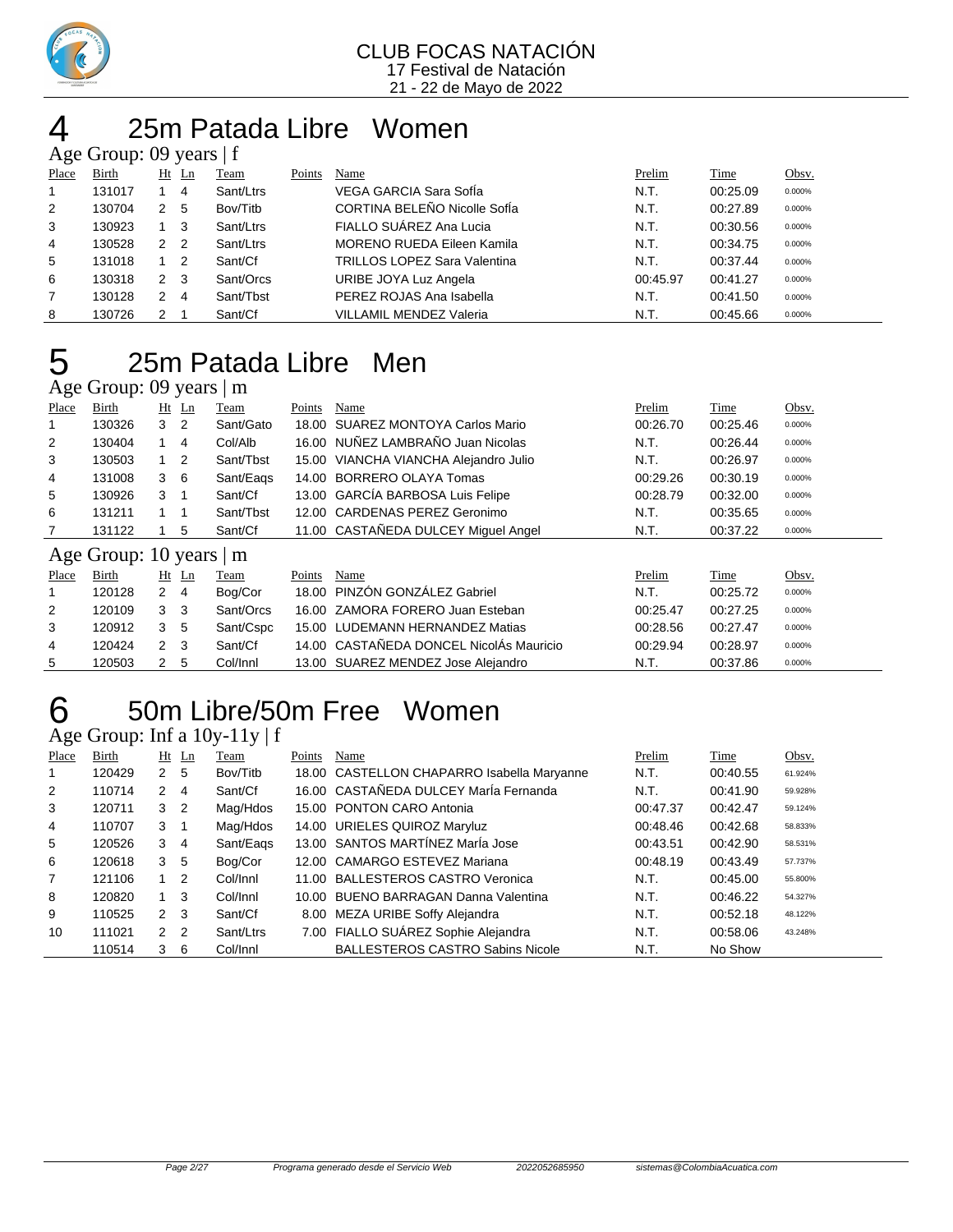

### 25m Patada Libre Women Age Group: 09 years | f

|       | $1.50$ Oroup. 02 $7.00$ |             |                |           |        |                                     |          |          |        |  |  |  |
|-------|-------------------------|-------------|----------------|-----------|--------|-------------------------------------|----------|----------|--------|--|--|--|
| Place | Birth                   | $Ht$ Ln     |                | Team      | Points | Name                                | Prelim   | Time     | Obsv.  |  |  |  |
|       | 131017                  |             | 4              | Sant/Ltrs |        | VEGA GARCIA Sara SofÍa              | N.T.     | 00:25.09 | 0.000% |  |  |  |
| 2     | 130704                  | 2           | 5              | Bov/Titb  |        | CORTINA BELEÑO Nicolle SofÍa        | N.T.     | 00:27.89 | 0.000% |  |  |  |
| 3     | 130923                  |             | - 3            | Sant/Ltrs |        | FIALLO SUÁREZ Ana Lucia             | N.T.     | 00:30.56 | 0.000% |  |  |  |
| 4     | 130528                  | 2           | $\overline{2}$ | Sant/Ltrs |        | <b>MORENO RUEDA Eileen Kamila</b>   | N.T.     | 00:34.75 | 0.000% |  |  |  |
| 5     | 131018                  |             | - 2            | Sant/Cf   |        | <b>TRILLOS LOPEZ Sara Valentina</b> | N.T.     | 00:37.44 | 0.000% |  |  |  |
| 6     | 130318                  | $2 \quad 3$ |                | Sant/Orcs |        | URIBE JOYA Luz Angela               | 00:45.97 | 00:41.27 | 0.000% |  |  |  |
|       | 130128                  | 2           | -4             | Sant/Tbst |        | PEREZ ROJAS Ana Isabella            | N.T.     | 00:41.50 | 0.000% |  |  |  |
| 8     | 130726                  | 2           |                | Sant/Cf   |        | <b>VILLAMIL MENDEZ Valeria</b>      | N.T.     | 00:45.66 | 0.000% |  |  |  |

### 25m Patada Libre Men

### Age Group: 09 years | m

| Place | Birth               |              | $Ht$ Ln        | Team      | Points | Name                                    | Prelim   | Time     | Obsv.  |
|-------|---------------------|--------------|----------------|-----------|--------|-----------------------------------------|----------|----------|--------|
|       | 130326              | 3            | -2             | Sant/Gato | 18.00  | <b>SUAREZ MONTOYA Carlos Mario</b>      | 00:26.70 | 00:25.46 | 0.000% |
| 2     | 130404              |              | 4              | Col/Alb   |        | 16.00 NUNEZ LAMBRAÑO Juan Nicolas       | N.T.     | 00:26.44 | 0.000% |
| 3     | 130503              | 1            | $\overline{2}$ | Sant/Tbst |        | 15.00 VIANCHA VIANCHA Alejandro Julio   | N.T.     | 00:26.97 | 0.000% |
| 4     | 131008              | 3            | - 6            | Sant/Eags |        | 14.00 BORRERO OLAYA Tomas               | 00:29.26 | 00:30.19 | 0.000% |
| 5     | 130926              | 3            |                | Sant/Cf   |        | 13.00 GARCÍA BARBOSA Luis Felipe        | 00:28.79 | 00:32.00 | 0.000% |
| 6     | 131211              | 1            |                | Sant/Tbst |        | 12.00 CARDENAS PEREZ Geronimo           | N.T.     | 00:35.65 | 0.000% |
| 7     | 131122              |              | 5              | Sant/Cf   |        | 11.00 CASTANEDA DULCEY Miquel Angel     | N.T.     | 00:37.22 | 0.000% |
|       | Age Group: 10 years |              |                | m         |        |                                         |          |          |        |
| Place | Birth               |              | $Ht$ Ln        | Team      | Points | Name                                    | Prelim   | Time     | Obsv.  |
|       | 120128              | $\mathbf{2}$ | $\overline{4}$ | Bog/Cor   | 18.00  | PINZÓN GONZÁLEZ Gabriel                 | N.T.     | 00:25.72 | 0.000% |
| 2     | 120109              | 3            | -3             | Sant/Orcs |        | 16.00 ZAMORA FORERO Juan Esteban        | 00:25.47 | 00:27.25 | 0.000% |
| 3     | 120912              | 3            | 5              | Sant/Cspc |        | 15.00 LUDEMANN HERNANDEZ Matias         | 00:28.56 | 00:27.47 | 0.000% |
| 4     | 120424              | $2 \quad 3$  |                | Sant/Cf   |        | 14.00 CASTAÑEDA DONCEL NicolAs Mauricio | 00:29.94 | 00:28.97 | 0.000% |
| 5     | 120503              | $\mathbf{2}$ | 5              | Col/Innl  |        | 13.00 SUAREZ MENDEZ Jose Alejandro      | N.T.     | 00:37.86 | 0.000% |

## 50m Libre/50m Free Women

Age Group: Inf a  $10y-11y \mid f$ 

| Place | Birth  |                | $Ht$ Ln                    | Team      | Points | Name                                       | Prelim   | Time     | Obsv.   |
|-------|--------|----------------|----------------------------|-----------|--------|--------------------------------------------|----------|----------|---------|
|       | 120429 | 2 <sub>5</sub> |                            | Bov/Titb  |        | 18.00 CASTELLON CHAPARRO Isabella Maryanne | N.T.     | 00:40.55 | 61.924% |
| 2     | 110714 | 2              | $\overline{4}$             | Sant/Cf   |        | 16.00 CASTAÑEDA DULCEY MarÍa Fernanda      | N.T.     | 00:41.90 | 59.928% |
| 3     | 120711 | 3              | $\overline{\phantom{0}}^2$ | Mag/Hdos  |        | 15.00 PONTON CARO Antonia                  | 00:47.37 | 00:42.47 | 59.124% |
| 4     | 110707 | 3              |                            | Mag/Hdos  |        | 14.00 URIELES QUIROZ Maryluz               | 00:48.46 | 00:42.68 | 58.833% |
| 5     | 120526 | 3              | $\overline{4}$             | Sant/Eags |        | 13.00 SANTOS MARTÍNEZ MarÍa Jose           | 00:43.51 | 00:42.90 | 58.531% |
| 6     | 120618 | 3              | -5                         | Bog/Cor   |        | 12.00 CAMARGO ESTEVEZ Mariana              | 00:48.19 | 00:43.49 | 57.737% |
| 7     | 121106 |                | $\overline{2}$             | Col/Innl  |        | 11.00 BALLESTEROS CASTRO Veronica          | N.T.     | 00:45.00 | 55.800% |
| 8     | 120820 |                | -3                         | Col/Innl  |        | 10.00 BUENO BARRAGAN Danna Valentina       | N.T.     | 00:46.22 | 54.327% |
| 9     | 110525 | $2 \quad 3$    |                            | Sant/Cf   |        | 8.00 MEZA URIBE Soffy Alejandra            | N.T.     | 00:52.18 | 48.122% |
| 10    | 111021 | 2 <sub>2</sub> |                            | Sant/Ltrs |        | 7.00 FIALLO SUÁREZ Sophie Alejandra        | N.T.     | 00:58.06 | 43.248% |
|       | 110514 | 3              | - 6                        | Col/Innl  |        | <b>BALLESTEROS CASTRO Sabins Nicole</b>    | N.T.     | No Show  |         |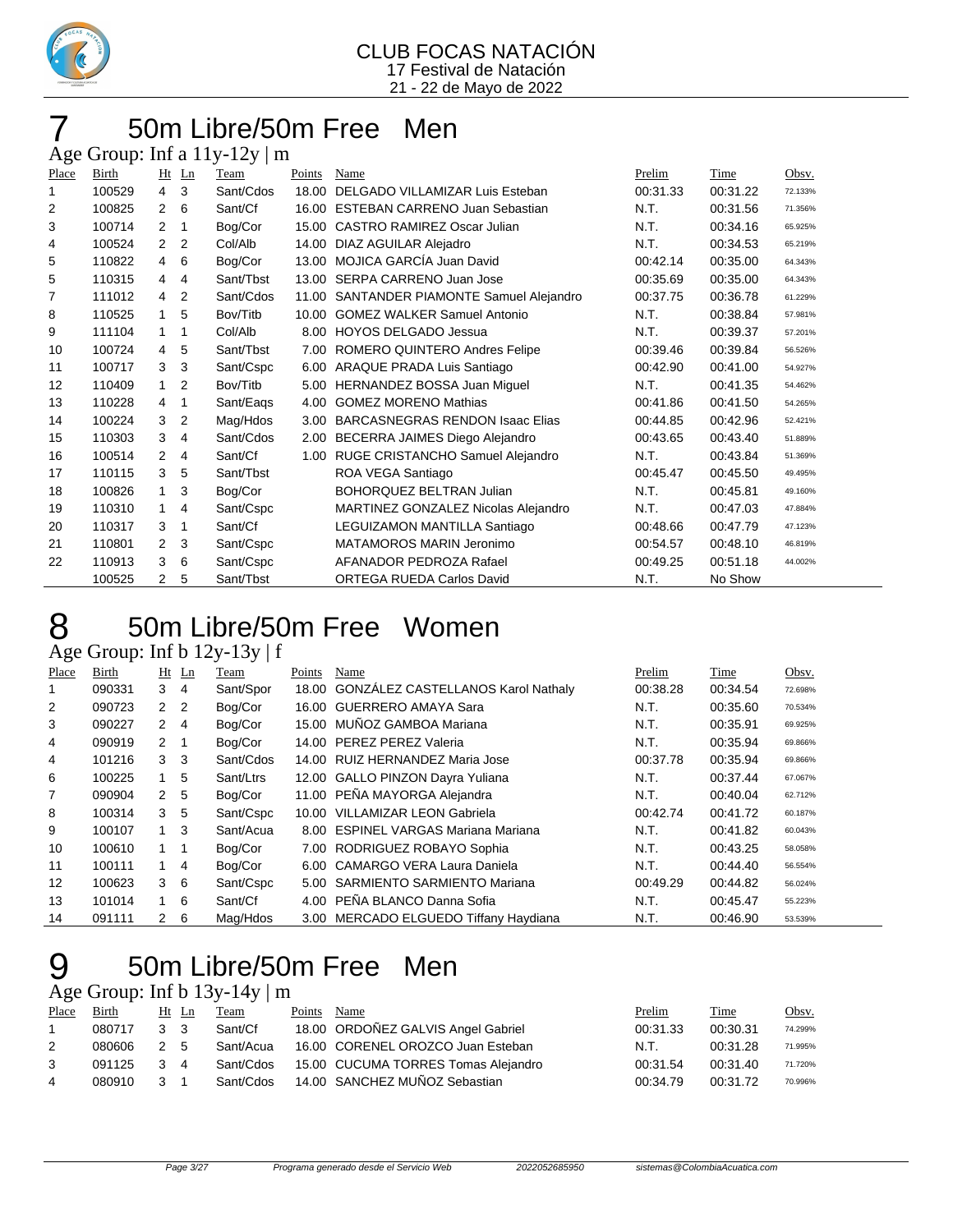

### 50m Libre/50m Free Men

Age Group: Inf a  $11y-12y \mid m$ 

| Place | Birth  | Ht             | $\mathbf{L}$ n | Team      | Points | Name                                   | Prelim   | Time     | Obsv.   |
|-------|--------|----------------|----------------|-----------|--------|----------------------------------------|----------|----------|---------|
| 1     | 100529 | $\overline{4}$ | 3              | Sant/Cdos | 18.00  | DELGADO VILLAMIZAR Luis Esteban        | 00:31.33 | 00:31.22 | 72.133% |
| 2     | 100825 | $\overline{2}$ | 6              | Sant/Cf   | 16.00  | <b>ESTEBAN CARRENO Juan Sebastian</b>  | N.T.     | 00:31.56 | 71.356% |
| 3     | 100714 | 2              | 1              | Bog/Cor   | 15.00  | CASTRO RAMIREZ Oscar Julian            | N.T.     | 00:34.16 | 65.925% |
| 4     | 100524 | 2              | 2              | Col/Alb   | 14.00  | DIAZ AGUILAR Alejadro                  | N.T.     | 00:34.53 | 65.219% |
| 5     | 110822 | 4              | 6              | Bog/Cor   | 13.00  | MOJICA GARCÍA Juan David               | 00:42.14 | 00:35.00 | 64.343% |
| 5     | 110315 | $\overline{4}$ | 4              | Sant/Tbst | 13.00  | SERPA CARRENO Juan Jose                | 00:35.69 | 00:35.00 | 64.343% |
| 7     | 111012 | $\overline{4}$ | 2              | Sant/Cdos | 11.00  | SANTANDER PIAMONTE Samuel Alejandro    | 00:37.75 | 00:36.78 | 61.229% |
| 8     | 110525 | $\mathbf{1}$   | 5              | Bov/Titb  | 10.00  | <b>GOMEZ WALKER Samuel Antonio</b>     | N.T.     | 00:38.84 | 57.981% |
| 9     | 111104 | $\mathbf{1}$   | 1              | Col/Alb   | 8.00   | <b>HOYOS DELGADO Jessua</b>            | N.T.     | 00:39.37 | 57.201% |
| 10    | 100724 | $\overline{4}$ | 5              | Sant/Tbst | 7.00   | ROMERO QUINTERO Andres Felipe          | 00:39.46 | 00:39.84 | 56.526% |
| 11    | 100717 | 3              | 3              | Sant/Cspc | 6.00   | ARAQUE PRADA Luis Santiago             | 00:42.90 | 00:41.00 | 54.927% |
| 12    | 110409 | $\mathbf{1}$   | 2              | Bov/Titb  | 5.00   | HERNANDEZ BOSSA Juan Miguel            | N.T.     | 00:41.35 | 54.462% |
| 13    | 110228 | 4              | 1              | Sant/Eags | 4.00   | <b>GOMEZ MORENO Mathias</b>            | 00:41.86 | 00:41.50 | 54.265% |
| 14    | 100224 | 3              | $\overline{2}$ | Mag/Hdos  | 3.00   | <b>BARCASNEGRAS RENDON Isaac Elias</b> | 00:44.85 | 00:42.96 | 52.421% |
| 15    | 110303 | 3              | 4              | Sant/Cdos | 2.00   | BECERRA JAIMES Diego Alejandro         | 00:43.65 | 00:43.40 | 51.889% |
| 16    | 100514 | 2              | 4              | Sant/Cf   | 1.00   | RUGE CRISTANCHO Samuel Alejandro       | N.T.     | 00:43.84 | 51.369% |
| 17    | 110115 | 3              | 5              | Sant/Tbst |        | ROA VEGA Santiago                      | 00:45.47 | 00:45.50 | 49.495% |
| 18    | 100826 | $\mathbf{1}$   | 3              | Bog/Cor   |        | <b>BOHORQUEZ BELTRAN Julian</b>        | N.T.     | 00:45.81 | 49.160% |
| 19    | 110310 | $\mathbf{1}$   | 4              | Sant/Cspc |        | MARTINEZ GONZALEZ Nicolas Alejandro    | N.T.     | 00:47.03 | 47.884% |
| 20    | 110317 | 3              | 1              | Sant/Cf   |        | LEGUIZAMON MANTILLA Santiago           | 00:48.66 | 00:47.79 | 47.123% |
| 21    | 110801 | 2              | 3              | Sant/Cspc |        | MATAMOROS MARIN Jeronimo               | 00:54.57 | 00:48.10 | 46.819% |
| 22    | 110913 | 3              | 6              | Sant/Cspc |        | AFANADOR PEDROZA Rafael                | 00:49.25 | 00:51.18 | 44.002% |
|       | 100525 | 2              | 5              | Sant/Tbst |        | ORTEGA RUEDA Carlos David              | N.T.     | No Show  |         |

### 50m Libre/50m Free Women

Age Group: Inf b 12y-13y | f

| Place          | Birth  |                | $Ht$ Ln        | Team      | Points | Name                                     | Prelim   | Time     | Obsv.   |
|----------------|--------|----------------|----------------|-----------|--------|------------------------------------------|----------|----------|---------|
|                | 090331 | 3              | $\overline{4}$ | Sant/Spor |        | 18.00 GONZALEZ CASTELLANOS Karol Nathaly | 00:38.28 | 00:34.54 | 72.698% |
| 2              | 090723 | 2 <sub>2</sub> |                | Bog/Cor   |        | 16.00 GUERRERO AMAYA Sara                | N.T.     | 00:35.60 | 70.534% |
| 3              | 090227 | $\mathbf{2}$   | -4             | Bog/Cor   |        | 15.00 MUÑOZ GAMBOA Mariana               | N.T.     | 00:35.91 | 69.925% |
| 4              | 090919 | $2 \quad 1$    |                | Bog/Cor   |        | 14.00 PEREZ PEREZ Valeria                | N.T.     | 00:35.94 | 69.866% |
| 4              | 101216 | 3              | -3             | Sant/Cdos |        | 14.00 RUIZ HERNANDEZ Maria Jose          | 00:37.78 | 00:35.94 | 69.866% |
| 6              | 100225 | 1.             | 5              | Sant/Ltrs |        | 12.00 GALLO PINZON Dayra Yuliana         | N.T.     | 00:37.44 | 67.067% |
| $\overline{7}$ | 090904 | $2^{\circ}$    | -5             | Bog/Cor   |        | 11.00 PEÑA MAYORGA Alejandra             | N.T.     | 00:40.04 | 62.712% |
| 8              | 100314 | 3              | -5             | Sant/Cspc |        | 10.00 VILLAMIZAR LEON Gabriela           | 00:42.74 | 00:41.72 | 60.187% |
| 9              | 100107 | $1 \quad 3$    |                | Sant/Acua |        | 8.00 ESPINEL VARGAS Mariana Mariana      | N.T.     | 00:41.82 | 60.043% |
| 10             | 100610 | $1 \quad 1$    |                | Bog/Cor   |        | 7.00 RODRIGUEZ ROBAYO Sophia             | N.T.     | 00:43.25 | 58.058% |
| 11             | 100111 |                | -4             | Bog/Cor   |        | 6.00 CAMARGO VERA Laura Daniela          | N.T.     | 00:44.40 | 56.554% |
| 12             | 100623 | 36             |                | Sant/Cspc |        | 5.00 SARMIENTO SARMIENTO Mariana         | 00:49.29 | 00:44.82 | 56.024% |
| 13             | 101014 | $1\quad 6$     |                | Sant/Cf   |        | 4.00 PEÑA BLANCO Danna Sofia             | N.T.     | 00:45.47 | 55.223% |
| 14             | 091111 | $2\quad 6$     |                | Mag/Hdos  |        | 3.00 MERCADO ELGUEDO Tiffany Haydiana    | N.T.     | 00:46.90 | 53.539% |

### 50m Libre/50m Free Men

Age Group: Inf b 13y-14y | m

| Place          | Birth  |                | Ht Ln | Team      | Points | Name                                | Prelim   | Time     | Obsv.   |
|----------------|--------|----------------|-------|-----------|--------|-------------------------------------|----------|----------|---------|
|                | 080717 | 3 <sub>3</sub> |       | Sant/Cf   |        | 18.00 ORDOÑEZ GALVIS Angel Gabriel  | 00:31.33 | 00:30.31 | 74.299% |
|                | 080606 | 2 5            |       | Sant/Acua |        | 16.00 CORENEL OROZCO Juan Esteban   | N.T.     | 00:31.28 | 71.995% |
|                | 091125 |                | -4    | Sant/Cdos |        | 15.00 CUCUMA TORRES Tomas Alejandro | 00:31.54 | 00:31.40 | 71.720% |
| $\overline{4}$ | 080910 |                |       | Sant/Cdos |        | 14.00 SANCHEZ MUÑOZ Sebastian       | 00:34.79 | 00:31.72 | 70.996% |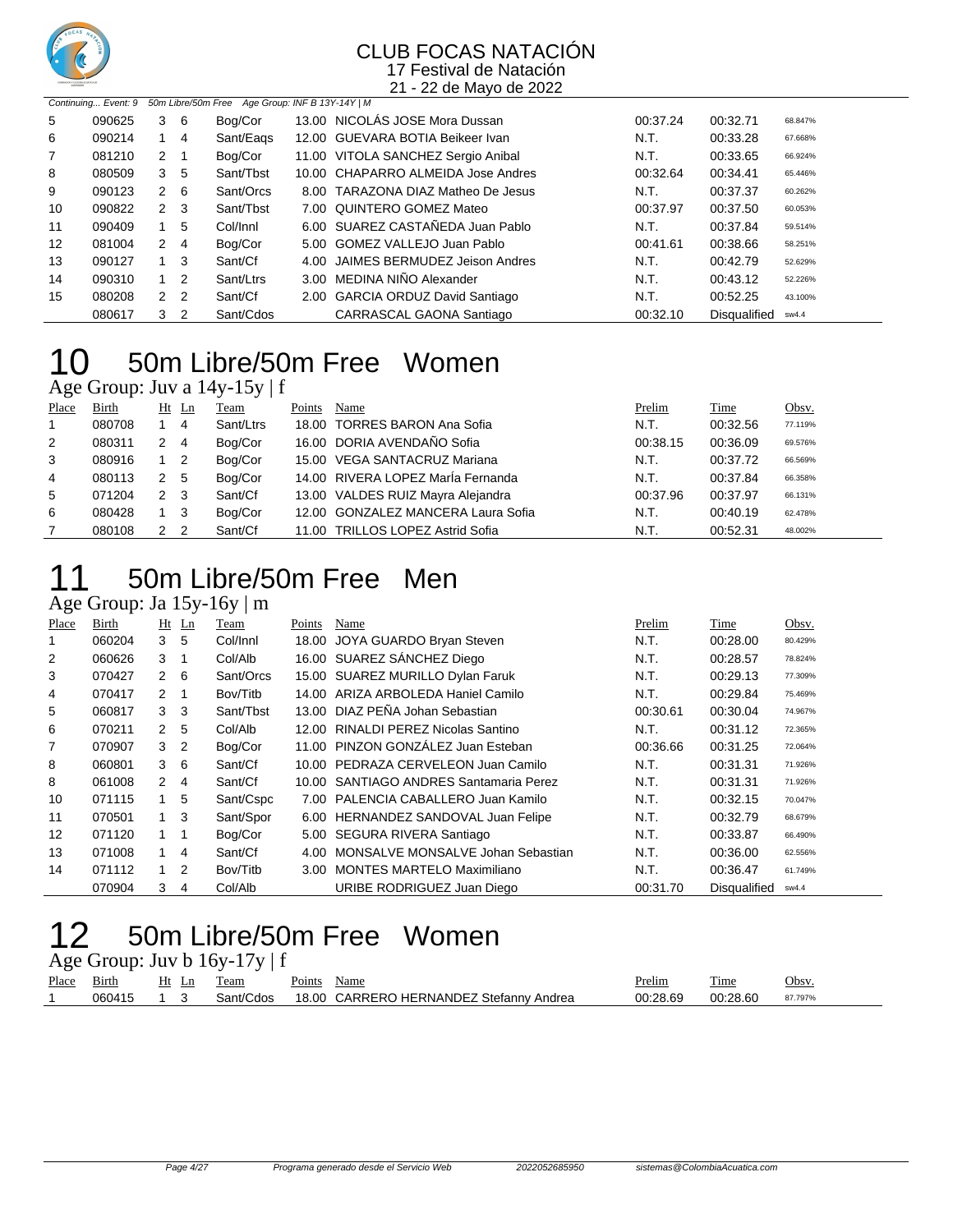

21 - 22 de Mayo de 2022

|    | 50m Libre/50m Free Age Group: INF B 13Y-14Y   M<br>Continuing Event: 9 |   |                |           |  |                                    |          |                     |         |  |  |
|----|------------------------------------------------------------------------|---|----------------|-----------|--|------------------------------------|----------|---------------------|---------|--|--|
| 5  | 090625                                                                 | 3 | -6             | Boa/Cor   |  | 13.00 NICOLÁS JOSE Mora Dussan     | 00:37.24 | 00:32.71            | 68.847% |  |  |
| 6  | 090214                                                                 |   | 4              | Sant/Eags |  | 12.00 GUEVARA BOTIA Beikeer Ivan   | N.T.     | 00:33.28            | 67.668% |  |  |
| 7  | 081210                                                                 | 2 |                | Bog/Cor   |  | 11.00 VITOLA SANCHEZ Sergio Anibal | N.T.     | 00:33.65            | 66.924% |  |  |
| 8  | 080509                                                                 | 3 | -5             | Sant/Tbst |  | 10.00 CHAPARRO ALMEIDA Jose Andres | 00:32.64 | 00:34.41            | 65.446% |  |  |
| 9  | 090123                                                                 | 2 | - 6            | Sant/Orcs |  | 8.00 TARAZONA DIAZ Matheo De Jesus | N.T.     | 00:37.37            | 60.262% |  |  |
| 10 | 090822                                                                 |   | 2 <sub>3</sub> | Sant/Tbst |  | 7.00 QUINTERO GOMEZ Mateo          | 00:37.97 | 00:37.50            | 60.053% |  |  |
| 11 | 090409                                                                 |   | -5             | Col/Innl  |  | 6.00 SUAREZ CASTAÑEDA Juan Pablo   | N.T.     | 00:37.84            | 59.514% |  |  |
| 12 | 081004                                                                 | 2 | 4              | Bog/Cor   |  | 5.00 GOMEZ VALLEJO Juan Pablo      | 00:41.61 | 00:38.66            | 58.251% |  |  |
| 13 | 090127                                                                 |   | $1 \quad 3$    | Sant/Cf   |  | 4.00 JAIMES BERMUDEZ Jeison Andres | N.T.     | 00:42.79            | 52.629% |  |  |
| 14 | 090310                                                                 |   | $\overline{2}$ | Sant/Ltrs |  | 3.00 MEDINA NIÑO Alexander         | N.T.     | 00:43.12            | 52.226% |  |  |
| 15 | 080208                                                                 | 2 | $\overline{2}$ | Sant/Cf   |  | 2.00 GARCIA ORDUZ David Santiago   | N.T.     | 00:52.25            | 43.100% |  |  |
|    | 080617                                                                 | 3 | 2              | Sant/Cdos |  | CARRASCAL GAONA Santiago           | 00:32.10 | <b>Disqualified</b> | sw4.4   |  |  |

## 50m Libre/50m Free Women

Age Group: Juv a 14y-15y | f

| Place | Birth  |     | $Ht$ Ln        | Team      | Points | Name                               | Prelim   | Time     | Obsv.   |
|-------|--------|-----|----------------|-----------|--------|------------------------------------|----------|----------|---------|
|       | 080708 |     | 4              | Sant/Ltrs |        | 18.00 TORRES BARON Ana Sofia       | N.T.     | 00:32.56 | 77.119% |
| 2     | 080311 | 2   | - 4            | Bog/Cor   |        | 16.00 DORIA AVENDAÑO Sofia         | 00:38.15 | 00:36.09 | 69.576% |
| 3     | 080916 |     | $\overline{2}$ | Bog/Cor   |        | 15.00 VEGA SANTACRUZ Mariana       | N.T.     | 00:37.72 | 66.569% |
| 4     | 080113 | 2   | - 5            | Bog/Cor   |        | 14.00 RIVERA LOPEZ María Fernanda  | N.T.     | 00:37.84 | 66.358% |
| 5     | 071204 | 2 3 |                | Sant/Cf   |        | 13.00 VALDES RUIZ Mayra Alejandra  | 00:37.96 | 00:37.97 | 66.131% |
| 6     | 080428 |     | -3             | Bog/Cor   |        | 12.00 GONZALEZ MANCERA Laura Sofia | N.T.     | 00:40.19 | 62.478% |
|       | 080108 | 2   | - 2            | Sant/Cf   |        | 11.00 TRILLOS LOPEZ Astrid Sofia   | N.T.     | 00:52.31 | 48.002% |

### 50m Libre/50m Free Men

### Age Group: Ja 15y-16y | m

| ~     |        |              |                |           |        |                                        |          |              |         |
|-------|--------|--------------|----------------|-----------|--------|----------------------------------------|----------|--------------|---------|
| Place | Birth  |              | $Ht$ Ln        | Team      | Points | Name                                   | Prelim   | Time         | Obsv.   |
| 1     | 060204 | 3            | 5              | Col/Innl  | 18.00  | JOYA GUARDO Bryan Steven               | N.T.     | 00:28.00     | 80.429% |
| 2     | 060626 | 3            |                | Col/Alb   |        | 16.00 SUAREZ SÁNCHEZ Diego             | N.T.     | 00:28.57     | 78.824% |
| 3     | 070427 | $\mathbf{2}$ | - 6            | Sant/Orcs |        | 15.00 SUAREZ MURILLO Dylan Faruk       | N.T.     | 00:29.13     | 77.309% |
| 4     | 070417 | $\mathbf{2}$ |                | Bov/Titb  |        | 14.00 ARIZA ARBOLEDA Haniel Camilo     | N.T.     | 00:29.84     | 75.469% |
| 5     | 060817 | 3            | -3             | Sant/Tbst |        | 13.00 DIAZ PEÑA Johan Sebastian        | 00:30.61 | 00:30.04     | 74.967% |
| 6     | 070211 | $\mathbf{2}$ | -5             | Col/Alb   | 12.00  | RINALDI PEREZ Nicolas Santino          | N.T.     | 00:31.12     | 72.365% |
| 7     | 070907 | 3            | $\overline{2}$ | Bog/Cor   |        | 11.00 PINZON GONZÁLEZ Juan Esteban     | 00:36.66 | 00:31.25     | 72.064% |
| 8     | 060801 | 3            | 6              | Sant/Cf   | 10.00  | PEDRAZA CERVELEON Juan Camilo          | N.T.     | 00:31.31     | 71.926% |
| 8     | 061008 | $\mathbf{2}$ | 4              | Sant/Cf   |        | 10.00 SANTIAGO ANDRES Santamaria Perez | N.T.     | 00:31.31     | 71.926% |
| 10    | 071115 |              | 5              | Sant/Cspc | 7.00   | PALENCIA CABALLERO Juan Kamilo         | N.T.     | 00:32.15     | 70.047% |
| 11    | 070501 | 1            | -3             | Sant/Spor |        | 6.00 HERNANDEZ SANDOVAL Juan Felipe    | N.T.     | 00:32.79     | 68.679% |
| 12    | 071120 |              |                | Bog/Cor   |        | 5.00 SEGURA RIVERA Santiago            | N.T.     | 00:33.87     | 66.490% |
| 13    | 071008 |              | 4              | Sant/Cf   | 4.00   | MONSALVE MONSALVE Johan Sebastian      | N.T.     | 00:36.00     | 62.556% |
| 14    | 071112 | $\mathbf{1}$ | 2              | Bov/Titb  | 3.00   | <b>MONTES MARTELO Maximiliano</b>      | N.T.     | 00:36.47     | 61.749% |
|       | 070904 | 3            | 4              | Col/Alb   |        | URIBE RODRIGUEZ Juan Diego             | 00:31.70 | Disqualified | sw4.4   |

### 50m Libre/50m Free Women

Age Group: Juv b 16y-17y | f

| Place | $\sim$<br>Birth | Ht<br>Ln<br>$\overline{\phantom{a}}$ | eam                          | $\sim$<br>Points | Name                                                                            | Prelim   | $\overline{\phantom{a}}$<br>Time    | 'Jbsv  |
|-------|-----------------|--------------------------------------|------------------------------|------------------|---------------------------------------------------------------------------------|----------|-------------------------------------|--------|
|       | 0604            |                                      | $\sqrt{2}$<br>-dos<br>sant/f | 18.0C            | -RNANDEZ<br>$\sim$<br>HE<br>- P/<br>Andrea<br>stetann <sup>,</sup><br>Δь<br>. . | 00:28.69 | $\sim$<br>ገ ጋՋ<br>י<br>. <i>.</i> . | 7.797% |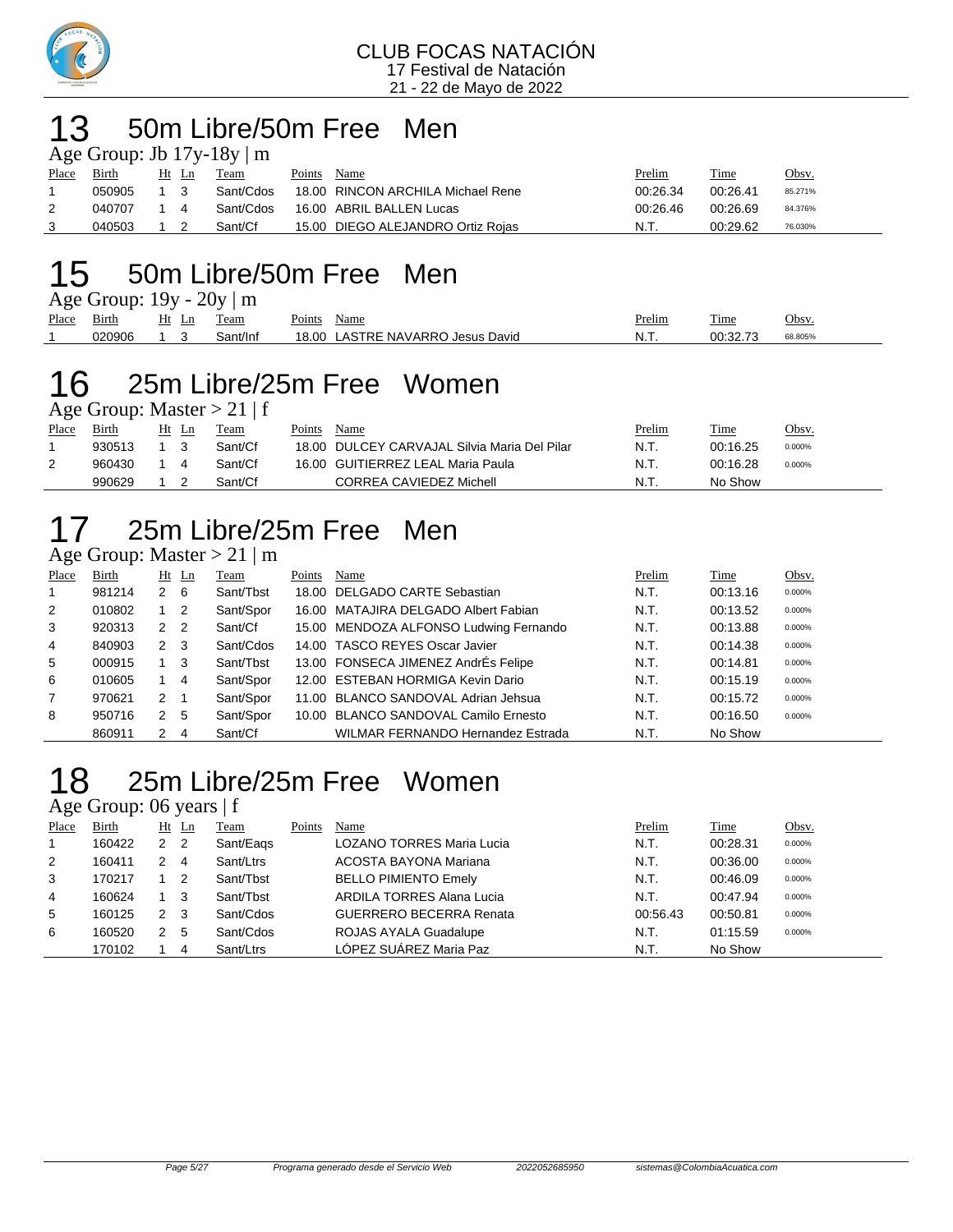

### 50m Libre/50m Free Men

| Age Group: Jb $17y-18y \mid m$ |        |       |  |           |        |                                   |          |          |              |  |  |  |  |  |
|--------------------------------|--------|-------|--|-----------|--------|-----------------------------------|----------|----------|--------------|--|--|--|--|--|
| Place                          | Birth  | Ht Ln |  | Team      | Points | Name                              | Prelim   | Time     | <u>Obsv.</u> |  |  |  |  |  |
|                                | 050905 | 1 3   |  | Sant/Cdos |        | 18.00 RINCON ARCHILA Michael Rene | 00:26.34 | 00:26.41 | 85.271%      |  |  |  |  |  |
| 2                              | 040707 | 14    |  | Sant/Cdos |        | 16.00 ABRIL BALLEN Lucas          | 00:26.46 | 00:26.69 | 84.376%      |  |  |  |  |  |
|                                | 040503 |       |  | Sant/Cf   |        | 15.00 DIEGO ALEJANDRO Ortiz Rojas | N.T.     | 00:29.62 | 76.030%      |  |  |  |  |  |

## 15 50m Libre/50m Free Men

| Age Group: $19y - 20y \mid m$ |        |                                          |          |                                  |        |          |         |  |  |  |  |  |
|-------------------------------|--------|------------------------------------------|----------|----------------------------------|--------|----------|---------|--|--|--|--|--|
| Place                         | Birth  | Ht Ln                                    | Team     | Points Name                      | Prelim | Time     | Obsv.   |  |  |  |  |  |
|                               | 020906 | $\begin{array}{ccc} & 1 & 3 \end{array}$ | Sant/Inf | 18.00 LASTRE NAVARRO Jesus David | N.T.   | 00:32.73 | 68.805% |  |  |  |  |  |

### 25m Libre/25m Free Women

Age Group: Master > 21 | f

| Place | Birth  | Ht | Ln | Team    | Points | Name                                         | Prelim | Time     | Obsv.  |
|-------|--------|----|----|---------|--------|----------------------------------------------|--------|----------|--------|
|       | 930513 |    |    | Sant/Cf |        | 18.00 DULCEY CARVAJAL Silvia Maria Del Pilar | N.T.   | 00:16.25 | 0.000% |
|       | 960430 |    |    | Sant/Cf |        | 16.00 GUITIERREZ LEAL Maria Paula            | N.T.   | 00:16.28 | 0.000% |
|       | 990629 |    |    | Sant/Cf |        | CORREA CAVIEDEZ Michell                      | - N.T. | No Show  |        |

## 25m Libre/25m Free Men

### Age Group: Master  $> 21 \mid m$

| Place          | Birth  |             | Ht Ln | Team      | Points | Name                                     | Prelim | Time     | Obsv.  |
|----------------|--------|-------------|-------|-----------|--------|------------------------------------------|--------|----------|--------|
|                | 981214 | $2 \quad 6$ |       | Sant/Tbst |        | 18.00 DELGADO CARTE Sebastian            | N.T.   | 00:13.16 | 0.000% |
| 2              | 010802 | $1\quad 2$  |       | Sant/Spor |        | 16.00 MATAJIRA DELGADO Albert Fabian     | N.T.   | 00:13.52 | 0.000% |
| 3              | 920313 | 2 2         |       | Sant/Cf   |        | 15.00 MENDOZA ALFONSO Ludwing Fernando   | N.T.   | 00:13.88 | 0.000% |
| $\overline{4}$ | 840903 | 2 3         |       | Sant/Cdos |        | 14.00 TASCO REYES Oscar Javier           | N.T.   | 00:14.38 | 0.000% |
| 5              | 000915 | $1 \quad 3$ |       | Sant/Tbst |        | 13.00 FONSECA JIMENEZ AndrÉs Felipe      | N.T.   | 00:14.81 | 0.000% |
| 6              | 010605 | 1 4         |       | Sant/Spor |        | 12.00 ESTEBAN HORMIGA Kevin Dario        | N.T.   | 00:15.19 | 0.000% |
| $\overline{7}$ | 970621 | $2 \quad 1$ |       | Sant/Spor |        | 11.00 BLANCO SANDOVAL Adrian Jehsua      | N.T.   | 00:15.72 | 0.000% |
| 8              | 950716 | 2 5         |       | Sant/Spor |        | 10.00 BLANCO SANDOVAL Camilo Ernesto     | N.T.   | 00:16.50 | 0.000% |
|                | 860911 | $2 \quad 4$ |       | Sant/Cf   |        | <b>WILMAR FERNANDO Hernandez Estrada</b> | N.T.   | No Show  |        |

### 25m Libre/25m Free Women

### Age Group: 06 years | f

| Place | Birth  | Ht | Ln  | Team      | Points | Name                             | Prelim   | Time     | Obsv.  |
|-------|--------|----|-----|-----------|--------|----------------------------------|----------|----------|--------|
|       | 160422 | 2  | - 2 | Sant/Eags |        | <b>LOZANO TORRES Maria Lucia</b> | N.T.     | 00:28.31 | 0.000% |
| 2     | 160411 |    | 4   | Sant/Ltrs |        | ACOSTA BAYONA Mariana            | N.T.     | 00:36.00 | 0.000% |
| 3     | 170217 |    | -2  | Sant/Tbst |        | <b>BELLO PIMIENTO Emely</b>      | N.T.     | 00:46.09 | 0.000% |
| 4     | 160624 |    | -3  | Sant/Tbst |        | ARDILA TORRES Alana Lucia        | N.T.     | 00:47.94 | 0.000% |
| 5     | 160125 | 2  | - 3 | Sant/Cdos |        | <b>GUERRERO BECERRA Renata</b>   | 00:56.43 | 00:50.81 | 0.000% |
| 6     | 160520 | 2  | -5  | Sant/Cdos |        | ROJAS AYALA Guadalupe            | N.T.     | 01:15.59 | 0.000% |
|       | 170102 |    | 4   | Sant/Ltrs |        | LÓPEZ SUÁREZ Maria Paz           | N.T.     | No Show  |        |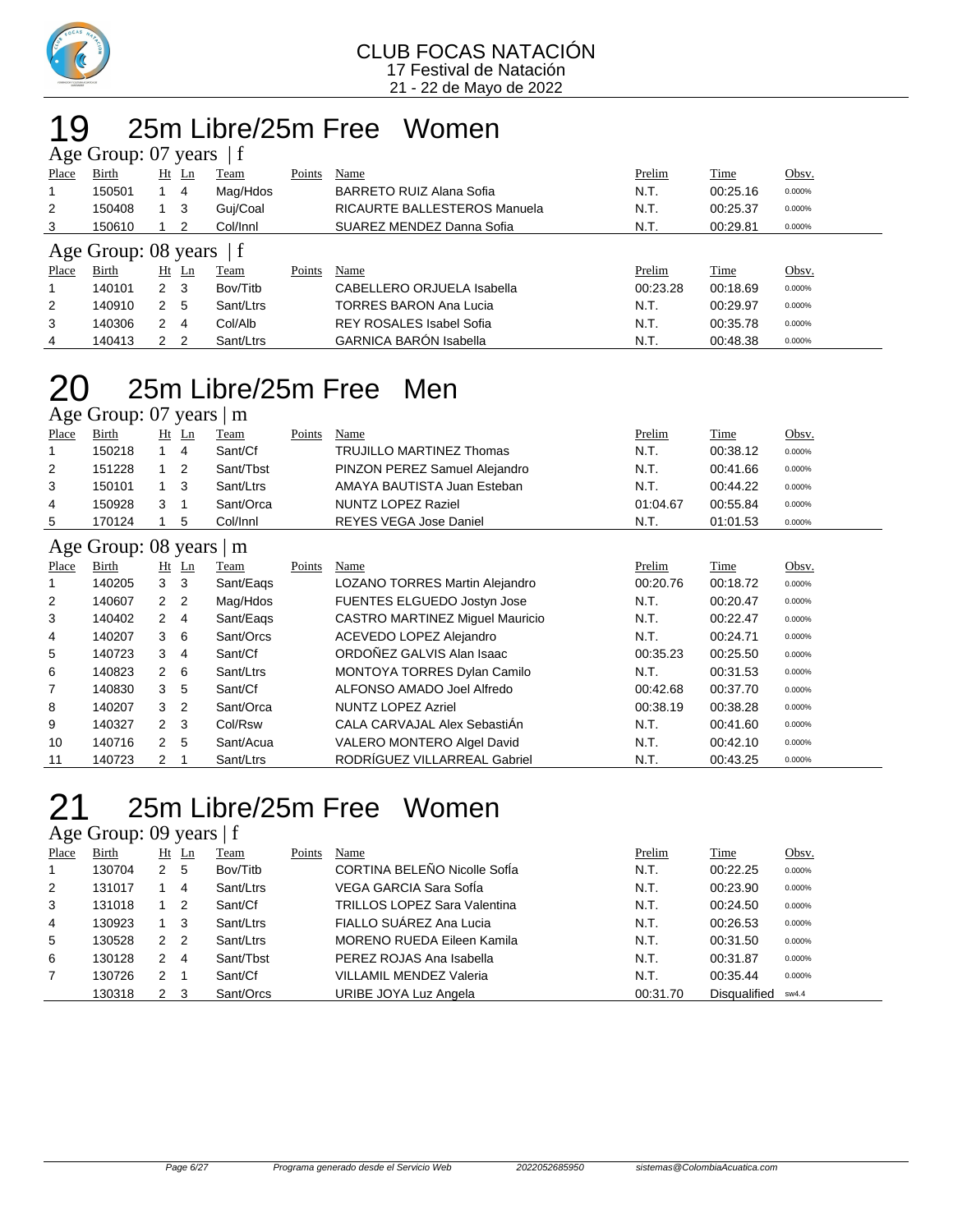

### 25m Libre/25m Free Women Age Group: years  $|f|$

| $1.15$ $\sigma$ $\sim$ $1.04$ $\sigma$ $\sim$ $\sigma$ $\sim$ $\sigma$ |        |              |                |           |        |                                     |          |          |        |  |  |  |
|------------------------------------------------------------------------|--------|--------------|----------------|-----------|--------|-------------------------------------|----------|----------|--------|--|--|--|
| Place                                                                  | Birth  |              | $Ht$ Ln        | Team      | Points | Name                                | Prelim   | Time     | Obsv.  |  |  |  |
|                                                                        | 150501 |              | 4              | Mag/Hdos  |        | BARRETO RUIZ Alana Sofia            | N.T.     | 00:25.16 | 0.000% |  |  |  |
| 2                                                                      | 150408 |              | - 3            | Guj/Coal  |        | <b>RICAURTE BALLESTEROS Manuela</b> | N.T.     | 00:25.37 | 0.000% |  |  |  |
| 3                                                                      | 150610 |              | 2              | Col/Innl  |        | SUAREZ MENDEZ Danna Sofia           | N.T.     | 00:29.81 | 0.000% |  |  |  |
| Age Group: 08 years                                                    |        |              |                |           |        |                                     |          |          |        |  |  |  |
| Place                                                                  | Birth  |              | Ht Ln          | Team      | Points | Name                                | Prelim   | Time     | Obsv.  |  |  |  |
|                                                                        | 140101 | $2 \quad 3$  |                | Bov/Titb  |        | CABELLERO ORJUELA Isabella          | 00:23.28 | 00:18.69 | 0.000% |  |  |  |
| 2                                                                      | 140910 | 2            | -5             | Sant/Ltrs |        | TORRES BARON Ana Lucia              | N.T.     | 00:29.97 | 0.000% |  |  |  |
| 3                                                                      | 140306 | 2            | 4              | Col/Alb   |        | <b>REY ROSALES Isabel Sofia</b>     | N.T.     | 00:35.78 | 0.000% |  |  |  |
| 4                                                                      | 140413 | $\mathbf{2}$ | $\overline{2}$ | Sant/Ltrs |        | <b>GARNICA BARÓN Isabella</b>       | N.T.     | 00:48.38 | 0.000% |  |  |  |

### 25m Libre/25m Free Men  $\overline{\Delta}$ ge Group: 07 years  $\overline{\Delta}$  m

| $\frac{1}{2}$ Section $\frac{1}{2}$ or $\frac{1}{2}$ and $\frac{1}{2}$ and $\frac{1}{2}$ and $\frac{1}{2}$ are $\frac{1}{2}$ and $\frac{1}{2}$ are $\frac{1}{2}$ and $\frac{1}{2}$ are $\frac{1}{2}$ and $\frac{1}{2}$ are $\frac{1}{2}$ are $\frac{1}{2}$ and $\frac{1}{2}$ are $\frac{1}{2}$ |        |   |       |           |        |                                 |          |          |        |  |  |  |  |
|------------------------------------------------------------------------------------------------------------------------------------------------------------------------------------------------------------------------------------------------------------------------------------------------|--------|---|-------|-----------|--------|---------------------------------|----------|----------|--------|--|--|--|--|
| Place                                                                                                                                                                                                                                                                                          | Birth  |   | Ht Ln | Team      | Points | Name                            | Prelim   | Time     | Obsv.  |  |  |  |  |
|                                                                                                                                                                                                                                                                                                | 150218 |   | 4     | Sant/Cf   |        | <b>TRUJILLO MARTINEZ Thomas</b> | N.T.     | 00:38.12 | 0.000% |  |  |  |  |
| 2                                                                                                                                                                                                                                                                                              | 151228 |   | -2    | Sant/Tbst |        | PINZON PEREZ Samuel Alejandro   | N.T.     | 00:41.66 | 0.000% |  |  |  |  |
| 3                                                                                                                                                                                                                                                                                              | 150101 |   | - 3   | Sant/Ltrs |        | AMAYA BAUTISTA Juan Esteban     | N.T.     | 00:44.22 | 0.000% |  |  |  |  |
| 4                                                                                                                                                                                                                                                                                              | 150928 | 3 |       | Sant/Orca |        | NUNTZ LOPEZ Raziel              | 01:04.67 | 00:55.84 | 0.000% |  |  |  |  |
| 5                                                                                                                                                                                                                                                                                              | 170124 |   |       | Col/Innl  |        | REYES VEGA Jose Daniel          | N.T.     | 01:01.53 | 0.000% |  |  |  |  |
|                                                                                                                                                                                                                                                                                                |        |   |       |           |        |                                 |          |          |        |  |  |  |  |

#### Age Group: 08 years | m

|                | $\frac{1}{2}$<br>--- |                |                |           |        |                                        |          |             |        |  |  |  |
|----------------|----------------------|----------------|----------------|-----------|--------|----------------------------------------|----------|-------------|--------|--|--|--|
| Place          | <b>Birth</b>         | Ht             | Ln             | Team      | Points | Name                                   | Prelim   | <b>Time</b> | Obsv.  |  |  |  |
|                | 140205               | 3              | - 3            | Sant/Eags |        | LOZANO TORRES Martin Alejandro         | 00:20.76 | 00:18.72    | 0.000% |  |  |  |
| 2              | 140607               |                | 2 <sub>2</sub> | Mag/Hdos  |        | FUENTES ELGUEDO Jostyn Jose            | N.T.     | 00:20.47    | 0.000% |  |  |  |
| 3              | 140402               | $\mathbf{2}$   | 4              | Sant/Eags |        | <b>CASTRO MARTINEZ Miquel Mauricio</b> | N.T.     | 00:22.47    | 0.000% |  |  |  |
| $\overline{4}$ | 140207               | $3\quad 6$     |                | Sant/Orcs |        | ACEVEDO LOPEZ Alejandro                | N.T.     | 00:24.71    | 0.000% |  |  |  |
| 5              | 140723               | 3              | -4             | Sant/Cf   |        | ORDOÑEZ GALVIS Alan Isaac              | 00:35.23 | 00:25.50    | 0.000% |  |  |  |
| 6              | 140823               | 2              | - 6            | Sant/Ltrs |        | <b>MONTOYA TORRES Dylan Camilo</b>     | N.T.     | 00:31.53    | 0.000% |  |  |  |
| 7              | 140830               | 3              | 5              | Sant/Cf   |        | ALFONSO AMADO Joel Alfredo             | 00:42.68 | 00:37.70    | 0.000% |  |  |  |
| 8              | 140207               | 3 <sub>2</sub> |                | Sant/Orca |        | <b>NUNTZ LOPEZ Azriel</b>              | 00:38.19 | 00:38.28    | 0.000% |  |  |  |
| 9              | 140327               | 2 <sub>3</sub> |                | Col/Rsw   |        | CALA CARVAJAL Alex SebastiAn           | N.T.     | 00:41.60    | 0.000% |  |  |  |
| 10             | 140716               | $\mathbf{2}$   | -5             | Sant/Acua |        | VALERO MONTERO Algel David             | N.T.     | 00:42.10    | 0.000% |  |  |  |
| 11             | 140723               | 2              |                | Sant/Ltrs |        | RODRÍGUEZ VILLARREAL Gabriel           | N.T.     | 00:43.25    | 0.000% |  |  |  |

### 25m Libre/25m Free Women

Age Group: 09 years | f

| Place | Birth  |               | Ht Ln          | Team      | Points | Name                                | Prelim   | Time         | Obsv.  |
|-------|--------|---------------|----------------|-----------|--------|-------------------------------------|----------|--------------|--------|
|       | 130704 | 2             | -5             | Bov/Titb  |        | CORTINA BELEÑO Nicolle SofÍa        | N.T.     | 00:22.25     | 0.000% |
| 2     | 131017 |               | 4              | Sant/Ltrs |        | VEGA GARCIA Sara SofÍa              | N.T.     | 00:23.90     | 0.000% |
| 3     | 131018 |               | - 2            | Sant/Cf   |        | <b>TRILLOS LOPEZ Sara Valentina</b> | N.T.     | 00:24.50     | 0.000% |
| 4     | 130923 |               | - 3            | Sant/Ltrs |        | FIALLO SUÁREZ Ana Lucia             | N.T.     | 00:26.53     | 0.000% |
| 5     | 130528 | $\mathcal{P}$ | $\overline{2}$ | Sant/Ltrs |        | MORENO RUEDA Eileen Kamila          | N.T.     | 00:31.50     | 0.000% |
| 6     | 130128 | 2             | -4             | Sant/Tbst |        | PEREZ ROJAS Ana Isabella            | N.T.     | 00:31.87     | 0.000% |
| 7     | 130726 | 2             |                | Sant/Cf   |        | <b>VILLAMIL MENDEZ Valeria</b>      | N.T.     | 00:35.44     | 0.000% |
|       | 130318 | 2             | - 3            | Sant/Orcs |        | URIBE JOYA Luz Angela               | 00:31.70 | Disqualified | sw4.4  |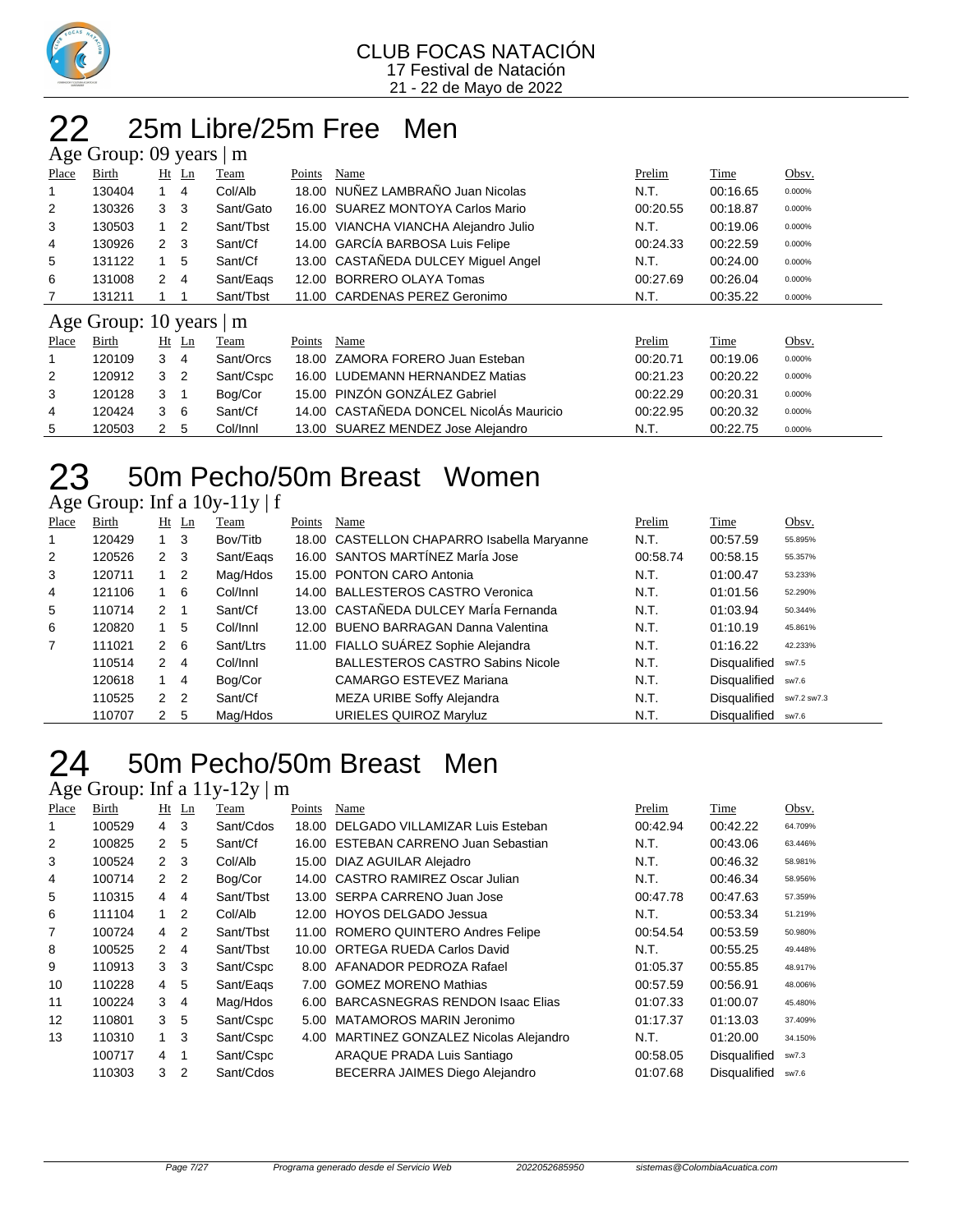

### 22 25m Libre/25m Free Men

| Age Group: 09 years  <br>m |                     |             |               |           |        |                                       |          |          |        |  |  |  |
|----------------------------|---------------------|-------------|---------------|-----------|--------|---------------------------------------|----------|----------|--------|--|--|--|
| Place                      | Birth               |             | $Ht$ Ln       | Team      | Points | Name                                  | Prelim   | Time     | Obsv.  |  |  |  |
|                            | 130404              |             | 4             | Col/Alb   |        | 18.00 NUÑEZ LAMBRAÑO Juan Nicolas     | N.T.     | 00:16.65 | 0.000% |  |  |  |
| 2                          | 130326              | 3           | - 3           | Sant/Gato |        | 16.00 SUAREZ MONTOYA Carlos Mario     | 00:20.55 | 00:18.87 | 0.000% |  |  |  |
| 3                          | 130503              |             | -2            | Sant/Tbst |        | 15.00 VIANCHA VIANCHA Alejandro Julio | N.T.     | 00:19.06 | 0.000% |  |  |  |
| 4                          | 130926              | $2 \quad 3$ |               | Sant/Cf   |        | 14.00 GARCÍA BARBOSA Luis Felipe      | 00:24.33 | 00:22.59 | 0.000% |  |  |  |
| 5                          | 131122              |             | 5             | Sant/Cf   |        | 13.00 CASTAÑEDA DULCEY Miguel Angel   | N.T.     | 00:24.00 | 0.000% |  |  |  |
| 6                          | 131008              | 2           | 4             | Sant/Eags |        | 12.00 BORRERO OLAYA Tomas             | 00:27.69 | 00:26.04 | 0.000% |  |  |  |
|                            | 131211              |             |               | Sant/Tbst |        | 11.00 CARDENAS PEREZ Geronimo         | N.T.     | 00:35.22 | 0.000% |  |  |  |
|                            | Age Group: 10 years |             |               | m         |        |                                       |          |          |        |  |  |  |
| Place                      | Birth               |             | $Ht$ Ln       | Team      | Points | Name                                  | Prelim   | Time     | Obsv.  |  |  |  |
| 1                          | 120109              | 3           | 4             | Sant/Orcs |        | 18.00 ZAMORA FORERO Juan Esteban      | 00:20.71 | 00:19.06 | 0.000% |  |  |  |
| 2                          | 120912              | 3           | $\mathcal{P}$ | Sant/Cspc |        | 16.00 LUDEMANN HERNANDEZ Matias       | 00:21.23 | 00:20.22 | 0.000% |  |  |  |

|    | 120912 3 2 |     | Sant/Cspc | 16.00 LUDEMANN HERNANDEZ Matias         | 00:21.23 | 00:20.22 | 0.000% |
|----|------------|-----|-----------|-----------------------------------------|----------|----------|--------|
|    | 120128 3 1 |     | Boa/Cor   | 15.00 PINZÓN GONZÁLEZ Gabriel           | 00:22.29 | 00:20.31 | 0.000% |
|    | 120424 3 6 |     | Sant/Cf   | 14.00 CASTAÑEDA DONCEL NicolÁs Mauricio | 00:22.95 | 00:20.32 | 0.000% |
| -5 | 120503     | 2 5 | Col/Innl  | 13.00 SUAREZ MENDEZ Jose Alejandro      | N.T.     | 00:22.75 | 0.000% |

## 50m Pecho/50m Breast Women

Age Group: Inf a 10y-11y | f

| Place | Birth  |                | $Ht$ Ln        | Team      | Points | Name                                       | Prelim   | Time                | Obsv.       |
|-------|--------|----------------|----------------|-----------|--------|--------------------------------------------|----------|---------------------|-------------|
|       | 120429 |                | -3             | Bov/Titb  |        | 18.00 CASTELLON CHAPARRO Isabella Maryanne | N.T.     | 00:57.59            | 55.895%     |
| 2     | 120526 | $2 \quad 3$    |                | Sant/Eags |        | 16.00 SANTOS MARTÍNEZ MarÍa Jose           | 00:58.74 | 00:58.15            | 55.357%     |
| 3     | 120711 | $1\quad 2$     |                | Mag/Hdos  |        | 15.00 PONTON CARO Antonia                  | N.T.     | 01:00.47            | 53.233%     |
| 4     | 121106 |                | - 6            | Col/Innl  |        | 14.00 BALLESTEROS CASTRO Veronica          | N.T.     | 01:01.56            | 52.290%     |
| 5     | 110714 | 2              |                | Sant/Cf   |        | 13.00 CASTAÑEDA DULCEY MarÍa Fernanda      | N.T.     | 01:03.94            | 50.344%     |
| 6     | 120820 |                | 5              | Col/Innl  |        | 12.00 BUENO BARRAGAN Danna Valentina       | N.T.     | 01:10.19            | 45.861%     |
| 7     | 111021 | $\overline{2}$ | - 6            | Sant/Ltrs |        | 11.00 FIALLO SUÁREZ Sophie Alejandra       | N.T.     | 01:16.22            | 42.233%     |
|       | 110514 | $\mathbf{2}$   | 4              | Col/Innl  |        | <b>BALLESTEROS CASTRO Sabins Nicole</b>    | N.T.     | Disqualified        | sw7.5       |
|       | 120618 |                | 4              | Bog/Cor   |        | CAMARGO ESTEVEZ Mariana                    | N.T.     | <b>Disqualified</b> | sw7.6       |
|       | 110525 | 2              | $\overline{2}$ | Sant/Cf   |        | MEZA URIBE Soffy Alejandra                 | N.T.     | Disqualified        | sw7.2 sw7.3 |
|       | 110707 | 2              | -5             | Mag/Hdos  |        | URIELES QUIROZ Maryluz                     | N.T.     | <b>Disqualified</b> | sw7.6       |

## 50m Pecho/50m Breast Men

Age Group: Inf a 11y-12y | m

| Place | Birth  |                      | $Ht$ Ln | Team      | Points | Name                                   | Prelim   | Time                | Obsv.   |
|-------|--------|----------------------|---------|-----------|--------|----------------------------------------|----------|---------------------|---------|
|       | 100529 | $\overline{4}$       | 3       | Sant/Cdos | 18.00  | DELGADO VILLAMIZAR Luis Esteban        | 00:42.94 | 00:42.22            | 64.709% |
| 2     | 100825 | 2                    | 5       | Sant/Cf   | 16.00  | <b>ESTEBAN CARRENO Juan Sebastian</b>  | N.T.     | 00:43.06            | 63.446% |
| 3     | 100524 | $\mathcal{P}$        | 3       | Col/Alb   |        | 15.00 DIAZ AGUILAR Alejadro            | N.T.     | 00:46.32            | 58.981% |
| 4     | 100714 | $\mathcal{P}$        | 2       | Bog/Cor   | 14.00  | CASTRO RAMIREZ Oscar Julian            | N.T.     | 00:46.34            | 58.956% |
| 5     | 110315 | $\overline{4}$       | 4       | Sant/Tbst |        | 13.00 SERPA CARRENO Juan Jose          | 00:47.78 | 00:47.63            | 57.359% |
| 6     | 111104 | 1                    | 2       | Col/Alb   |        | 12.00 HOYOS DELGADO Jessua             | N.T.     | 00:53.34            | 51.219% |
| 7     | 100724 | 4                    | 2       | Sant/Tbst |        | 11.00 ROMERO QUINTERO Andres Felipe    | 00:54.54 | 00:53.59            | 50.980% |
| 8     | 100525 | $\mathcal{P} \equiv$ | 4       | Sant/Tbst | 10.00  | <b>ORTEGA RUEDA Carlos David</b>       | N.T.     | 00:55.25            | 49.448% |
| 9     | 110913 | 3                    | 3       | Sant/Cspc | 8.00   | AFANADOR PEDROZA Rafael                | 01:05.37 | 00:55.85            | 48.917% |
| 10    | 110228 | $\overline{4}$       | 5       | Sant/Eags | 7.00   | <b>GOMEZ MORENO Mathias</b>            | 00:57.59 | 00:56.91            | 48.006% |
| 11    | 100224 | 3                    | 4       | Mag/Hdos  | 6.00   | <b>BARCASNEGRAS RENDON Isaac Elias</b> | 01:07.33 | 01:00.07            | 45.480% |
| 12    | 110801 | 3                    | 5       | Sant/Cspc | 5.00   | MATAMOROS MARIN Jeronimo               | 01:17.37 | 01:13.03            | 37.409% |
| 13    | 110310 | 1                    | 3       | Sant/Cspc | 4.00   | MARTINEZ GONZALEZ Nicolas Alejandro    | N.T.     | 01:20.00            | 34.150% |
|       | 100717 | 4                    | 1       | Sant/Cspc |        | ARAQUE PRADA Luis Santiago             | 00:58.05 | <b>Disqualified</b> | sw7.3   |
|       | 110303 | 3                    | 2       | Sant/Cdos |        | BECERRA JAIMES Diego Alejandro         | 01:07.68 | <b>Disqualified</b> | sw7.6   |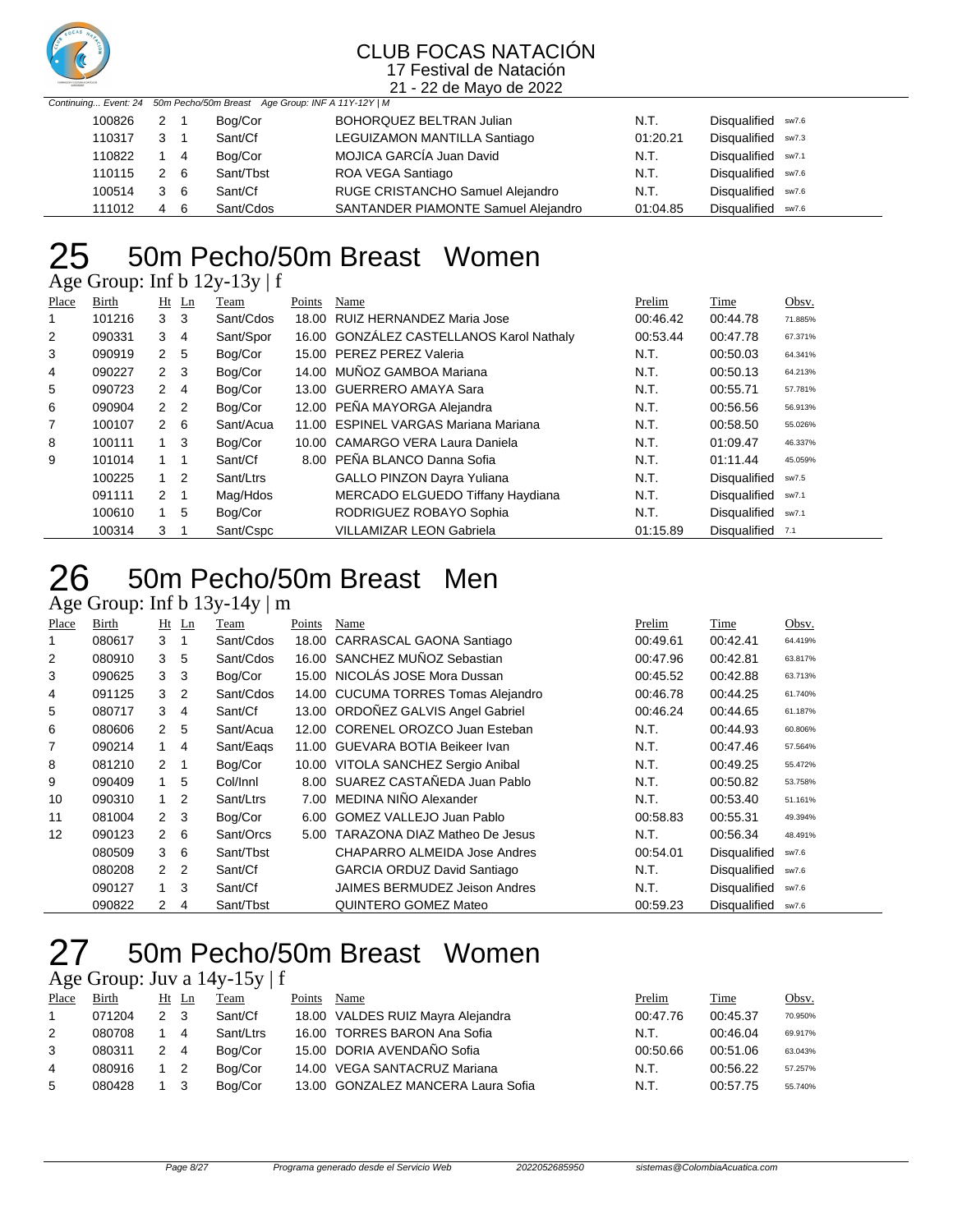

21 - 22 de Mayo de 2022

|        |     |                | Continuing Event: 24 50m Pecho/50m Breast Age Group: INF A 11Y-12Y   M |                                     |          |                    |
|--------|-----|----------------|------------------------------------------------------------------------|-------------------------------------|----------|--------------------|
| 100826 | 2 1 |                | Bog/Cor                                                                | BOHORQUEZ BELTRAN Julian            | N.T.     | Disqualified sw7.6 |
| 110317 | 3   |                | Sant/Cf                                                                | LEGUIZAMON MANTILLA Santiago        | 01:20.21 | Disqualified sw7.3 |
| 110822 |     | $\overline{4}$ | Bog/Cor                                                                | MOJICA GARCÍA Juan David            | N.T.     | Disqualified sw7.1 |
| 110115 | 2 6 |                | Sant/Tbst                                                              | ROA VEGA Santiago                   | N.T.     | Disqualified sw7.6 |
| 100514 | 36  |                | Sant/Cf                                                                | RUGE CRISTANCHO Samuel Alejandro    | N.T.     | Disqualified sw7.6 |
| 111012 | 4   | - 6            | Sant/Cdos                                                              | SANTANDER PIAMONTE Samuel Alejandro | 01:04.85 | Disqualified sw7.6 |

## 50m Pecho/50m Breast Women

Age Group: Inf b 12y-13y | f

| Place | Birth  |                | $Ht$ Ln | Team      | Points | Name                                     | Prelim   | Time                | Obsv.   |
|-------|--------|----------------|---------|-----------|--------|------------------------------------------|----------|---------------------|---------|
|       | 101216 | 3 <sub>3</sub> |         | Sant/Cdos |        | 18.00 RUIZ HERNANDEZ Maria Jose          | 00:46.42 | 00:44.78            | 71.885% |
| 2     | 090331 | $3 \quad 4$    |         | Sant/Spor |        | 16.00 GONZÁLEZ CASTELLANOS Karol Nathaly | 00:53.44 | 00:47.78            | 67.371% |
| 3     | 090919 | 2 <sub>5</sub> |         | Bog/Cor   |        | 15.00 PEREZ PEREZ Valeria                | N.T.     | 00:50.03            | 64.341% |
| 4     | 090227 | $2 \quad 3$    |         | Bog/Cor   |        | 14.00 MUÑOZ GAMBOA Mariana               | N.T.     | 00:50.13            | 64.213% |
| 5     | 090723 | 2 4            |         | Bog/Cor   |        | 13.00 GUERRERO AMAYA Sara                | N.T.     | 00:55.71            | 57.781% |
| 6     | 090904 | 2 <sub>2</sub> |         | Bog/Cor   |        | 12.00 PEÑA MAYORGA Alejandra             | N.T.     | 00:56.56            | 56.913% |
| 7     | 100107 | $2 \quad 6$    |         | Sant/Acua |        | 11.00 ESPINEL VARGAS Mariana Mariana     | N.T.     | 00:58.50            | 55.026% |
| 8     | 100111 | $1 \quad 3$    |         | Bog/Cor   |        | 10.00 CAMARGO VERA Laura Daniela         | N.T.     | 01:09.47            | 46.337% |
| 9     | 101014 | $1 \quad 1$    |         | Sant/Cf   |        | 8.00 PEÑA BLANCO Danna Sofia             | N.T.     | 01:11.44            | 45.059% |
|       | 100225 | $1\quad 2$     |         | Sant/Ltrs |        | <b>GALLO PINZON Dayra Yuliana</b>        | N.T.     | <b>Disqualified</b> | sw7.5   |
|       | 091111 | $2 \quad 1$    |         | Mag/Hdos  |        | MERCADO ELGUEDO Tiffany Haydiana         | N.T.     | <b>Disqualified</b> | sw7.1   |
|       | 100610 |                | 5       | Bog/Cor   |        | RODRIGUEZ ROBAYO Sophia                  | N.T.     | <b>Disqualified</b> | sw7.1   |
|       | 100314 | 3              |         | Sant/Cspc |        | <b>VILLAMIZAR LEON Gabriela</b>          | 01:15.89 | Disqualified        | 7.1     |

### 50m Pecho/50m Breast Men

### Age Group: Inf b 13y-14y | m

| Place | Birth  |                | $Ht$ Ln        | Team      | Points | Name                                 | Prelim   | Time                | Obsv.   |
|-------|--------|----------------|----------------|-----------|--------|--------------------------------------|----------|---------------------|---------|
|       | 080617 | 3              | -1             | Sant/Cdos | 18.00  | CARRASCAL GAONA Santiago             | 00:49.61 | 00:42.41            | 64.419% |
| 2     | 080910 | 3              | 5              | Sant/Cdos | 16.00  | SANCHEZ MUÑOZ Sebastian              | 00:47.96 | 00:42.81            | 63.817% |
| 3     | 090625 | 3              | -3             | Bog/Cor   | 15.00  | NICOLÁS JOSE Mora Dussan             | 00:45.52 | 00:42.88            | 63.713% |
| 4     | 091125 | 3              | $\overline{2}$ | Sant/Cdos | 14.00  | <b>CUCUMA TORRES Tomas Alejandro</b> | 00:46.78 | 00:44.25            | 61.740% |
| 5     | 080717 | 3              | 4              | Sant/Cf   | 13.00  | ORDOÑEZ GALVIS Angel Gabriel         | 00:46.24 | 00:44.65            | 61.187% |
| 6     | 080606 | $\mathbf{2}$   | 5              | Sant/Acua | 12.00  | CORENEL OROZCO Juan Esteban          | N.T.     | 00:44.93            | 60.806% |
| 7     | 090214 | 1              | -4             | Sant/Eags | 11.00  | GUEVARA BOTIA Beikeer Ivan           | N.T.     | 00:47.46            | 57.564% |
| 8     | 081210 | 2              | - 1            | Bog/Cor   | 10.00  | VITOLA SANCHEZ Sergio Anibal         | N.T.     | 00:49.25            | 55.472% |
| 9     | 090409 | $\mathbf{1}$   | 5              | Col/Innl  |        | 8.00 SUAREZ CASTAÑEDA Juan Pablo     | N.T.     | 00:50.82            | 53.758% |
| 10    | 090310 | 1.             | $\overline{2}$ | Sant/Ltrs | 7.00   | MEDINA NIÑO Alexander                | N.T.     | 00:53.40            | 51.161% |
| 11    | 081004 | 2 <sub>3</sub> |                | Bog/Cor   | 6.00   | <b>GOMEZ VALLEJO Juan Pablo</b>      | 00:58.83 | 00:55.31            | 49.394% |
| 12    | 090123 | $\mathbf{2}$   | 6              | Sant/Orcs | 5.00   | <b>TARAZONA DIAZ Matheo De Jesus</b> | N.T.     | 00:56.34            | 48.491% |
|       | 080509 | 3              | 6              | Sant/Tbst |        | CHAPARRO ALMEIDA Jose Andres         | 00:54.01 | Disqualified        | sw7.6   |
|       | 080208 | $\mathbf{2}$   | $\overline{2}$ | Sant/Cf   |        | <b>GARCIA ORDUZ David Santiago</b>   | N.T.     | Disqualified        | sw7.6   |
|       | 090127 | $\overline{1}$ | 3              | Sant/Cf   |        | <b>JAIMES BERMUDEZ Jeison Andres</b> | N.T.     | <b>Disqualified</b> | sw7.6   |
|       | 090822 | 2              | 4              | Sant/Tbst |        | QUINTERO GOMEZ Mateo                 | 00:59.23 | Disqualified        | sw7.6   |

### 50m Pecho/50m Breast Women

Age Group: Juv a  $14y-15y \mid f$ 

| Place | Birth  | Ht            | Ln             | Team      | Points | Name                               | Prelim   | Time     | Obsv.   |
|-------|--------|---------------|----------------|-----------|--------|------------------------------------|----------|----------|---------|
|       | 071204 |               |                | Sant/Cf   |        | 18.00 VALDES RUIZ Mayra Alejandra  | 00:47.76 | 00:45.37 | 70.950% |
| 2     | 080708 |               | 4              | Sant/Ltrs |        | 16.00 TORRES BARON Ana Sofia       | N.T.     | 00:46.04 | 69.917% |
| 3     | 080311 | $\mathcal{P}$ | $\overline{4}$ | Boa/Cor   |        | 15.00 DORIA AVENDAÑO Sofia         | 00:50.66 | 00:51.06 | 63.043% |
| 4     | 080916 |               |                | Boa/Cor   |        | 14.00 VEGA SANTACRUZ Mariana       | N.T.     | 00:56.22 | 57.257% |
| 5     | 080428 |               |                | Boa/Cor   |        | 13.00 GONZALEZ MANCERA Laura Sofia | N.T.     | 00:57.75 | 55.740% |
|       |        |               |                |           |        |                                    |          |          |         |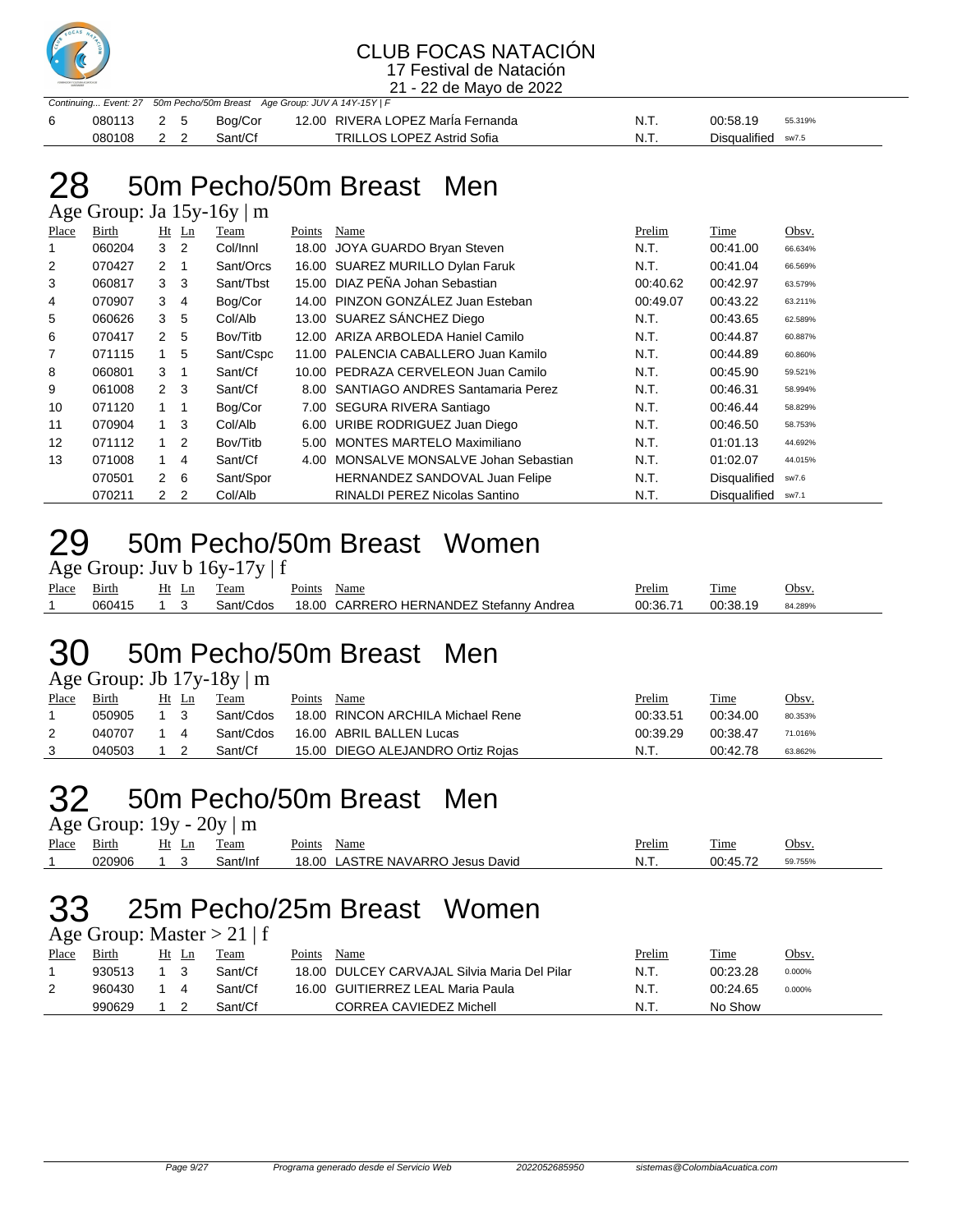

21 - 22 de Mayo de 2022

|            |  | Continuing Event: 27 50m Pecho/50m Breast Age Group: JUV A 14Y-15Y   F |                                   |      |                    |         |
|------------|--|------------------------------------------------------------------------|-----------------------------------|------|--------------------|---------|
| 080113 2 5 |  | Boa/Cor                                                                | 12.00 RIVERA LOPEZ MarÍa Fernanda | N.T. | 00:58.19           | 55.319% |
| 080108 2 2 |  | Sant/Cf                                                                | TRILLOS LOPEZ Astrid Sofia        | N.T. | Disqualified sw7.5 |         |

### 50m Pecho/50m Breast Men

Age Group: Ja 15y-16y | m

| Place          | Birth  |              | $Ht$ Ln        | Team      | Points | Name                                | Prelim   | Time                | Obsv.   |
|----------------|--------|--------------|----------------|-----------|--------|-------------------------------------|----------|---------------------|---------|
|                | 060204 | 3            | - 2            | Col/Innl  | 18.00  | JOYA GUARDO Bryan Steven            | N.T.     | 00:41.00            | 66.634% |
| 2              | 070427 | 2            | -1             | Sant/Orcs |        | 16.00 SUAREZ MURILLO Dylan Faruk    | N.T.     | 00:41.04            | 66.569% |
| 3              | 060817 | 3            | -3             | Sant/Tbst |        | 15.00 DIAZ PEÑA Johan Sebastian     | 00:40.62 | 00:42.97            | 63.579% |
| 4              | 070907 | 3            | $\overline{4}$ | Bog/Cor   |        | 14.00 PINZON GONZÁLEZ Juan Esteban  | 00:49.07 | 00:43.22            | 63.211% |
| 5              | 060626 | 3            | 5              | Col/Alb   |        | 13.00 SUAREZ SÁNCHEZ Diego          | N.T.     | 00:43.65            | 62.589% |
| 6              | 070417 | 2            | - 5            | Bov/Titb  |        | 12.00 ARIZA ARBOLEDA Haniel Camilo  | N.T.     | 00:44.87            | 60.887% |
| $\overline{7}$ | 071115 | 1            | 5              | Sant/Cspc | 11.00  | PALENCIA CABALLERO Juan Kamilo      | N.T.     | 00:44.89            | 60.860% |
| 8              | 060801 | 3            |                | Sant/Cf   |        | 10.00 PEDRAZA CERVELEON Juan Camilo | N.T.     | 00:45.90            | 59.521% |
| 9              | 061008 | $2 \quad 3$  |                | Sant/Cf   | 8.00   | SANTIAGO ANDRES Santamaria Perez    | N.T.     | 00:46.31            | 58.994% |
| 10             | 071120 | $1 \quad$    | -1             | Bog/Cor   | 7.00   | SEGURA RIVERA Santiago              | N.T.     | 00:46.44            | 58.829% |
| 11             | 070904 | $1 \quad 3$  |                | Col/Alb   |        | 6.00 URIBE RODRIGUEZ Juan Diego     | N.T.     | 00:46.50            | 58.753% |
| 12             | 071112 | 1            | $\overline{2}$ | Bov/Titb  | 5.00   | MONTES MARTELO Maximiliano          | N.T.     | 01:01.13            | 44.692% |
| 13             | 071008 | 1            | 4              | Sant/Cf   | 4.00   | MONSALVE MONSALVE Johan Sebastian   | N.T.     | 01:02.07            | 44.015% |
|                | 070501 | $\mathbf{2}$ | - 6            | Sant/Spor |        | HERNANDEZ SANDOVAL Juan Felipe      | N.T.     | Disqualified        | sw7.6   |
|                | 070211 | 2            | -2             | Col/Alb   |        | RINALDI PEREZ Nicolas Santino       | N.T.     | <b>Disqualified</b> | sw7.1   |

### 50m Pecho/50m Breast Women

Age Group: Juv b  $16y-17y \mid f$ 

| Place | $\sim$ .<br>Birth | Ħ۱ | eam                | -<br>oints' | Name                                                      | <b>Prelim</b> | $\sim$<br><u>l'ime</u> | $\gamma_{\rm bsv}$ |
|-------|-------------------|----|--------------------|-------------|-----------------------------------------------------------|---------------|------------------------|--------------------|
|       | ೧6041             |    | $\sinh/C$<br>`d∩s∴ | 18.0C       | <b>HERNANDEZ Stefanny</b><br><b>ADL</b><br>DEDI<br>Andrea | 00:36.71      | 00:38.                 | 84.289%            |

### 50m Pecho/50m Breast Men

Age Group: Jb 17y-18y | m

| Place | Birth  |  | Team      | Points | Name                              | <u>Prelim</u> | <b>Time</b> | Obsv.   |
|-------|--------|--|-----------|--------|-----------------------------------|---------------|-------------|---------|
|       | 050905 |  | Sant/Cdos |        | 18.00 RINCON ARCHILA Michael Rene | 00:33.51      | 00:34.00    | 80.353% |
| 2     | 040707 |  | Sant/Cdos |        | 16.00 ABRIL BALLEN Lucas          | 00:39.29      | 00:38.47    | 71.016% |
|       | 040503 |  | Sant/Cf   |        | 15.00 DIEGO ALEJANDRO Ortiz Rojas | N.T.          | 00:42.78    | 63.862% |

### 50m Pecho/50m Breast Men

Age Group:  $19y - 20y \mid m$ 

| Place | $\sim$<br>Birth | Ht<br>Ln | eam    | Name<br>oints'                                | Prelim  | craft.<br>1'ıme | Obsv.  |
|-------|-----------------|----------|--------|-----------------------------------------------|---------|-----------------|--------|
|       | 020906          |          | nt/Inf | <b>AVARRC</b><br>8.00<br>David<br>Jesus<br>ΝA | NL<br>. | 00:45.72<br>◡◡  | 9.755% |
|       |                 |          |        |                                               |         |                 |        |

## 25m Pecho/25m Breast Women

Age Group: Master  $> 21 \mid f$ 

| Birth<br>Place<br>Ht<br>Points<br>Team<br>Name<br>Ln              | Time<br><u>Prelim</u><br>Obsv. |  |
|-------------------------------------------------------------------|--------------------------------|--|
| 18.00 DULCEY CARVAJAL Silvia Maria Del Pilar<br>Sant/Cf<br>930513 | N.T.<br>00:23.28<br>0.000%     |  |
| 16.00 GUITIERREZ LEAL Maria Paula<br>Sant/Cf<br>960430            | N.T.<br>00:24.65<br>0.000%     |  |
| CORREA CAVIEDEZ Michell<br>990629<br>Sant/Cf                      | N.T.<br>No Show                |  |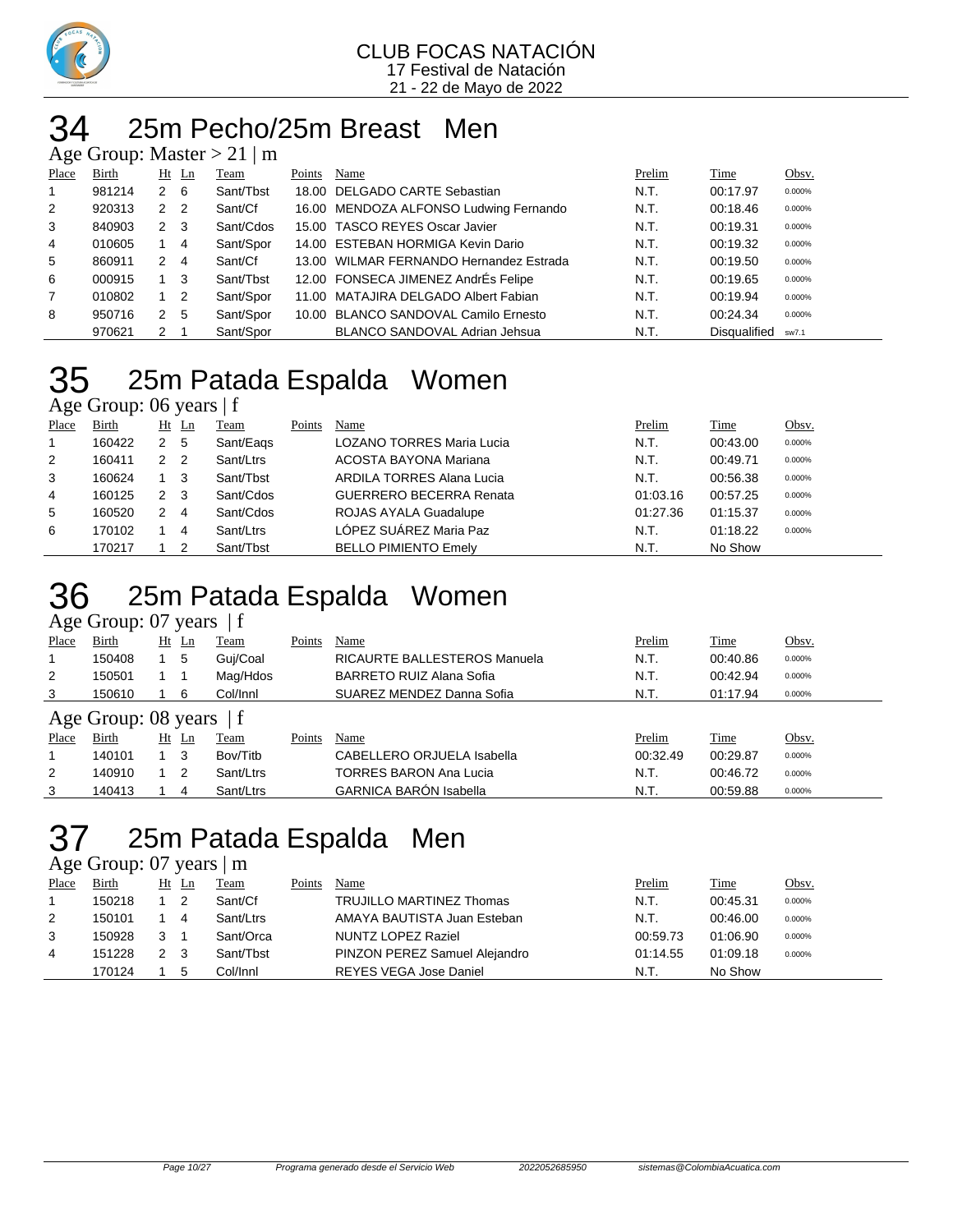

#### 25m Pecho/25m Breast Men  $\mu$  Master  $\sim$  21 | m

|       |        |              |                | $\Delta$ ge Oroup. Master $> 21$   III |        |                                         |        |              |        |
|-------|--------|--------------|----------------|----------------------------------------|--------|-----------------------------------------|--------|--------------|--------|
| Place | Birth  | $Ht$ Ln      |                | Team                                   | Points | Name                                    | Prelim | Time         | Obsv.  |
|       | 981214 | 2 6          |                | Sant/Tbst                              |        | 18.00 DELGADO CARTE Sebastian           | N.T.   | 00:17.97     | 0.000% |
| 2     | 920313 | 2            | $\overline{2}$ | Sant/Cf                                |        | 16.00 MENDOZA ALFONSO Ludwing Fernando  | N.T.   | 00:18.46     | 0.000% |
| 3     | 840903 | $\mathbf{2}$ | - 3            | Sant/Cdos                              |        | 15.00 TASCO REYES Oscar Javier          | N.T.   | 00:19.31     | 0.000% |
| 4     | 010605 |              | -4             | Sant/Spor                              |        | 14.00 ESTEBAN HORMIGA Kevin Dario       | N.T.   | 00:19.32     | 0.000% |
| 5     | 860911 | 2            | 4              | Sant/Cf                                |        | 13.00 WILMAR FERNANDO Hernandez Estrada | N.T.   | 00:19.50     | 0.000% |
| 6     | 000915 | $1 \quad 3$  |                | Sant/Tbst                              |        | 12.00 FONSECA JIMENEZ AndrÉs Felipe     | N.T.   | 00:19.65     | 0.000% |
| 7     | 010802 |              | -2             | Sant/Spor                              |        | 11.00 MATAJIRA DELGADO Albert Fabian    | N.T.   | 00:19.94     | 0.000% |
| 8     | 950716 | 2            | -5             | Sant/Spor                              |        | 10.00 BLANCO SANDOVAL Camilo Ernesto    | N.T.   | 00:24.34     | 0.000% |
|       | 970621 | 2            |                | Sant/Spor                              |        | <b>BLANCO SANDOVAL Adrian Jehsua</b>    | N.T.   | Disqualified | sw7.1  |

### 25m Patada Espalda Women Age Group: 06 years | f

| Place | Birth  | Ht | Ln  | Team      | Points | Name                             | Prelim   | Time     | Obsv.  |
|-------|--------|----|-----|-----------|--------|----------------------------------|----------|----------|--------|
|       | 160422 | 2  | - 5 | Sant/Eags |        | <b>LOZANO TORRES Maria Lucia</b> | N.T.     | 00:43.00 | 0.000% |
| 2     | 160411 | 2  | -2  | Sant/Ltrs |        | ACOSTA BAYONA Mariana            | N.T.     | 00:49.71 | 0.000% |
| 3     | 160624 |    | -3  | Sant/Tbst |        | ARDILA TORRES Alana Lucia        | N.T.     | 00:56.38 | 0.000% |
| 4     | 160125 | 2  | -3  | Sant/Cdos |        | <b>GUERRERO BECERRA Renata</b>   | 01:03.16 | 00:57.25 | 0.000% |
| 5     | 160520 | 2  | 4   | Sant/Cdos |        | ROJAS AYALA Guadalupe            | 01:27.36 | 01:15.37 | 0.000% |
| 6     | 170102 |    | 4   | Sant/Ltrs |        | LÓPEZ SUÁREZ Maria Paz           | N.T.     | 01:18.22 | 0.000% |
|       | 170217 |    |     | Sant/Tbst |        | <b>BELLO PIMIENTO Emelv</b>      | N.T.     | No Show  |        |

## 25m Patada Espalda Women

#### Age Group: 07 years | f

| ٮ     |                           |    |    |           |        |                                 |          |          |        |  |  |  |  |
|-------|---------------------------|----|----|-----------|--------|---------------------------------|----------|----------|--------|--|--|--|--|
| Place | Birth                     | Ht | Ln | Team      | Points | Name                            | Prelim   | Time     | Obsv.  |  |  |  |  |
|       | 150408                    |    | 5  | Guj/Coal  |        | RICAURTE BALLESTEROS Manuela    | N.T.     | 00:40.86 | 0.000% |  |  |  |  |
| 2     | 150501                    |    |    | Mag/Hdos  |        | <b>BARRETO RUIZ Alana Sofia</b> | N.T.     | 00:42.94 | 0.000% |  |  |  |  |
| 3     | 150610                    |    | 6  | Col/Innl  |        | SUAREZ MENDEZ Danna Sofia       | N.T.     | 01:17.94 | 0.000% |  |  |  |  |
|       | Age Group: 08 years $ f $ |    |    |           |        |                                 |          |          |        |  |  |  |  |
| Place | Birth                     | Ht | Ln | Team      | Points | Name                            | Prelim   | Time     | Obsv.  |  |  |  |  |
|       | 140101                    |    | 3  | Bov/Titb  |        | CABELLERO ORJUELA Isabella      | 00:32.49 | 00:29.87 | 0.000% |  |  |  |  |
| 2     | 140910                    |    | 2  | Sant/Ltrs |        | <b>TORRES BARON Ana Lucia</b>   | N.T.     | 00:46.72 | 0.000% |  |  |  |  |
| 3     | 140413                    |    | 4  | Sant/Ltrs |        | <b>GARNICA BARÓN Isabella</b>   | N.T.     | 00:59.88 | 0.000% |  |  |  |  |

### 25m Patada Espalda Men

Age Group: 07 years | m

| Place | Birth  | $Ht$ Ln | Team      | Points | Name                            | Prelim   | Time     | <u>Obsv.</u> |
|-------|--------|---------|-----------|--------|---------------------------------|----------|----------|--------------|
|       | 150218 |         | Sant/Cf   |        | <b>TRUJILLO MARTINEZ Thomas</b> | N.T.     | 00:45.31 | 0.000%       |
| 2     | 150101 | 4       | Sant/Ltrs |        | AMAYA BAUTISTA Juan Esteban     | N.T.     | 00:46.00 | 0.000%       |
| 3     | 150928 |         | Sant/Orca |        | NUNTZ LOPEZ Raziel              | 00:59.73 | 01:06.90 | 0.000%       |
| 4     | 151228 | - 3     | Sant/Tbst |        | PINZON PEREZ Samuel Alejandro   | 01:14.55 | 01:09.18 | 0.000%       |
|       | 170124 | 5       | Col/Innl  |        | <b>REYES VEGA Jose Daniel</b>   | N.T.     | No Show  |              |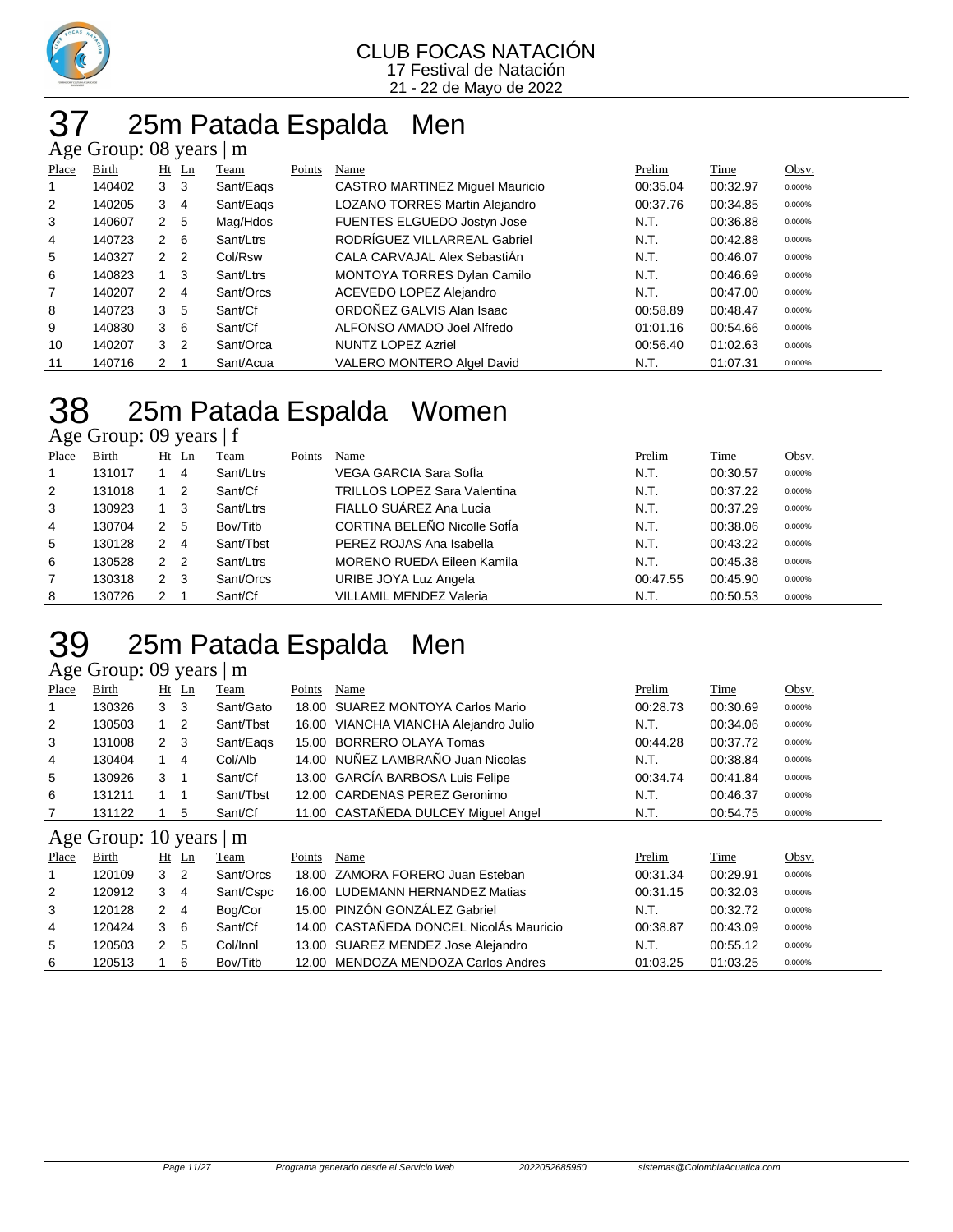

### 25m Patada Espalda Men Age Group: 08 years | m

| - -0           | ———————— |                |                |           |        |                                    |          |          |        |
|----------------|----------|----------------|----------------|-----------|--------|------------------------------------|----------|----------|--------|
| Place          | Birth    |                | $Ht$ Ln        | Team      | Points | Name                               | Prelim   | Time     | Obsv.  |
| 1              | 140402   | 3              | -3             | Sant/Eags |        | CASTRO MARTINEZ Miguel Mauricio    | 00:35.04 | 00:32.97 | 0.000% |
| 2              | 140205   | 3              | 4              | Sant/Eags |        | LOZANO TORRES Martin Alejandro     | 00:37.76 | 00:34.85 | 0.000% |
| 3              | 140607   | 2 <sub>5</sub> |                | Mag/Hdos  |        | FUENTES ELGUEDO Jostyn Jose        | N.T.     | 00:36.88 | 0.000% |
| $\overline{4}$ | 140723   | $2 \quad 6$    |                | Sant/Ltrs |        | RODRÍGUEZ VILLARREAL Gabriel       | N.T.     | 00:42.88 | 0.000% |
| 5              | 140327   | 2 <sub>2</sub> |                | Col/Rsw   |        | CALA CARVAJAL Alex SebastiAn       | N.T.     | 00:46.07 | 0.000% |
| 6              | 140823   |                | - 3            | Sant/Ltrs |        | <b>MONTOYA TORRES Dylan Camilo</b> | N.T.     | 00:46.69 | 0.000% |
| $\overline{7}$ | 140207   | $\overline{2}$ | 4              | Sant/Orcs |        | ACEVEDO LOPEZ Alejandro            | N.T.     | 00:47.00 | 0.000% |
| 8              | 140723   | 3              | -5             | Sant/Cf   |        | ORDOÑEZ GALVIS Alan Isaac          | 00:58.89 | 00:48.47 | 0.000% |
| 9              | 140830   | 3              | - 6            | Sant/Cf   |        | ALFONSO AMADO Joel Alfredo         | 01:01.16 | 00:54.66 | 0.000% |
| 10             | 140207   | 3              | $\overline{2}$ | Sant/Orca |        | <b>NUNTZ LOPEZ Azriel</b>          | 00:56.40 | 01:02.63 | 0.000% |
| 11             | 140716   | $\mathcal{P}$  |                | Sant/Acua |        | VALERO MONTERO Algel David         | N.T.     | 01:07.31 | 0.000% |

## 25m Patada Espalda Women

Age Group: 09 years | f

| Place          | Birth  | Ht            | Ln             | Team      | Points | Name                                | Prelim   | <b>Time</b> | Obsv.  |
|----------------|--------|---------------|----------------|-----------|--------|-------------------------------------|----------|-------------|--------|
|                | 131017 |               | 4              | Sant/Ltrs |        | VEGA GARCIA Sara SofÍa              | N.T.     | 00:30.57    | 0.000% |
| 2              | 131018 |               | -2             | Sant/Cf   |        | <b>TRILLOS LOPEZ Sara Valentina</b> | N.T.     | 00:37.22    | 0.000% |
| 3              | 130923 |               | 3              | Sant/Ltrs |        | FIALLO SUÁREZ Ana Lucia             | N.T.     | 00:37.29    | 0.000% |
| 4              | 130704 | $\mathcal{P}$ | - 5            | Bov/Titb  |        | CORTINA BELEÑO Nicolle SofÍa        | N.T.     | 00:38.06    | 0.000% |
| 5              | 130128 | 2             | 4              | Sant/Tbst |        | PEREZ ROJAS Ana Isabella            | N.T.     | 00:43.22    | 0.000% |
| 6              | 130528 | $\mathcal{P}$ | $\overline{2}$ | Sant/Ltrs |        | <b>MORENO RUEDA Eileen Kamila</b>   | N.T.     | 00:45.38    | 0.000% |
| $\overline{7}$ | 130318 | 2             | -3             | Sant/Orcs |        | URIBE JOYA Luz Angela               | 00:47.55 | 00:45.90    | 0.000% |
| 8              | 130726 | 2             |                | Sant/Cf   |        | <b>VILLAMIL MENDEZ Valeria</b>      | N.T.     | 00:50.53    | 0.000% |

### 25m Patada Espalda Men

### Age Group: 09 years | m

| Place          | Birth                      |                | $Ht$ Ln        | Team      | Points | Name                                    | Prelim   | Time     | Obsv.  |  |  |  |
|----------------|----------------------------|----------------|----------------|-----------|--------|-----------------------------------------|----------|----------|--------|--|--|--|
| 1              | 130326                     | 3 <sub>3</sub> |                | Sant/Gato | 18.00  | SUAREZ MONTOYA Carlos Mario             | 00:28.73 | 00:30.69 | 0.000% |  |  |  |
| $\overline{2}$ | 130503                     | $1\quad 2$     |                | Sant/Tbst |        | 16.00 VIANCHA VIANCHA Alejandro Julio   | N.T.     | 00:34.06 | 0.000% |  |  |  |
| 3              | 131008                     | $2 \quad 3$    |                | Sant/Eags |        | 15.00 BORRERO OLAYA Tomas               | 00:44.28 | 00:37.72 | 0.000% |  |  |  |
| 4              | 130404                     | $\overline{1}$ | $\overline{4}$ | Col/Alb   |        | 14.00 NUÑEZ LAMBRAÑO Juan Nicolas       | N.T.     | 00:38.84 | 0.000% |  |  |  |
| 5              | 130926                     | 3              |                | Sant/Cf   |        | 13.00 GARCÍA BARBOSA Luis Felipe        | 00:34.74 | 00:41.84 | 0.000% |  |  |  |
| 6              | 131211                     |                |                | Sant/Tbst |        | 12.00 CARDENAS PEREZ Geronimo           | N.T.     | 00:46.37 | 0.000% |  |  |  |
| 7              | 131122                     |                | 5              | Sant/Cf   |        | 11.00 CASTAÑEDA DULCEY Miguel Angel     | N.T.     | 00:54.75 | 0.000% |  |  |  |
|                | Age Group: 10 years  <br>m |                |                |           |        |                                         |          |          |        |  |  |  |
|                |                            |                |                |           |        |                                         |          |          |        |  |  |  |
| Place          | Birth                      |                | $Ht$ Ln        | Team      | Points | Name                                    | Prelim   | Time     | Obsv.  |  |  |  |
|                | 120109                     | 3              | $\overline{2}$ | Sant/Orcs | 18.00  | ZAMORA FORERO Juan Esteban              | 00:31.34 | 00:29.91 | 0.000% |  |  |  |
| 2              | 120912                     | 3              | 4              | Sant/Cspc |        | 16.00 LUDEMANN HERNANDEZ Matias         | 00:31.15 | 00:32.03 | 0.000% |  |  |  |
| 3              | 120128                     | 2              | $\overline{4}$ | Bog/Cor   |        | 15.00 PINZÓN GONZÁLEZ Gabriel           | N.T.     | 00:32.72 | 0.000% |  |  |  |
| 4              | 120424                     | 3              | - 6            | Sant/Cf   |        | 14.00 CASTAÑEDA DONCEL NicolÁs Mauricio | 00:38.87 | 00:43.09 | 0.000% |  |  |  |
| 5              | 120503                     | 2 <sub>5</sub> |                | Col/Innl  |        | 13.00 SUAREZ MENDEZ Jose Alejandro      | N.T.     | 00:55.12 | 0.000% |  |  |  |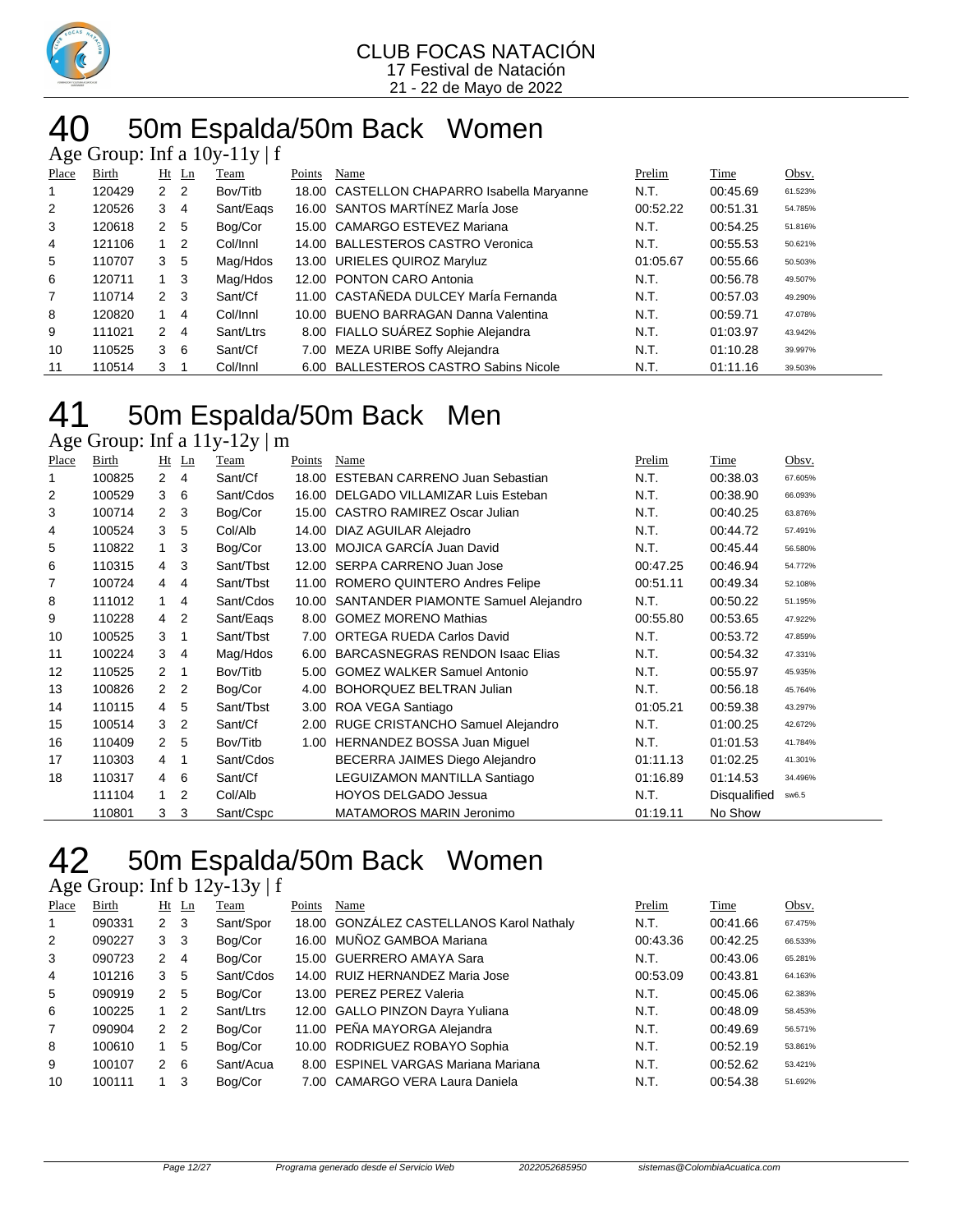

### 40 50m Espalda/50m Back Women

|                |        |                |                | Age Group: Inf a $10y-11y \mid f$ |        |                                            |          |          |         |
|----------------|--------|----------------|----------------|-----------------------------------|--------|--------------------------------------------|----------|----------|---------|
| Place          | Birth  |                | $Ht$ Ln        | Team                              | Points | Name                                       | Prelim   | Time     | Obsv.   |
|                | 120429 | $\mathbf{2}$   | $\overline{2}$ | Bov/Titb                          |        | 18.00 CASTELLON CHAPARRO Isabella Maryanne | N.T.     | 00:45.69 | 61.523% |
| $\overline{2}$ | 120526 | 3              | 4              | Sant/Eags                         |        | 16.00 SANTOS MARTÍNEZ MarÍa Jose           | 00:52.22 | 00:51.31 | 54.785% |
| 3              | 120618 | 2 <sub>5</sub> |                | Bog/Cor                           |        | 15.00 CAMARGO ESTEVEZ Mariana              | N.T.     | 00:54.25 | 51.816% |
| $\overline{4}$ | 121106 | $1\quad 2$     |                | Col/Innl                          |        | 14.00 BALLESTEROS CASTRO Veronica          | N.T.     | 00:55.53 | 50.621% |
| 5              | 110707 | 3              | 5              | Mag/Hdos                          |        | 13.00 URIELES QUIROZ Maryluz               | 01:05.67 | 00:55.66 | 50.503% |
| 6              | 120711 | $1 \quad 3$    |                | Mag/Hdos                          |        | 12.00 PONTON CARO Antonia                  | N.T.     | 00:56.78 | 49.507% |
| 7              | 110714 | $2 \quad 3$    |                | Sant/Cf                           |        | 11.00 CASTAÑEDA DULCEY María Fernanda      | N.T.     | 00:57.03 | 49.290% |
| 8              | 120820 | 1              | 4              | Col/Innl                          |        | 10.00 BUENO BARRAGAN Danna Valentina       | N.T.     | 00:59.71 | 47.078% |
| 9              | 111021 | $\mathbf{2}$   | 4              | Sant/Ltrs                         |        | 8.00 FIALLO SUÁREZ Sophie Alejandra        | N.T.     | 01:03.97 | 43.942% |
| 10             | 110525 | 3              | - 6            | Sant/Cf                           |        | 7.00 MEZA URIBE Soffy Alejandra            | N.T.     | 01:10.28 | 39.997% |
| 11             | 110514 | 3              |                | Col/Innl                          |        | 6.00 BALLESTEROS CASTRO Sabins Nicole      | N.T.     | 01:11.16 | 39.503% |

## 50m Espalda/50m Back Men

Age Group: Inf a 11y-12y | m

| Place | Birth  | Ht             | Ln | Team      | Points | Name                                   | Prelim   | Time                | Obsv.   |
|-------|--------|----------------|----|-----------|--------|----------------------------------------|----------|---------------------|---------|
| 1     | 100825 | $\mathcal{P}$  | 4  | Sant/Cf   | 18.00  | <b>ESTEBAN CARRENO Juan Sebastian</b>  | N.T.     | 00:38.03            | 67.605% |
| 2     | 100529 | 3              | 6  | Sant/Cdos | 16.00  | DELGADO VILLAMIZAR Luis Esteban        | N.T.     | 00:38.90            | 66.093% |
| 3     | 100714 | $\mathcal{P}$  | 3  | Bog/Cor   | 15.00  | <b>CASTRO RAMIREZ Oscar Julian</b>     | N.T.     | 00:40.25            | 63.876% |
| 4     | 100524 | 3              | 5  | Col/Alb   | 14.00  | DIAZ AGUILAR Alejadro                  | N.T.     | 00:44.72            | 57.491% |
| 5     | 110822 | 1              | 3  | Bog/Cor   | 13.00  | MOJICA GARCÍA Juan David               | N.T.     | 00:45.44            | 56.580% |
| 6     | 110315 | 4              | 3  | Sant/Tbst | 12.00  | SERPA CARRENO Juan Jose                | 00:47.25 | 00:46.94            | 54.772% |
| 7     | 100724 | $\overline{4}$ | 4  | Sant/Tbst | 11.00  | ROMERO QUINTERO Andres Felipe          | 00:51.11 | 00:49.34            | 52.108% |
| 8     | 111012 | $\mathbf{1}$   | 4  | Sant/Cdos | 10.00  | SANTANDER PIAMONTE Samuel Alejandro    | N.T.     | 00:50.22            | 51.195% |
| 9     | 110228 | 4              | 2  | Sant/Eags | 8.00   | <b>GOMEZ MORENO Mathias</b>            | 00:55.80 | 00:53.65            | 47.922% |
| 10    | 100525 | 3              | 1  | Sant/Tbst | 7.00   | <b>ORTEGA RUEDA Carlos David</b>       | N.T.     | 00:53.72            | 47.859% |
| 11    | 100224 | 3              | 4  | Mag/Hdos  | 6.00   | <b>BARCASNEGRAS RENDON Isaac Elias</b> | N.T.     | 00:54.32            | 47.331% |
| 12    | 110525 | $\mathcal{P}$  | 1  | Bov/Titb  | 5.00   | <b>GOMEZ WALKER Samuel Antonio</b>     | N.T.     | 00:55.97            | 45.935% |
| 13    | 100826 | $\mathcal{P}$  | 2  | Bog/Cor   | 4.00   | <b>BOHORQUEZ BELTRAN Julian</b>        | N.T.     | 00:56.18            | 45.764% |
| 14    | 110115 | $\overline{4}$ | 5  | Sant/Tbst | 3.00   | ROA VEGA Santiago                      | 01:05.21 | 00:59.38            | 43.297% |
| 15    | 100514 | 3              | 2  | Sant/Cf   | 2.00   | RUGE CRISTANCHO Samuel Alejandro       | N.T.     | 01:00.25            | 42.672% |
| 16    | 110409 | $\mathcal{P}$  | 5  | Bov/Titb  | 1.00   | <b>HERNANDEZ BOSSA Juan Miquel</b>     | N.T.     | 01:01.53            | 41.784% |
| 17    | 110303 | 4              | 1  | Sant/Cdos |        | BECERRA JAIMES Diego Alejandro         | 01:11.13 | 01:02.25            | 41.301% |
| 18    | 110317 | 4              | 6  | Sant/Cf   |        | LEGUIZAMON MANTILLA Santiago           | 01:16.89 | 01:14.53            | 34.496% |
|       | 111104 | 1              | 2  | Col/Alb   |        | <b>HOYOS DELGADO Jessua</b>            | N.T.     | <b>Disqualified</b> | sw6.5   |
|       | 110801 | 3              | 3  | Sant/Cspc |        | <b>MATAMOROS MARIN Jeronimo</b>        | 01:19.11 | No Show             |         |

### 42 50m Espalda/50m Back Women

Age Group: Inf b 12y-13y | f

| Place          | Birth  |                | $Ht$ Ln        | Team      | Points | Name                                     | Prelim   | Time     | Obsv.   |
|----------------|--------|----------------|----------------|-----------|--------|------------------------------------------|----------|----------|---------|
| $\mathbf{1}$   | 090331 | 2 <sub>3</sub> |                | Sant/Spor |        | 18.00 GONZÁLEZ CASTELLANOS Karol Nathaly | N.T.     | 00:41.66 | 67.475% |
| 2              | 090227 | 3 <sub>3</sub> |                | Bog/Cor   |        | 16.00 MUÑOZ GAMBOA Mariana               | 00:43.36 | 00:42.25 | 66.533% |
| 3              | 090723 | 2              | 4              | Bog/Cor   |        | 15.00 GUERRERO AMAYA Sara                | N.T.     | 00:43.06 | 65.281% |
| 4              | 101216 | 3              | 5              | Sant/Cdos |        | 14.00 RUIZ HERNANDEZ Maria Jose          | 00:53.09 | 00:43.81 | 64.163% |
| 5              | 090919 | $\mathcal{P}$  | 5              | Bog/Cor   |        | 13.00 PEREZ PEREZ Valeria                | N.T.     | 00:45.06 | 62.383% |
| 6              | 100225 |                | 2              | Sant/Ltrs |        | 12.00 GALLO PINZON Dayra Yuliana         | N.T.     | 00:48.09 | 58.453% |
| $\overline{7}$ | 090904 | $\mathcal{P}$  | $\overline{2}$ | Bog/Cor   |        | 11.00 PEÑA MAYORGA Alejandra             | N.T.     | 00:49.69 | 56.571% |
| 8              | 100610 | 1              | 5              | Bog/Cor   |        | 10.00 RODRIGUEZ ROBAYO Sophia            | N.T.     | 00:52.19 | 53.861% |
| 9              | 100107 | $\mathcal{P}$  | 6              | Sant/Acua |        | 8.00 ESPINEL VARGAS Mariana Mariana      | N.T.     | 00:52.62 | 53.421% |
| 10             | 100111 |                | 3              | Bog/Cor   |        | 7.00 CAMARGO VERA Laura Daniela          | N.T.     | 00:54.38 | 51.692% |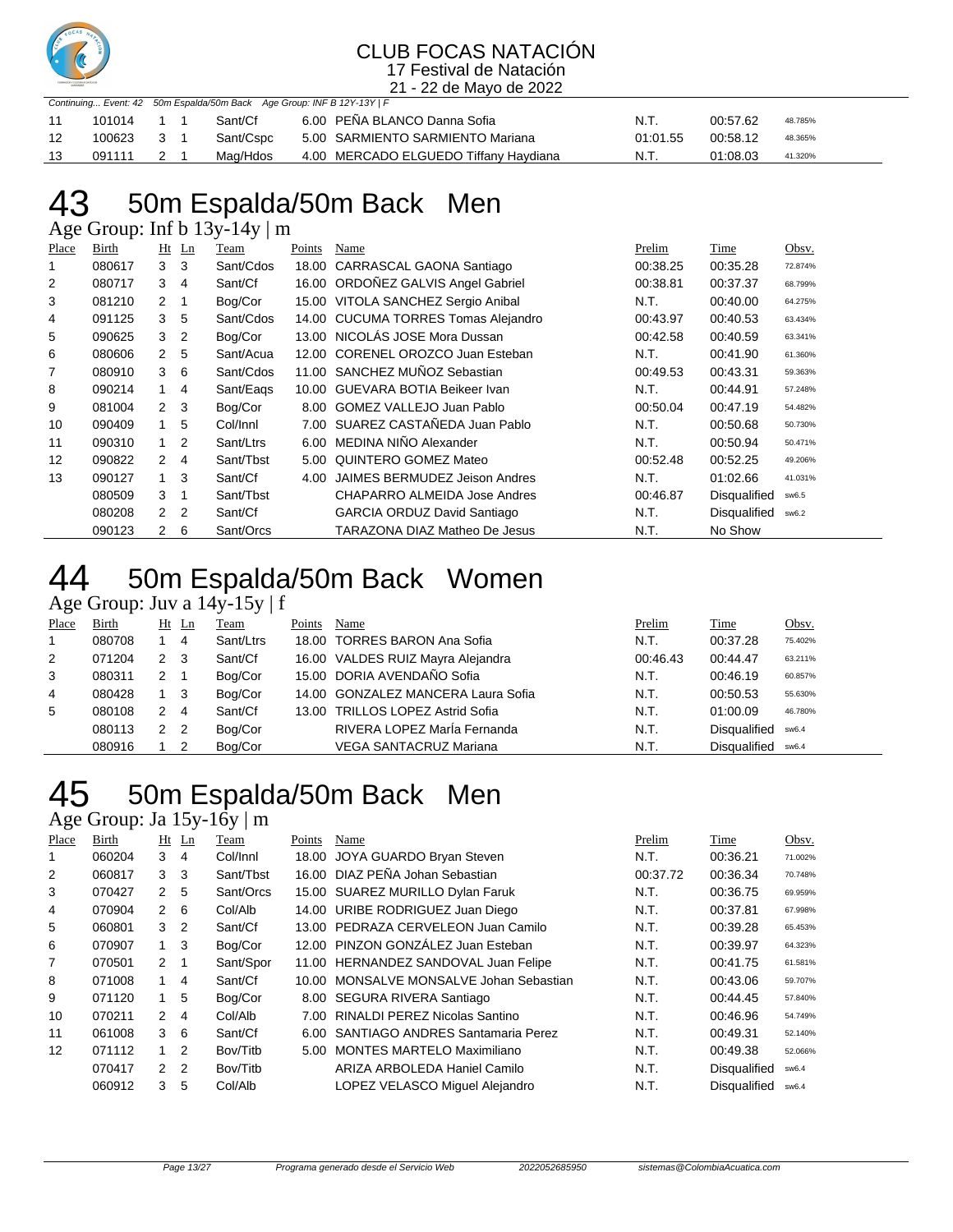

21 - 22 de Mayo de 2022

|     | Continuing Event: 42 50m Espalda/50m Back Age Group: INF B 12Y-13Y   F |     |  |           |                                       |          |          |         |  |  |  |  |
|-----|------------------------------------------------------------------------|-----|--|-----------|---------------------------------------|----------|----------|---------|--|--|--|--|
|     | 101014                                                                 |     |  | Sant/Cf   | 6.00 PENA BLANCO Danna Sofia          | N.T.     | 00:57.62 | 48.785% |  |  |  |  |
| -12 | 100623                                                                 | - 3 |  | Sant/Cspc | 5.00 SARMIENTO SARMIENTO Mariana      | 01:01.55 | 00:58.12 | 48.365% |  |  |  |  |
| 13  | 091111                                                                 |     |  | Mag/Hdos  | 4.00 MERCADO ELGUEDO Tiffany Haydiana | N.T.     | 01:08.03 | 41.320% |  |  |  |  |

## 50m Espalda/50m Back Men

Age Group: Inf b 13y-14y | m

| Place | Birth  | Ht            | $\mathbf{L}$ n | Team      | Points | Name                                | Prelim   | Time                | Obsv.   |
|-------|--------|---------------|----------------|-----------|--------|-------------------------------------|----------|---------------------|---------|
|       | 080617 | 3             | 3              | Sant/Cdos | 18.00  | CARRASCAL GAONA Santiago            | 00:38.25 | 00:35.28            | 72.874% |
| 2     | 080717 | 3             | 4              | Sant/Cf   | 16.00  | ORDOÑEZ GALVIS Angel Gabriel        | 00:38.81 | 00:37.37            | 68.799% |
| 3     | 081210 | $\mathcal{P}$ | 1              | Bog/Cor   |        | 15.00 VITOLA SANCHEZ Sergio Anibal  | N.T.     | 00:40.00            | 64.275% |
| 4     | 091125 | 3             | 5              | Sant/Cdos |        | 14.00 CUCUMA TORRES Tomas Alejandro | 00:43.97 | 00:40.53            | 63.434% |
| 5     | 090625 | 3             | 2              | Bog/Cor   |        | 13.00 NICOLÁS JOSE Mora Dussan      | 00:42.58 | 00:40.59            | 63.341% |
| 6     | 080606 | 2             | 5              | Sant/Acua |        | 12.00 CORENEL OROZCO Juan Esteban   | N.T.     | 00:41.90            | 61.360% |
| 7     | 080910 | 3             | 6              | Sant/Cdos | 11.00  | SANCHEZ MUÑOZ Sebastian             | 00:49.53 | 00:43.31            | 59.363% |
| 8     | 090214 | $\mathbf{1}$  | 4              | Sant/Eags | 10.00  | GUEVARA BOTIA Beikeer Ivan          | N.T.     | 00:44.91            | 57.248% |
| 9     | 081004 | $\mathcal{P}$ | 3              | Bog/Cor   | 8.00   | GOMEZ VALLEJO Juan Pablo            | 00:50.04 | 00:47.19            | 54.482% |
| 10    | 090409 | 1             | 5              | Col/Innl  |        | 7.00 SUAREZ CASTAÑEDA Juan Pablo    | N.T.     | 00:50.68            | 50.730% |
| 11    | 090310 | $\mathbf{1}$  | 2              | Sant/Ltrs | 6.00   | MEDINA NIÑO Alexander               | N.T.     | 00:50.94            | 50.471% |
| 12    | 090822 | 2             | 4              | Sant/Tbst | 5.00   | QUINTERO GOMEZ Mateo                | 00:52.48 | 00:52.25            | 49.206% |
| 13    | 090127 | 1             | 3              | Sant/Cf   | 4.00   | JAIMES BERMUDEZ Jeison Andres       | N.T.     | 01:02.66            | 41.031% |
|       | 080509 | 3             | 1              | Sant/Tbst |        | CHAPARRO ALMEIDA Jose Andres        | 00:46.87 | Disqualified        | sw6.5   |
|       | 080208 | $\mathcal{P}$ | 2              | Sant/Cf   |        | <b>GARCIA ORDUZ David Santiago</b>  | N.T.     | <b>Disqualified</b> | sw6.2   |
|       | 090123 | 2             | 6              | Sant/Orcs |        | TARAZONA DIAZ Matheo De Jesus       | N.T.     | No Show             |         |

### 44 50m Espalda/50m Back Women

Age Group: Juv a 14y-15y | f

| Place | Birth  | Ht | Ln  | Team      | Points | Name                               | Prelim   | Time                | Obsv.   |
|-------|--------|----|-----|-----------|--------|------------------------------------|----------|---------------------|---------|
|       | 080708 |    | 4   | Sant/Ltrs |        | 18.00 TORRES BARON Ana Sofia       | N.T.     | 00:37.28            | 75.402% |
| 2     | 071204 | 2  | -3  | Sant/Cf   |        | 16.00 VALDES RUIZ Mayra Alejandra  | 00:46.43 | 00:44.47            | 63.211% |
| 3     | 080311 | 2  |     | Bog/Cor   |        | 15.00 DORIA AVENDAÑO Sofia         | N.T.     | 00:46.19            | 60.857% |
| 4     | 080428 |    | - 3 | Bog/Cor   |        | 14.00 GONZALEZ MANCERA Laura Sofia | N.T.     | 00:50.53            | 55.630% |
| 5     | 080108 | 2  | 4   | Sant/Cf   |        | 13.00 TRILLOS LOPEZ Astrid Sofia   | N.T.     | 01:00.09            | 46.780% |
|       | 080113 | 2  | 2   | Boa/Cor   |        | RIVERA LOPEZ María Fernanda        | N.T.     | <b>Disqualified</b> | sw6.4   |
|       | 080916 |    |     | Boa/Cor   |        | <b>VEGA SANTACRUZ Mariana</b>      | N.T.     | Disqualified        | sw6.4   |

### 50m Espalda/50m Back Men

### Age Group: Ja 15y-16y | m

| Place | <b>Birth</b> |                | $Ht$ Ln        | Team      | Points | Name                                    | Prelim   | Time                | Obsv.   |
|-------|--------------|----------------|----------------|-----------|--------|-----------------------------------------|----------|---------------------|---------|
|       | 060204       | 3              | 4              | Col/Innl  | 18.00  | JOYA GUARDO Bryan Steven                | N.T.     | 00:36.21            | 71.002% |
| 2     | 060817       | 3              | 3              | Sant/Tbst |        | 16.00 DIAZ PEÑA Johan Sebastian         | 00:37.72 | 00:36.34            | 70.748% |
| 3     | 070427       | $\mathcal{P}$  | 5              | Sant/Orcs |        | 15.00 SUAREZ MURILLO Dylan Faruk        | N.T.     | 00:36.75            | 69.959% |
| 4     | 070904       | 2              | 6              | Col/Alb   |        | 14.00 URIBE RODRIGUEZ Juan Diego        | N.T.     | 00:37.81            | 67.998% |
| 5     | 060801       | 3              | 2              | Sant/Cf   |        | 13.00 PEDRAZA CERVELEON Juan Camilo     | N.T.     | 00:39.28            | 65.453% |
| 6     | 070907       | 1.             | 3              | Bog/Cor   |        | 12.00 PINZON GONZÁLEZ Juan Esteban      | N.T.     | 00:39.97            | 64.323% |
| 7     | 070501       | 2              |                | Sant/Spor |        | 11.00 HERNANDEZ SANDOVAL Juan Felipe    | N.T.     | 00:41.75            | 61.581% |
| 8     | 071008       |                | 4              | Sant/Cf   |        | 10.00 MONSALVE MONSALVE Johan Sebastian | N.T.     | 00:43.06            | 59.707% |
| 9     | 071120       | 1.             | 5              | Bog/Cor   |        | 8.00 SEGURA RIVERA Santiago             | N.T.     | 00:44.45            | 57.840% |
| 10    | 070211       | $\mathcal{P}$  | 4              | Col/Alb   | 7.00   | <b>RINALDI PEREZ Nicolas Santino</b>    | N.T.     | 00:46.96            | 54.749% |
| 11    | 061008       | 3              | -6             | Sant/Cf   | 6.00   | SANTIAGO ANDRES Santamaria Perez        | N.T.     | 00:49.31            | 52.140% |
| 12    | 071112       | $\overline{1}$ | $\mathcal{P}$  | Bov/Titb  | 5.00   | <b>MONTES MARTELO Maximiliano</b>       | N.T.     | 00:49.38            | 52.066% |
|       | 070417       | $\mathcal{P}$  | $\overline{2}$ | Bov/Titb  |        | ARIZA ARBOLEDA Haniel Camilo            | N.T.     | Disqualified        | sw6.4   |
|       | 060912       | 3              | 5              | Col/Alb   |        | LOPEZ VELASCO Miguel Alejandro          | N.T.     | <b>Disqualified</b> | sw6.4   |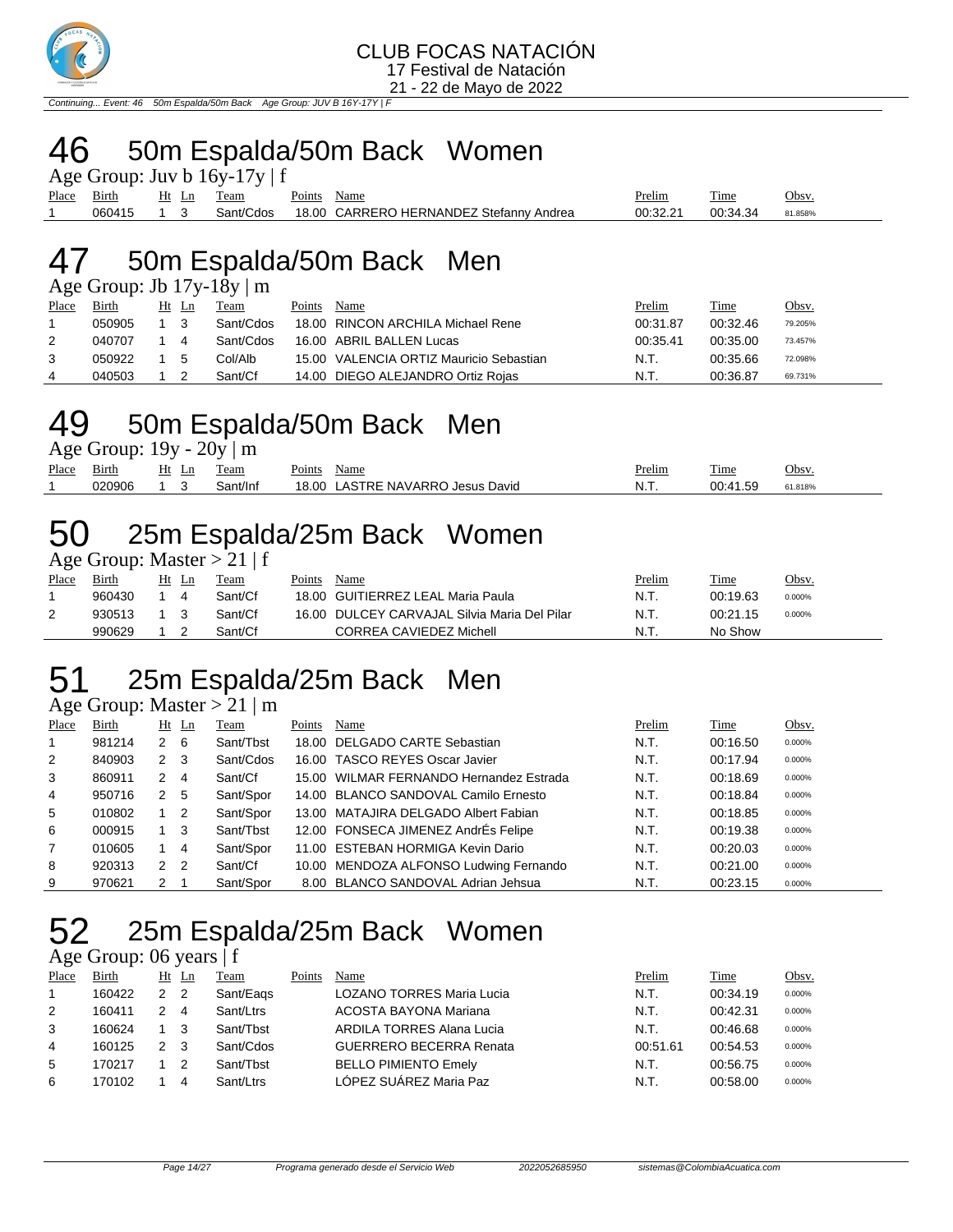

Continuing... Event: 46 50m Espalda/50m Back

### 50m Espalda/50m Back Women

|             | Age Group: Juv b $16y-17y \mid f$ |  |  |            |             |                                         |               |          |         |  |  |  |  |
|-------------|-----------------------------------|--|--|------------|-------------|-----------------------------------------|---------------|----------|---------|--|--|--|--|
| Place Birth |                                   |  |  | Ht Ln Team | Points Name |                                         | <b>Prelim</b> | Time     | Obsv.   |  |  |  |  |
|             | 060415 1 3                        |  |  | Sant/Cdos  |             | 18.00 CARRERO HERNANDEZ Stefanny Andrea | 00:32.21      | 00:34.34 | 81.858% |  |  |  |  |

### 50m Espalda/50m Back Men

| Age Group: Jb $17y-18y \mid m$ |  |  |  |  |  |
|--------------------------------|--|--|--|--|--|
|--------------------------------|--|--|--|--|--|

| Place | Birth  | Ht Ln | Team      | Points | Name                                    | Prelim   | Time     | Obsv.   |
|-------|--------|-------|-----------|--------|-----------------------------------------|----------|----------|---------|
|       | 050905 |       | Sant/Cdos |        | 18.00 RINCON ARCHILA Michael Rene       | 00:31.87 | 00:32.46 | 79.205% |
|       | 040707 | 4     | Sant/Cdos |        | 16.00 ABRIL BALLEN Lucas                | 00:35.41 | 00:35.00 | 73.457% |
|       | 050922 | 5     | Col/Alb   |        | 15.00 VALENCIA ORTIZ Mauricio Sebastian | N.T.     | 00:35.66 | 72.098% |
| 4     | 040503 |       | Sant/Cf   |        | 14.00 DIEGO ALEJANDRO Ortiz Rojas       | N.T.     | 00:36.87 | 69.731% |

### 50m Espalda/50m Back Men

Age Group:  $19y - 20y \mid m$ 

| Place | $\sim$<br>Birth | ы<br>ப | eam     | $\mathbf{r}$<br>Name<br>-oints         | <sup>D</sup> relim | $\overline{\phantom{a}}$<br>1 ime | Obsy    |
|-------|-----------------|--------|---------|----------------------------------------|--------------------|-----------------------------------|---------|
|       |                 |        | וֹnt/In | VARRC<br>_∩∩י<br>David<br>QCDIC<br>ND. | M<br>. .           | ົດດ<br>۰ ت                        | 61.818% |

## 25m Espalda/25m Back Women

Age Group: Master  $> 21 \mid f$ 

| Place | Birth  | Ht Ln | Team    | Points | Name                                         | Prelim | Time     | Obsv.  |
|-------|--------|-------|---------|--------|----------------------------------------------|--------|----------|--------|
|       | 960430 |       | Sant/Cf |        | 18.00 GUITIERREZ LEAL Maria Paula            | N.T.   | 00:19.63 | 0.000% |
|       | 930513 |       | Sant/Cf |        | 16.00 DULCEY CARVAJAL Silvia Maria Del Pilar | N.T.   | 00:21.15 | 0.000% |
|       | 990629 |       | Sant/Cf |        | CORREA CAVIEDEZ Michell                      | N.T    | No Show  |        |

### 25m Espalda/25m Back Men

Age Group: Master  $> 21 \mid m$ 

| Place          | Birth  |                | $Ht$ Ln        | Team      | Points | Name                                    | Prelim | Time     | Obsv.  |
|----------------|--------|----------------|----------------|-----------|--------|-----------------------------------------|--------|----------|--------|
|                | 981214 | $2\quad 6$     |                | Sant/Tbst |        | 18.00 DELGADO CARTE Sebastian           | N.T.   | 00:16.50 | 0.000% |
| 2              | 840903 | 2              | - 3            | Sant/Cdos |        | 16.00 TASCO REYES Oscar Javier          | N.T.   | 00:17.94 | 0.000% |
| 3              | 860911 | 2              | -4             | Sant/Cf   |        | 15.00 WILMAR FERNANDO Hernandez Estrada | N.T.   | 00:18.69 | 0.000% |
| $\overline{4}$ | 950716 | 2              | - 5            | Sant/Spor |        | 14.00 BLANCO SANDOVAL Camilo Ernesto    | N.T.   | 00:18.84 | 0.000% |
| 5              | 010802 |                | -2             | Sant/Spor |        | 13.00 MATAJIRA DELGADO Albert Fabian    | N.T.   | 00:18.85 | 0.000% |
| 6              | 000915 |                | - 3            | Sant/Tbst |        | 12.00 FONSECA JIMENEZ AndrÉs Felipe     | N.T.   | 00:19.38 | 0.000% |
| 7              | 010605 |                | 4              | Sant/Spor |        | 11.00 ESTEBAN HORMIGA Kevin Dario       | N.T.   | 00:20.03 | 0.000% |
| 8              | 920313 | $\overline{2}$ | $\overline{2}$ | Sant/Cf   |        | 10.00 MENDOZA ALFONSO Ludwing Fernando  | N.T.   | 00:21.00 | 0.000% |
| 9              | 970621 | 2              |                | Sant/Spor |        | 8.00 BLANCO SANDOVAL Adrian Jehsua      | N.T.   | 00:23.15 | 0.000% |

## 52 25m Espalda/25m Back Women

Age Group: 06 years | f

| Place | Birth  |               | Ht Ln | Team      | Points | Name                           | Prelim   | Time     | Obsv.  |
|-------|--------|---------------|-------|-----------|--------|--------------------------------|----------|----------|--------|
|       | 160422 | 2 2           |       | Sant/Eags |        | LOZANO TORRES Maria Lucia      | N.T.     | 00:34.19 | 0.000% |
| 2     | 160411 | $\mathcal{P}$ | 4     | Sant/Ltrs |        | ACOSTA BAYONA Mariana          | N.T.     | 00:42.31 | 0.000% |
| 3     | 160624 |               |       | Sant/Thst |        | ARDILA TORRES Alana Lucia      | N.T.     | 00:46.68 | 0.000% |
| 4     | 160125 | $\mathcal{P}$ | -3    | Sant/Cdos |        | <b>GUERRERO BECERRA Renata</b> | 00:51.61 | 00:54.53 | 0.000% |
| 5     | 170217 |               |       | Sant/Thst |        | <b>BELLO PIMIENTO Emely</b>    | N.T.     | 00:56.75 | 0.000% |
| 6     | 170102 |               |       | Sant/Ltrs |        | LÓPEZ SUÁREZ Maria Paz         | N.T.     | 00:58.00 | 0.000% |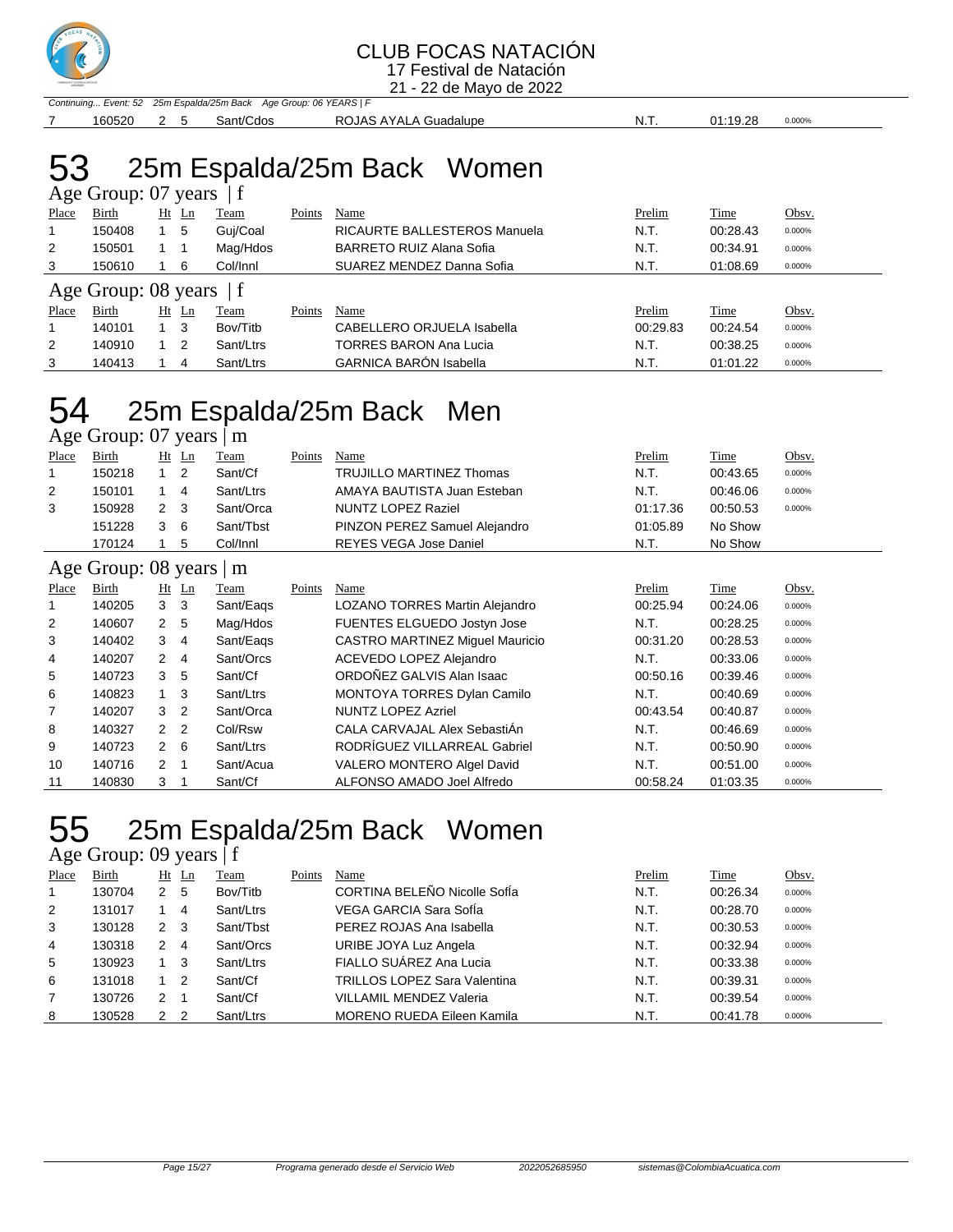

21 - 22 de Mayo de 2022

Continuing... Event: 52 25m Espalda/25m Back Age Group: 06 YEARS | F 160520 2 5 Sant/Cdos ROJAS AYALA Guadalupe N.T. 01:19.28 0.000%

## 53 25m Espalda/25m Back Women

|                           | Age Group: 07 years |    |                |           |        |                               |          |          |        |  |  |
|---------------------------|---------------------|----|----------------|-----------|--------|-------------------------------|----------|----------|--------|--|--|
| Place                     | Birth               | Ht | $\mathbf{L}$ n | Team      | Points | Name                          | Prelim   | Time     | Obsv.  |  |  |
|                           | 150408              |    | 5              | Guj/Coal  |        | RICAURTE BALLESTEROS Manuela  | N.T.     | 00:28.43 | 0.000% |  |  |
| 2                         | 150501              |    |                | Mag/Hdos  |        | BARRETO RUIZ Alana Sofia      | N.T.     | 00:34.91 | 0.000% |  |  |
| 3                         | 150610              |    | 6              | Col/Innl  |        | SUAREZ MENDEZ Danna Sofia     | N.T.     | 01:08.69 | 0.000% |  |  |
| Age Group: 08 years $ f $ |                     |    |                |           |        |                               |          |          |        |  |  |
| Place                     | Birth               | Ht | Ln             | Team      | Points | Name                          | Prelim   | Time     | Obsv.  |  |  |
|                           | 140101              |    | 3              | Bov/Titb  |        | CABELLERO ORJUELA Isabella    | 00:29.83 | 00:24.54 | 0.000% |  |  |
| $\overline{2}$            | 140910              |    | 2              | Sant/Ltrs |        | TORRES BARON Ana Lucia        | N.T.     | 00:38.25 | 0.000% |  |  |
| 3                         | 140413              |    | 4              | Sant/Ltrs |        | <b>GARNICA BARÓN Isabella</b> | N.T.     | 01:01.22 | 0.000% |  |  |

### 25m Espalda/25m Back Men Age Group: 07 years | m

| Place          | Birth                           |                | $Ht$ Ln        | Team      | Points | <b>Name</b>                            | Prelim   | <b>Time</b> | Obsv.  |
|----------------|---------------------------------|----------------|----------------|-----------|--------|----------------------------------------|----------|-------------|--------|
|                | 150218                          |                | $\overline{2}$ | Sant/Cf   |        | TRUJILLO MARTINEZ Thomas               | N.T.     | 00:43.65    | 0.000% |
| $\overline{2}$ | 150101                          |                | 4              | Sant/Ltrs |        | AMAYA BAUTISTA Juan Esteban            | N.T.     | 00:46.06    | 0.000% |
| 3              | 150928                          | $\mathbf{2}$   | -3             | Sant/Orca |        | <b>NUNTZ LOPEZ Raziel</b>              | 01:17.36 | 00:50.53    | 0.000% |
|                | 151228                          | 3              | -6             | Sant/Tbst |        | PINZON PEREZ Samuel Alejandro          | 01:05.89 | No Show     |        |
|                | 170124                          |                | 5              | Col/Innl  |        | <b>REYES VEGA Jose Daniel</b>          | N.T.     | No Show     |        |
|                | Age Group: $08$ years $\vert$ m |                |                |           |        |                                        |          |             |        |
| Place          | Birth                           |                | $Ht$ Ln        | Team      | Points | Name                                   | Prelim   | <b>Time</b> | Obsv.  |
|                | 140205                          | 3 <sub>3</sub> |                | Sant/Eags |        | LOZANO TORRES Martin Alejandro         | 00:25.94 | 00:24.06    | 0.000% |
| 2              | 140607                          | 2 5            |                | Mag/Hdos  |        | FUENTES ELGUEDO Jostyn Jose            | N.T.     | 00:28.25    | 0.000% |
| 3              | 140402                          | 3              | $\overline{4}$ | Sant/Eags |        | <b>CASTRO MARTINEZ Miquel Mauricio</b> | 00:31.20 | 00:28.53    | 0.000% |
| 4              | 140207                          | 2              | 4              | Sant/Orcs |        | ACEVEDO LOPEZ Alejandro                | N.T.     | 00:33.06    | 0.000% |
| 5              | 140723                          | 3              | 5              | Sant/Cf   |        | ORDOÑEZ GALVIS Alan Isaac              | 00:50.16 | 00:39.46    | 0.000% |
| 6              | 140823                          | 1              | -3             | Sant/Ltrs |        | MONTOYA TORRES Dylan Camilo            | N.T.     | 00:40.69    | 0.000% |
| 7              | 140207                          | 3              | $\overline{2}$ | Sant/Orca |        | <b>NUNTZ LOPEZ Azriel</b>              | 00:43.54 | 00:40.87    | 0.000% |
| 8              |                                 |                |                |           |        | CALA CARVAJAL Alex SebastiÁn           |          |             |        |

 140723 2 6 Sant/Ltrs RODRÍGUEZ VILLARREAL Gabriel N.T. 00:50.90 0.000% 140716 2 1 Sant/Acua VALERO MONTERO Algel David N.T. 00:51.00 0.000% 140830 3 1 Sant/Cf ALFONSO AMADO Joel Alfredo 00:58.24 01:03.35 0.000%

### 25m Espalda/25m Back Women

### Age Group: 09 years | f

| Place | Birth  |             | $Ht$ Ln | Team      | Points | Name                                | Prelim | Time     | Obsv.  |
|-------|--------|-------------|---------|-----------|--------|-------------------------------------|--------|----------|--------|
|       | 130704 | 2           | - 5     | Bov/Titb  |        | CORTINA BELEÑO Nicolle SofÍa        | N.T.   | 00:26.34 | 0.000% |
| 2     | 131017 |             | 4       | Sant/Ltrs |        | VEGA GARCIA Sara SofÍa              | N.T.   | 00:28.70 | 0.000% |
| 3     | 130128 | $2 \quad 3$ |         | Sant/Tbst |        | PEREZ ROJAS Ana Isabella            | N.T.   | 00:30.53 | 0.000% |
| 4     | 130318 | 2           | 4       | Sant/Orcs |        | URIBE JOYA Luz Angela               | N.T.   | 00:32.94 | 0.000% |
| 5     | 130923 |             | - 3     | Sant/Ltrs |        | FIALLO SUÁREZ Ana Lucia             | N.T.   | 00:33.38 | 0.000% |
| 6     | 131018 |             | 2       | Sant/Cf   |        | <b>TRILLOS LOPEZ Sara Valentina</b> | N.T.   | 00:39.31 | 0.000% |
|       | 130726 | 2           |         | Sant/Cf   |        | <b>VILLAMIL MENDEZ Valeria</b>      | N.T.   | 00:39.54 | 0.000% |
| 8     | 130528 | 2           | - 2     | Sant/Ltrs |        | <b>MORENO RUEDA Eileen Kamila</b>   | N.T.   | 00:41.78 | 0.000% |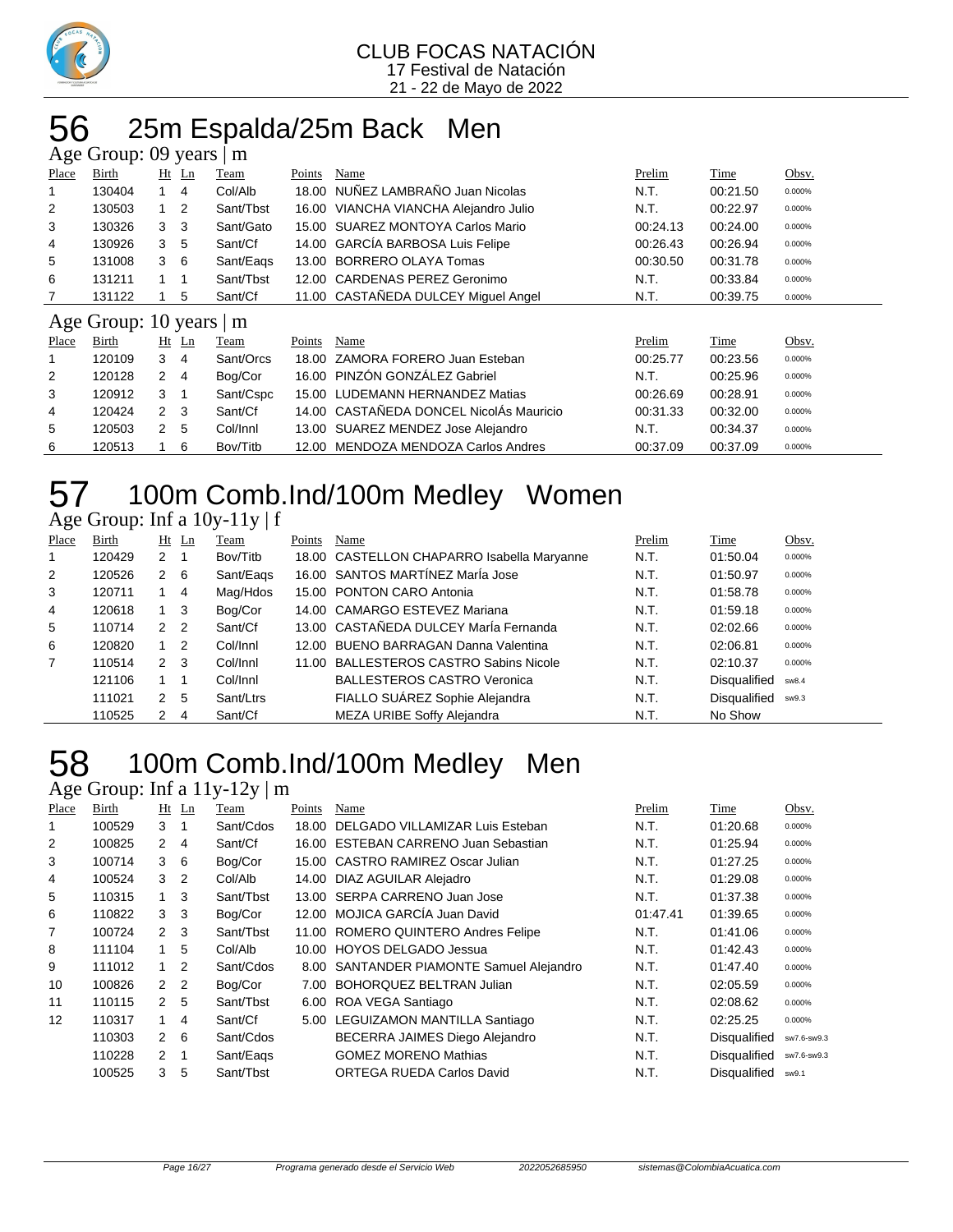

### 56 25m Espalda/25m Back Men

|       | Age Group: 09 years  <br>m |             |                |              |        |                                         |          |          |        |  |  |  |
|-------|----------------------------|-------------|----------------|--------------|--------|-----------------------------------------|----------|----------|--------|--|--|--|
| Place | Birth                      |             | $Ht$ Ln        | Team         | Points | Name                                    | Prelim   | Time     | Obsv.  |  |  |  |
|       | 130404                     |             | 4              | Col/Alb      | 18.00  | NUÑEZ LAMBRAÑO Juan Nicolas             | N.T.     | 00:21.50 | 0.000% |  |  |  |
| 2     | 130503                     | $1\quad 2$  |                | Sant/Tbst    |        | 16.00 VIANCHA VIANCHA Alejandro Julio   | N.T.     | 00:22.97 | 0.000% |  |  |  |
| 3     | 130326                     | 3           | -3             | Sant/Gato    |        | 15.00 SUAREZ MONTOYA Carlos Mario       | 00:24.13 | 00:24.00 | 0.000% |  |  |  |
| 4     | 130926                     | 3           | 5              | Sant/Cf      |        | 14.00 GARCÍA BARBOSA Luis Felipe        | 00:26.43 | 00:26.94 | 0.000% |  |  |  |
| 5     | 131008                     | 3           | - 6            | Sant/Eags    |        | 13.00 BORRERO OLAYA Tomas               | 00:30.50 | 00:31.78 | 0.000% |  |  |  |
| 6     | 131211                     | $1 \quad 1$ |                | Sant/Tbst    |        | 12.00 CARDENAS PEREZ Geronimo           | N.T.     | 00:33.84 | 0.000% |  |  |  |
| 7     | 131122                     |             | 5              | Sant/Cf      |        | 11.00 CASTAÑEDA DULCEY Miquel Angel     | N.T.     | 00:39.75 | 0.000% |  |  |  |
|       | Age Group: 10 years        |             |                | $\mathsf{m}$ |        |                                         |          |          |        |  |  |  |
| Place | Birth                      |             | $Ht$ Ln        | Team         | Points | Name                                    | Prelim   | Time     | Obsv.  |  |  |  |
|       | 120109                     | 3           | 4              | Sant/Orcs    | 18.00  | ZAMORA FORERO Juan Esteban              | 00:25.77 | 00:23.56 | 0.000% |  |  |  |
| 2     | 120128                     | 2           | $\overline{4}$ | Bog/Cor      | 16.00  | PINZÓN GONZÁLEZ Gabriel                 | N.T.     | 00:25.96 | 0.000% |  |  |  |
| 3     | 120912                     | 3           | -1             | Sant/Cspc    | 15.00  | LUDEMANN HERNANDEZ Matias               | 00:26.69 | 00:28.91 | 0.000% |  |  |  |
| 4     | 120424                     | 2           | 3              | Sant/Cf      |        | 14.00 CASTAÑEDA DONCEL NicolÁs Mauricio | 00:31.33 | 00:32.00 | 0.000% |  |  |  |

 120503 2 5 Col/Innl 13.00 SUAREZ MENDEZ Jose Alejandro N.T. 00:34.37 0.000% 120513 1 6 Bov/Titb 12.00 MENDOZA MENDOZA Carlos Andres 00:37.09 00:37.09 0.000%

## 100m Comb.Ind/100m Medley Women

Age Group: Inf a 10y-11y | f

| Place          | Birth  |                | $Ht$ Ln | Team      | Points | Name                                       | Prelim | Time                | Obsv.  |
|----------------|--------|----------------|---------|-----------|--------|--------------------------------------------|--------|---------------------|--------|
|                | 120429 | $2 \quad 1$    |         | Bov/Titb  |        | 18.00 CASTELLON CHAPARRO Isabella Maryanne | N.T.   | 01:50.04            | 0.000% |
| 2              | 120526 | $2 \quad 6$    |         | Sant/Eags |        | 16.00 SANTOS MARTÍNEZ MarÍa Jose           | N.T.   | 01:50.97            | 0.000% |
| 3              | 120711 |                | 4       | Mag/Hdos  |        | 15.00 PONTON CARO Antonia                  | N.T.   | 01:58.78            | 0.000% |
| 4              | 120618 | 1 3            |         | Bog/Cor   |        | 14.00 CAMARGO ESTEVEZ Mariana              | N.T.   | 01:59.18            | 0.000% |
| 5              | 110714 | 2 <sub>2</sub> |         | Sant/Cf   |        | 13.00 CASTAÑEDA DULCEY MarÍa Fernanda      | N.T.   | 02:02.66            | 0.000% |
| 6              | 120820 | $1\quad 2$     |         | Col/Innl  |        | 12.00 BUENO BARRAGAN Danna Valentina       | N.T.   | 02:06.81            | 0.000% |
| $\overline{7}$ | 110514 | 2 <sub>3</sub> |         | Col/Innl  |        | 11.00 BALLESTEROS CASTRO Sabins Nicole     | N.T.   | 02:10.37            | 0.000% |
|                | 121106 | 1 1            |         | Col/Innl  |        | <b>BALLESTEROS CASTRO Veronica</b>         | N.T.   | Disqualified        | sw8.4  |
|                | 111021 | $\overline{2}$ | -5      | Sant/Ltrs |        | FIALLO SUÁREZ Sophie Alejandra             | N.T.   | <b>Disqualified</b> | sw9.3  |
|                | 110525 | 2              | 4       | Sant/Cf   |        | MEZA URIBE Soffy Alejandra                 | N.T.   | No Show             |        |

### 100m Comb.Ind/100m Medley Men

Age Group: Inf a 11y-12y | m

| Place | Birth  | Ht            | $\mathbf{L}$ n | Team      | Points | Name                                     | Prelim   | Time         | Obsv.       |
|-------|--------|---------------|----------------|-----------|--------|------------------------------------------|----------|--------------|-------------|
|       | 100529 | 3             | 1              | Sant/Cdos | 18.00  | DELGADO VILLAMIZAR Luis Esteban          | N.T.     | 01:20.68     | 0.000%      |
| 2     | 100825 | $\mathcal{P}$ | 4              | Sant/Cf   |        | 16.00 ESTEBAN CARRENO Juan Sebastian     | N.T.     | 01:25.94     | 0.000%      |
| 3     | 100714 | 3             | 6              | Bog/Cor   |        | 15.00 CASTRO RAMIREZ Oscar Julian        | N.T.     | 01:27.25     | 0.000%      |
| 4     | 100524 | 3             | 2              | Col/Alb   |        | 14.00 DIAZ AGUILAR Alejadro              | N.T.     | 01:29.08     | 0.000%      |
| 5     | 110315 | $\mathbf{1}$  | 3              | Sant/Tbst |        | 13.00 SERPA CARRENO Juan Jose            | N.T.     | 01:37.38     | 0.000%      |
| 6     | 110822 | 3             | 3              | Bog/Cor   |        | 12.00 MOJICA GARCÍA Juan David           | 01:47.41 | 01:39.65     | 0.000%      |
| 7     | 100724 | $\mathcal{P}$ | 3              | Sant/Tbst |        | 11.00 ROMERO QUINTERO Andres Felipe      | N.T.     | 01:41.06     | 0.000%      |
| 8     | 111104 | $\mathbf{1}$  | 5              | Col/Alb   |        | 10.00 HOYOS DELGADO Jessua               | N.T.     | 01:42.43     | 0.000%      |
| 9     | 111012 | $\mathbf 1$   | 2              | Sant/Cdos |        | 8.00 SANTANDER PIAMONTE Samuel Alejandro | N.T.     | 01:47.40     | 0.000%      |
| 10    | 100826 | $\mathcal{P}$ | 2              | Bog/Cor   | 7.00   | BOHORQUEZ BELTRAN Julian                 | N.T.     | 02:05.59     | 0.000%      |
| 11    | 110115 | $\mathcal{P}$ | 5              | Sant/Tbst | 6.00   | ROA VEGA Santiago                        | N.T.     | 02:08.62     | 0.000%      |
| 12    | 110317 | $\mathbf 1$   | 4              | Sant/Cf   |        | 5.00 LEGUIZAMON MANTILLA Santiago        | N.T.     | 02:25.25     | 0.000%      |
|       | 110303 | $\mathcal{P}$ | 6              | Sant/Cdos |        | BECERRA JAIMES Diego Alejandro           | N.T.     | Disqualified | sw7.6-sw9.3 |
|       | 110228 | $\mathcal{P}$ | 1              | Sant/Eags |        | <b>GOMEZ MORENO Mathias</b>              | N.T.     | Disqualified | sw7.6-sw9.3 |
|       | 100525 | 3             | 5              | Sant/Tbst |        | <b>ORTEGA RUEDA Carlos David</b>         | N.T.     | Disqualified | sw9.1       |
|       |        |               |                |           |        |                                          |          |              |             |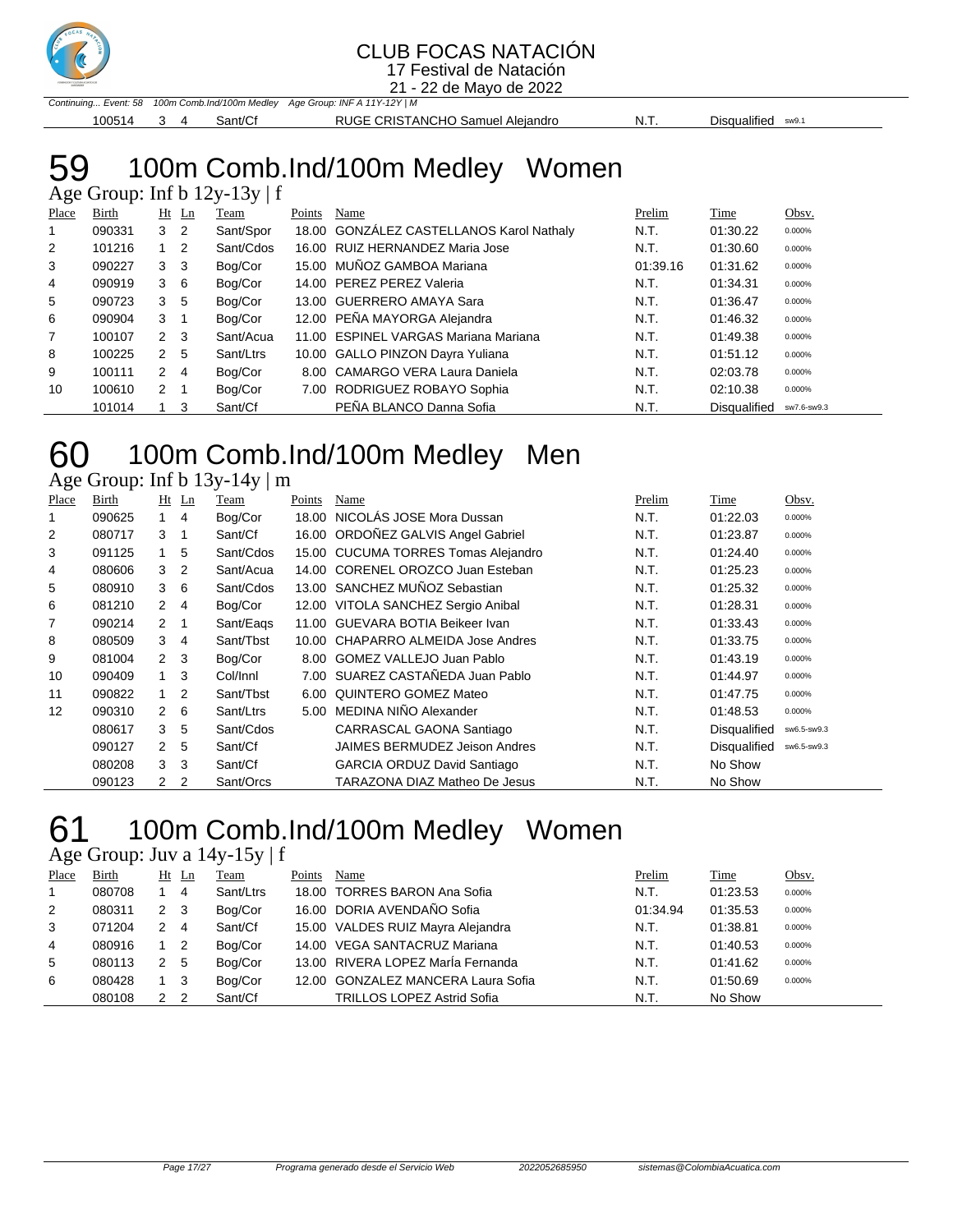

### CLUB FOCAS NATACIÓN

17 Festival de Natación 21 - 22 de Mayo de 2022

Continuing... Event: 58 100m Comb.Ind/100m Medley Age Group: INF A 11Y-12Y | M 100514 3 4 Sant/Cf RUGE CRISTANCHO Samuel Alejandro N.T. Disqualified sw9.1

## 100m Comb.Ind/100m Medley Women

|                |              |                |                | Age Group: Inf b $12y-13y \mid f$ |        |                                          |          |                     |             |
|----------------|--------------|----------------|----------------|-----------------------------------|--------|------------------------------------------|----------|---------------------|-------------|
| Place          | <b>Birth</b> |                | $Ht$ Ln        | Team                              | Points | Name                                     | Prelim   | Time                | Obsv.       |
| $\mathbf{1}$   | 090331       | 3 <sub>2</sub> |                | Sant/Spor                         |        | 18.00 GONZÁLEZ CASTELLANOS Karol Nathaly | N.T.     | 01:30.22            | 0.000%      |
| $\overline{2}$ | 101216       | $1 \quad$      | $\overline{2}$ | Sant/Cdos                         |        | 16.00 RUIZ HERNANDEZ Maria Jose          | N.T.     | 01:30.60            | 0.000%      |
| 3              | 090227       | 3 <sub>3</sub> |                | Bog/Cor                           |        | 15.00 MUÑOZ GAMBOA Mariana               | 01:39.16 | 01:31.62            | 0.000%      |
| 4              | 090919       | $3\quad 6$     |                | Bog/Cor                           |        | 14.00 PEREZ PEREZ Valeria                | N.T.     | 01:34.31            | 0.000%      |
| 5              | 090723       | 3              | -5             | Bog/Cor                           |        | 13.00 GUERRERO AMAYA Sara                | N.T.     | 01:36.47            | 0.000%      |
| 6              | 090904       | $3 \quad 1$    |                | Bog/Cor                           |        | 12.00 PEÑA MAYORGA Alejandra             | N.T.     | 01:46.32            | 0.000%      |
| $\overline{7}$ | 100107       | $2 \quad 3$    |                | Sant/Acua                         |        | 11.00 ESPINEL VARGAS Mariana Mariana     | N.T.     | 01:49.38            | 0.000%      |
| 8              | 100225       | 2              | -5             | Sant/Ltrs                         |        | 10.00 GALLO PINZON Dayra Yuliana         | N.T.     | 01:51.12            | 0.000%      |
| 9              | 100111       | $\mathbf{2}$   | 4              | Bog/Cor                           |        | 8.00 CAMARGO VERA Laura Daniela          | N.T.     | 02:03.78            | 0.000%      |
| 10             | 100610       | $\mathbf{2}$   |                | Bog/Cor                           |        | 7.00 RODRIGUEZ ROBAYO Sophia             | N.T.     | 02:10.38            | 0.000%      |
|                | 101014       |                | 3              | Sant/Cf                           |        | PEÑA BLANCO Danna Sofia                  | N.T.     | <b>Disqualified</b> | sw7.6-sw9.3 |

### 100m Comb.Ind/100m Medley Men

Age Group: Inf b  $13y-14y \mid m$ 

| Place          | Birth  |                | $Ht$ Ln        | Team      | Points | Name                                 | Prelim | Time                | Obsv.       |
|----------------|--------|----------------|----------------|-----------|--------|--------------------------------------|--------|---------------------|-------------|
|                | 090625 | $\mathbf{1}$   | 4              | Bog/Cor   | 18.00  | NICOLAS JOSE Mora Dussan             | N.T.   | 01:22.03            | 0.000%      |
| $\overline{2}$ | 080717 | 3              | -1             | Sant/Cf   |        | 16.00 ORDOÑEZ GALVIS Angel Gabriel   | N.T.   | 01:23.87            | 0.000%      |
| 3              | 091125 | 1.             | 5              | Sant/Cdos |        | 15.00 CUCUMA TORRES Tomas Alejandro  | N.T.   | 01:24.40            | 0.000%      |
| 4              | 080606 | 3              | $\overline{2}$ | Sant/Acua |        | 14.00 CORENEL OROZCO Juan Esteban    | N.T.   | 01:25.23            | 0.000%      |
| 5              | 080910 | 3              | 6              | Sant/Cdos |        | 13.00 SANCHEZ MUÑOZ Sebastian        | N.T.   | 01:25.32            | 0.000%      |
| 6              | 081210 | $\overline{2}$ | 4              | Bog/Cor   |        | 12.00 VITOLA SANCHEZ Sergio Anibal   | N.T.   | 01:28.31            | 0.000%      |
| 7              | 090214 | 2              | -1             | Sant/Eags |        | 11.00 GUEVARA BOTIA Beikeer Ivan     | N.T.   | 01:33.43            | 0.000%      |
| 8              | 080509 | 3              | 4              | Sant/Tbst |        | 10.00 CHAPARRO ALMEIDA Jose Andres   | N.T.   | 01:33.75            | 0.000%      |
| 9              | 081004 | 2 <sub>3</sub> |                | Bog/Cor   |        | 8.00 GOMEZ VALLEJO Juan Pablo        | N.T.   | 01:43.19            | 0.000%      |
| 10             | 090409 | 1              | 3              | Col/Innl  |        | 7.00 SUAREZ CASTAÑEDA Juan Pablo     | N.T.   | 01:44.97            | 0.000%      |
| 11             | 090822 | $\mathbf{1}$   | 2              | Sant/Tbst | 6.00   | QUINTERO GOMEZ Mateo                 | N.T.   | 01:47.75            | 0.000%      |
| 12             | 090310 | $\overline{2}$ | 6              | Sant/Ltrs |        | 5.00 MEDINA NIÑO Alexander           | N.T.   | 01:48.53            | 0.000%      |
|                | 080617 | 3              | 5              | Sant/Cdos |        | CARRASCAL GAONA Santiago             | N.T.   | Disqualified        | sw6.5-sw9.3 |
|                | 090127 | $\mathbf{2}$   | 5              | Sant/Cf   |        | <b>JAIMES BERMUDEZ Jeison Andres</b> | N.T.   | <b>Disqualified</b> | sw6.5-sw9.3 |
|                | 080208 | 3              | 3              | Sant/Cf   |        | <b>GARCIA ORDUZ David Santiago</b>   | N.T.   | No Show             |             |
|                | 090123 | 2              | 2              | Sant/Orcs |        | TARAZONA DIAZ Matheo De Jesus        | N.T.   | No Show             |             |

### 100m Comb.Ind/100m Medley Women

Age Group: Juv a 14y-15y | f

| Place          | Birth  |     | $Ht$ Ln | Team      | Points | Name                               | Prelim   | Time     | Obsv.  |
|----------------|--------|-----|---------|-----------|--------|------------------------------------|----------|----------|--------|
|                | 080708 |     | 4       | Sant/Ltrs |        | 18.00 TORRES BARON Ana Sofia       | N.T.     | 01:23.53 | 0.000% |
| 2              | 080311 | 2 3 |         | Bog/Cor   |        | 16.00 DORIA AVENDAÑO Sofia         | 01:34.94 | 01:35.53 | 0.000% |
| 3              | 071204 | 2   | - 4     | Sant/Cf   |        | 15.00 VALDES RUIZ Mayra Alejandra  | N.T.     | 01:38.81 | 0.000% |
| $\overline{4}$ | 080916 |     | - 2     | Bog/Cor   |        | 14.00 VEGA SANTACRUZ Mariana       | N.T.     | 01:40.53 | 0.000% |
| 5              | 080113 | 2   | - 5     | Bog/Cor   |        | 13.00 RIVERA LOPEZ MarÍa Fernanda  | N.T.     | 01:41.62 | 0.000% |
| 6              | 080428 |     | - 3     | Bog/Cor   |        | 12.00 GONZALEZ MANCERA Laura Sofia | N.T.     | 01:50.69 | 0.000% |
|                | 080108 | 2   | - 2     | Sant/Cf   |        | <b>TRILLOS LOPEZ Astrid Sofia</b>  | N.T.     | No Show  |        |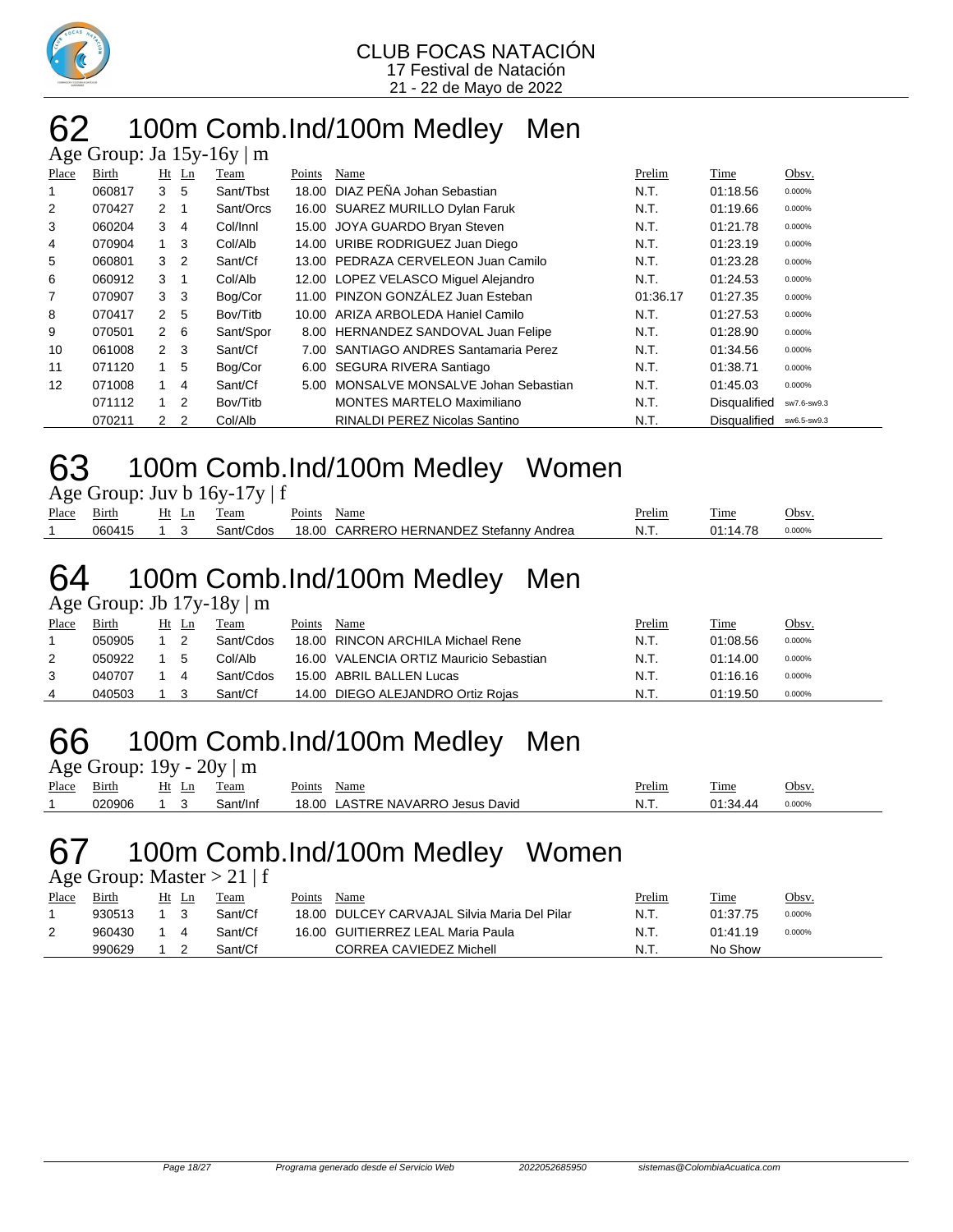

### 100m Comb.Ind/100m Medley Men  $\overline{A}$ ge Group: Ia 15y-16y | m

|                | $1250$ Oroup. ou $127$ |                |                | $\sim$ $\sim$ $\prime$<br>$\overline{ }$ |        |                                       |          |                     |             |
|----------------|------------------------|----------------|----------------|------------------------------------------|--------|---------------------------------------|----------|---------------------|-------------|
| Place          | Birth                  |                | $Ht$ Ln        | Team                                     | Points | Name                                  | Prelim   | Time                | Obsv.       |
|                | 060817                 | 3              | -5             | Sant/Tbst                                |        | 18.00 DIAZ PEÑA Johan Sebastian       | N.T.     | 01:18.56            | 0.000%      |
| 2              | 070427                 | $2 \quad 1$    |                | Sant/Orcs                                |        | 16.00 SUAREZ MURILLO Dylan Faruk      | N.T.     | 01:19.66            | 0.000%      |
| 3              | 060204                 | 3              | 4              | Col/Innl                                 |        | 15.00 JOYA GUARDO Bryan Steven        | N.T.     | 01:21.78            | 0.000%      |
| 4              | 070904                 |                | -3             | Col/Alb                                  |        | 14.00 URIBE RODRIGUEZ Juan Diego      | N.T.     | 01:23.19            | 0.000%      |
| 5              | 060801                 | 3              | $\overline{2}$ | Sant/Cf                                  |        | 13.00 PEDRAZA CERVELEON Juan Camilo   | N.T.     | 01:23.28            | 0.000%      |
| 6              | 060912                 | 3              | -1             | Col/Alb                                  |        | 12.00 LOPEZ VELASCO Miquel Alejandro  | N.T.     | 01:24.53            | 0.000%      |
| $\overline{7}$ | 070907                 | 3              | -3             | Bog/Cor                                  |        | 11.00 PINZON GONZÁLEZ Juan Esteban    | 01:36.17 | 01:27.35            | 0.000%      |
| 8              | 070417                 | $\overline{2}$ | 5              | Bov/Titb                                 |        | 10.00 ARIZA ARBOLEDA Haniel Camilo    | N.T.     | 01:27.53            | 0.000%      |
| 9              | 070501                 | $2\quad 6$     |                | Sant/Spor                                |        | 8.00 HERNANDEZ SANDOVAL Juan Felipe   | N.T.     | 01:28.90            | 0.000%      |
| 10             | 061008                 | 2              | - 3            | Sant/Cf                                  |        | 7.00 SANTIAGO ANDRES Santamaria Perez | N.T.     | 01:34.56            | 0.000%      |
| 11             | 071120                 |                | 5              | Bog/Cor                                  |        | 6.00 SEGURA RIVERA Santiago           | N.T.     | 01:38.71            | 0.000%      |
| 12             | 071008                 |                | 4              | Sant/Cf                                  | 5.00   | MONSALVE MONSALVE Johan Sebastian     | N.T.     | 01:45.03            | 0.000%      |
|                | 071112                 | $\overline{1}$ | $\overline{2}$ | Bov/Titb                                 |        | <b>MONTES MARTELO Maximiliano</b>     | N.T.     | <b>Disqualified</b> | sw7.6-sw9.3 |
|                | 070211                 | 2              | $\overline{2}$ | Col/Alb                                  |        | <b>RINALDI PEREZ Nicolas Santino</b>  | N.T.     | <b>Disqualified</b> | sw6.5-sw9.3 |

### 100m Comb.Ind/100m Medley Women

| Age Group: Juv b 16y-17y   f |  |  |
|------------------------------|--|--|
|                              |  |  |

| Place | $\sim$ .<br>Birth | Ht<br>ப | eam                                | $\overline{\phantom{a}}$<br>oints' | Name                                    | <b>Prelim</b> | m.<br>1'ıme | Obsv.  |
|-------|-------------------|---------|------------------------------------|------------------------------------|-----------------------------------------|---------------|-------------|--------|
|       | 060415            |         | $\mathsf{Sant}/\mathsf{C}$<br>cdos | 18.00                              | HERNANDEZ Stefanny<br>CARRERO<br>Andrea | N.T           | 44          | 0.000% |

### 100m Comb.Ind/100m Medley Men

Age Group: Jb 17y-18y | m

| Place | Birth  | Ht | Ln | Team      | Points | Name                                    | Prelim | Time     | Obsv.  |
|-------|--------|----|----|-----------|--------|-----------------------------------------|--------|----------|--------|
|       | 050905 |    |    | Sant/Cdos |        | 18.00 RINCON ARCHILA Michael Rene       | N.T.   | 01:08.56 | 0.000% |
|       | 050922 |    |    | Col/Alb   |        | 16.00 VALENCIA ORTIZ Mauricio Sebastian | N.T.   | 01:14.00 | 0.000% |
| 3     | 040707 |    |    | Sant/Cdos |        | 15.00 ABRIL BALLEN Lucas                | N.T.   | 01:16.16 | 0.000% |
| 4     | 040503 |    |    | Sant/Cf   |        | 14.00 DIEGO ALEJANDRO Ortiz Rojas       | N.T.   | 01:19.50 | 0.000% |

### 100m Comb.Ind/100m Medley Men Age Group:  $19y - 20y + m$

|       | $1.80$ Oroup. $12y - 20y + 111$ |       |          |                                  |        |          |        |
|-------|---------------------------------|-------|----------|----------------------------------|--------|----------|--------|
| Place | Birth                           | Ht Ln | Team     | Points<br>Name                   | Prelim | Time     | Obsv.  |
|       | 020906                          |       | Sant/Inf | 18.00 LASTRE NAVARRO Jesus David | .N.T   | 01:34.44 | 0.000% |

### 100m Comb.Ind/100m Medley Women

Age Group: Master  $> 21 \mid f$ 

| Place | Birth  | Ht | Ln | Team    | Points | Name                                         | <u>Prelim</u> | Time     | Obsv.  |
|-------|--------|----|----|---------|--------|----------------------------------------------|---------------|----------|--------|
|       | 930513 |    |    | Sant/Cf |        | 18.00 DULCEY CARVAJAL Silvia Maria Del Pilar | N.T.          | 01:37.75 | 0.000% |
|       | 960430 |    |    | Sant/Cf |        | 16.00 GUITIERREZ LEAL Maria Paula            | N.T.          | 01:41.19 | 0.000% |
|       | 990629 |    |    | Sant/Cf |        | CORREA CAVIEDEZ Michell                      | N.T.          | No Show  |        |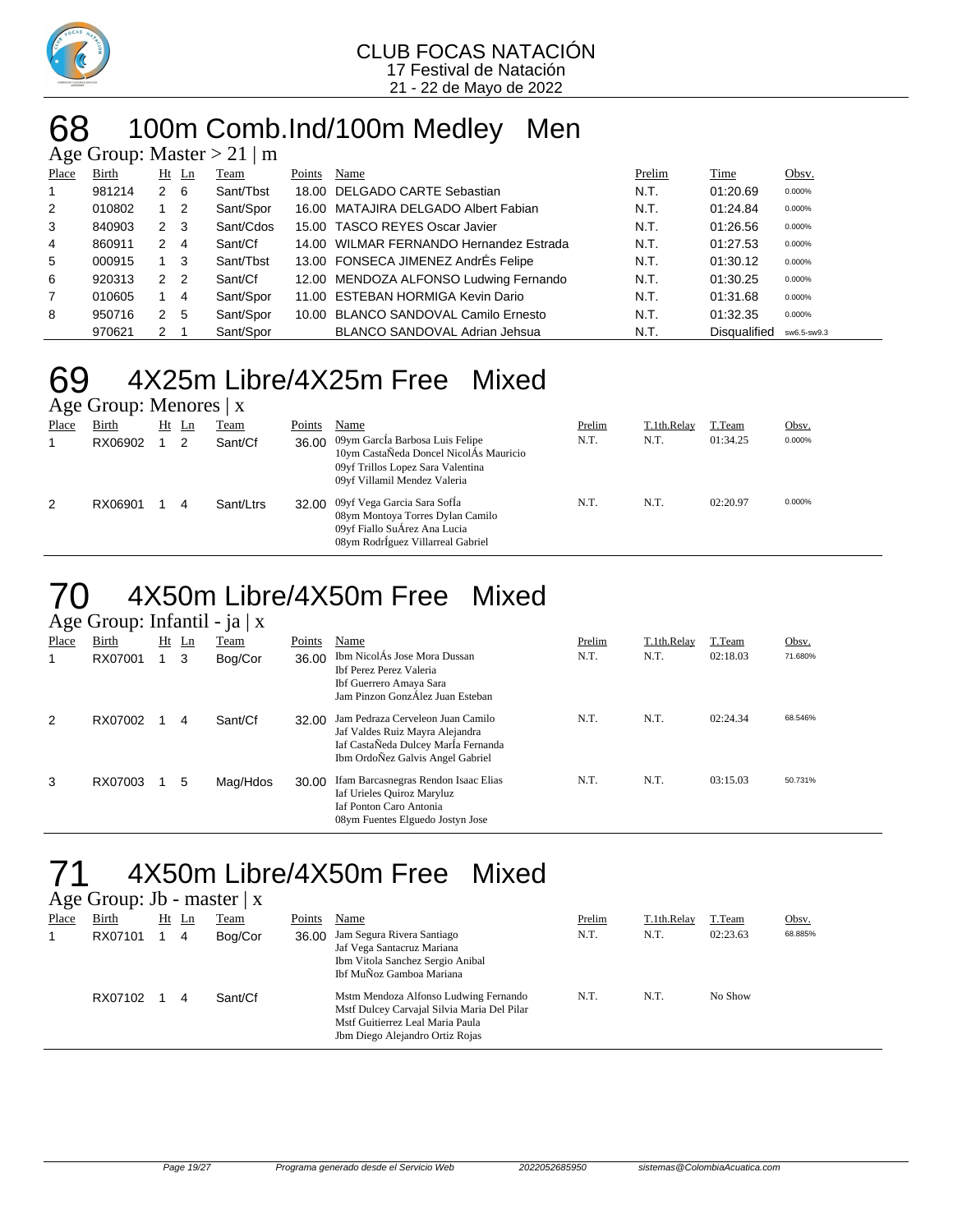

### 68 100m Comb.Ind/100m Medley Men

| Age Group: Master $> 21 \mid m$ |        |                |                |           |        |                                         |        |                     |             |  |  |  |
|---------------------------------|--------|----------------|----------------|-----------|--------|-----------------------------------------|--------|---------------------|-------------|--|--|--|
| Place                           | Birth  |                | $Ht$ Ln        | Team      | Points | Name                                    | Prelim | Time                | Obsv.       |  |  |  |
|                                 | 981214 | $2 \quad 6$    |                | Sant/Tbst |        | 18.00 DELGADO CARTE Sebastian           | N.T.   | 01:20.69            | 0.000%      |  |  |  |
| 2                               | 010802 |                | $\overline{2}$ | Sant/Spor |        | 16.00 MATAJIRA DELGADO Albert Fabian    | N.T.   | 01:24.84            | 0.000%      |  |  |  |
| 3                               | 840903 | 2              | - 3            | Sant/Cdos |        | 15.00 TASCO REYES Oscar Javier          | N.T.   | 01:26.56            | 0.000%      |  |  |  |
| 4                               | 860911 | 2              | -4             | Sant/Cf   |        | 14.00 WILMAR FERNANDO Hernandez Estrada | N.T.   | 01:27.53            | 0.000%      |  |  |  |
| 5                               | 000915 |                | - 3            | Sant/Tbst |        | 13.00 FONSECA JIMENEZ AndrÉs Felipe     | N.T.   | 01:30.12            | 0.000%      |  |  |  |
| 6                               | 920313 | 2 <sub>2</sub> |                | Sant/Cf   |        | 12.00 MENDOZA ALFONSO Ludwing Fernando  | N.T.   | 01:30.25            | 0.000%      |  |  |  |
| $\overline{7}$                  | 010605 |                | 4              | Sant/Spor |        | 11.00 ESTEBAN HORMIGA Kevin Dario       | N.T.   | 01:31.68            | 0.000%      |  |  |  |
| 8                               | 950716 | 2              | 5              | Sant/Spor |        | 10.00 BLANCO SANDOVAL Camilo Ernesto    | N.T.   | 01:32.35            | 0.000%      |  |  |  |
|                                 | 970621 | 2              |                | Sant/Spor |        | <b>BLANCO SANDOVAL Adrian Jehsua</b>    | N.T.   | <b>Disqualified</b> | sw6.5-sw9.3 |  |  |  |

### 69 4X25m Libre/4X25m Free Mixed Age Group: Menores | x

|       | $\frac{1}{2}$ $\frac{1}{2}$ $\frac{1}{2}$ $\frac{1}{2}$ $\frac{1}{2}$ $\frac{1}{2}$ $\frac{1}{2}$ $\frac{1}{2}$ $\frac{1}{2}$ $\frac{1}{2}$ $\frac{1}{2}$ $\frac{1}{2}$ $\frac{1}{2}$ $\frac{1}{2}$ $\frac{1}{2}$ $\frac{1}{2}$ $\frac{1}{2}$ $\frac{1}{2}$ $\frac{1}{2}$ $\frac{1}{2}$ $\frac{1}{2}$ $\frac{1}{2}$ |       |   |           |        |                                                                                                                                                      |        |             |          |        |  |  |  |
|-------|---------------------------------------------------------------------------------------------------------------------------------------------------------------------------------------------------------------------------------------------------------------------------------------------------------------------|-------|---|-----------|--------|------------------------------------------------------------------------------------------------------------------------------------------------------|--------|-------------|----------|--------|--|--|--|
| Place | Birth                                                                                                                                                                                                                                                                                                               | Ht Ln |   | Team      | Points | Name                                                                                                                                                 | Prelim | T.1th.Relay | T.Team   | Obsv.  |  |  |  |
|       | RX06902                                                                                                                                                                                                                                                                                                             |       |   | Sant/Cf   |        | 36.00 09ym García Barbosa Luis Felipe<br>10ym CastaÑeda Doncel NicolÁs Mauricio<br>09yf Trillos Lopez Sara Valentina<br>09yf Villamil Mendez Valeria | N.T.   | N.T.        | 01:34.25 | 0.000% |  |  |  |
| 2     | RX06901                                                                                                                                                                                                                                                                                                             |       | 4 | Sant/Ltrs |        | 32.00 09yf Vega Garcia Sara SofÍa<br>08ym Montoya Torres Dylan Camilo<br>09yf Fiallo SuÁrez Ana Lucia<br>08ym RodrÍguez Villarreal Gabriel           | N.T.   | N.T.        | 02:20.97 | 0.000% |  |  |  |

### 70 4X50m Libre/4X50m Free Mixed  $\overline{\Delta}$ ge Group: Infantil - ja | x

| $\Delta \xi \xi$ Oroup. Infantit - $ \alpha  \Delta$ |         |  |         |          |        |                                                                                                                                                 |        |             |          |         |  |  |
|------------------------------------------------------|---------|--|---------|----------|--------|-------------------------------------------------------------------------------------------------------------------------------------------------|--------|-------------|----------|---------|--|--|
| Place                                                | Birth   |  | $Ht$ Ln | Team     | Points | Name                                                                                                                                            | Prelim | T.1th.Relay | T.Team   | Obsv.   |  |  |
|                                                      | RX07001 |  | 3       | Bog/Cor  | 36.00  | Ibm NicolÁs Jose Mora Dussan<br>Ibf Perez Perez Valeria<br>Ibf Guerrero Amaya Sara<br>Jam Pinzon GonzÁlez Juan Esteban                          | N.T.   | N.T.        | 02:18.03 | 71.680% |  |  |
| 2                                                    | RX07002 |  | 4       | Sant/Cf  | 32.00  | Jam Pedraza Cerveleon Juan Camilo<br>Jaf Valdes Ruiz Mayra Alejandra<br>Iaf CastaÑeda Dulcey MarÍa Fernanda<br>Ibm OrdoÑez Galvis Angel Gabriel | N.T.   | N.T.        | 02:24.34 | 68.546% |  |  |
| 3                                                    | RX07003 |  | 5       | Mag/Hdos | 30.00  | Ifam Barcasnegras Rendon Isaac Elias<br>Iaf Urieles Quiroz Maryluz<br><b>Iaf Ponton Caro Antonia</b><br>08ym Fuentes Elguedo Jostyn Jose        | N.T.   | N.T.        | 03:15.03 | 50.731% |  |  |

## 71 4X50m Libre/4X50m Free Mixed

|       | Age Group: Jb - master $ x $ |         |   |             |        |                                                                                                                                                             |        |             |          |         |
|-------|------------------------------|---------|---|-------------|--------|-------------------------------------------------------------------------------------------------------------------------------------------------------------|--------|-------------|----------|---------|
| Place | Birth                        | $Ht$ Ln |   | <b>Team</b> | Points | Name                                                                                                                                                        | Prelim | T.1th.Relay | T.Team   | Obsv.   |
|       | RX07101                      |         | 4 | Bog/Cor     | 36.00  | Jam Segura Rivera Santiago<br>Jaf Vega Santacruz Mariana<br>Ibm Vitola Sanchez Sergio Anibal<br>Ibf MuÑoz Gamboa Mariana                                    | N.T.   | N.T.        | 02:23.63 | 68.885% |
|       | RX07102                      |         | 4 | Sant/Cf     |        | Mstm Mendoza Alfonso Ludwing Fernando<br>Mstf Dulcey Carvajal Silvia Maria Del Pilar<br>Mstf Guitierrez Leal Maria Paula<br>Jbm Diego Alejandro Ortiz Rojas | N.T.   | N.T.        | No Show  |         |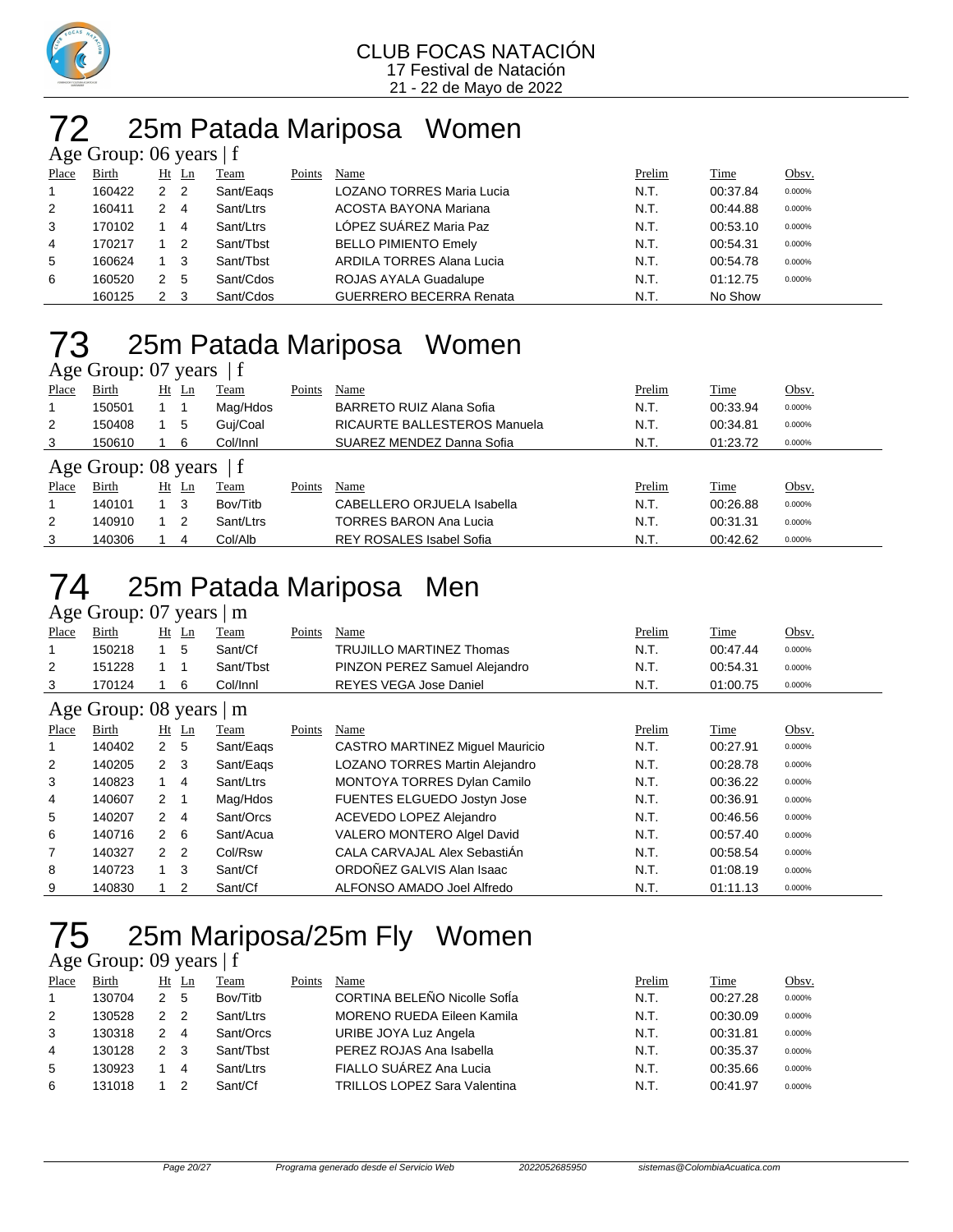

### 25m Patada Mariposa Women  $\overline{\phantom{a}}$  Group: 06 years | f

|       | $1.50$ Oroup. 00 years $1$ |                |                |           |        |                                  |        |          |        |  |  |  |
|-------|----------------------------|----------------|----------------|-----------|--------|----------------------------------|--------|----------|--------|--|--|--|
| Place | Birth                      |                | Ht Ln          | Team      | Points | Name                             | Prelim | Time     | Obsv.  |  |  |  |
|       | 160422                     | 2 <sub>2</sub> |                | Sant/Eags |        | <b>LOZANO TORRES Maria Lucia</b> | N.T.   | 00:37.84 | 0.000% |  |  |  |
| 2     | 160411                     |                | $\overline{4}$ | Sant/Ltrs |        | ACOSTA BAYONA Mariana            | N.T.   | 00:44.88 | 0.000% |  |  |  |
| 3     | 170102                     |                | 4              | Sant/Ltrs |        | LÓPEZ SUÁREZ Maria Paz           | N.T.   | 00:53.10 | 0.000% |  |  |  |
| 4     | 170217                     |                | -2             | Sant/Tbst |        | <b>BELLO PIMIENTO Emely</b>      | N.T.   | 00:54.31 | 0.000% |  |  |  |
| 5     | 160624                     |                | - 3            | Sant/Tbst |        | <b>ARDILA TORRES Alana Lucia</b> | N.T.   | 00:54.78 | 0.000% |  |  |  |
| 6     | 160520                     | 2              | 5              | Sant/Cdos |        | ROJAS AYALA Guadalupe            | N.T.   | 01:12.75 | 0.000% |  |  |  |
|       | 160125                     |                | - 3            | Sant/Cdos |        | <b>GUERRERO BECERRA Renata</b>   | N.T.   | No Show  |        |  |  |  |

### 25m Patada Mariposa Women

Age Group: 07 years | f

| Place | Birth               | $Ht$ Ln        | Team      | Points | Name                                | Prelim | Time     | Obsv.  |
|-------|---------------------|----------------|-----------|--------|-------------------------------------|--------|----------|--------|
|       | 150501              |                | Mag/Hdos  |        | BARRETO RUIZ Alana Sofia            | N.T.   | 00:33.94 | 0.000% |
| 2     | 150408              | 5              | Guj/Coal  |        | <b>RICAURTE BALLESTEROS Manuela</b> | N.T.   | 00:34.81 | 0.000% |
| 3     | 150610              | 6              | Col/Innl  |        | SUAREZ MENDEZ Danna Sofia           | N.T.   | 01:23.72 | 0.000% |
|       | Age Group: 08 years |                |           |        |                                     |        |          |        |
| Place | Birth               | $Ht$ Ln        | Team      | Points | Name                                | Prelim | Time     | Obsv.  |
|       | 140101              | 1 3            | Bov/Titb  |        | CABELLERO ORJUELA Isabella          | N.T.   | 00:26.88 | 0.000% |
| 2     | 140910              | $\overline{2}$ | Sant/Ltrs |        | <b>TORRES BARON Ana Lucia</b>       | N.T.   | 00:31.31 | 0.000% |
| 3     | 140306              | 4              | Col/Alb   |        | REY ROSALES Isabel Sofia            | N.T.   | 00:42.62 | 0.000% |

### 25m Patada Mariposa Men

|       | Age Group: $07$ years $\vert$ m |  |              |           |        |                                 |        |             |        |  |  |  |  |
|-------|---------------------------------|--|--------------|-----------|--------|---------------------------------|--------|-------------|--------|--|--|--|--|
| Place | Birth                           |  | Ht Ln        | Team      | Points | Name                            | Prelim | <u>Time</u> | Obsv.  |  |  |  |  |
|       | 150218                          |  | $\mathbf{b}$ | Sant/Cf   |        | <b>TRUJILLO MARTINEZ Thomas</b> | N.T.   | 00:47.44    | 0.000% |  |  |  |  |
|       | 151228                          |  |              | Sant/Tbst |        | PINZON PEREZ Samuel Alejandro   | N.T.   | 00:54.31    | 0.000% |  |  |  |  |
| 3     | 170124                          |  | 6            | Col/Innl  |        | REYES VEGA Jose Daniel          | N.T.   | 01:00.75    | 0.000% |  |  |  |  |
|       |                                 |  |              |           |        |                                 |        |             |        |  |  |  |  |

#### Age Group: 08 years | m

| Place | Birth  |                | $Ht$ Ln | Team      | Points | Name                                   | Prelim | Time     | Obsv.  |
|-------|--------|----------------|---------|-----------|--------|----------------------------------------|--------|----------|--------|
|       | 140402 | 2              | -5      | Sant/Eags |        | <b>CASTRO MARTINEZ Miquel Mauricio</b> | N.T.   | 00:27.91 | 0.000% |
| 2     | 140205 | $\mathbf{2}$   | - 3     | Sant/Eags |        | LOZANO TORRES Martin Alejandro         | N.T.   | 00:28.78 | 0.000% |
| 3     | 140823 |                | 4       | Sant/Ltrs |        | MONTOYA TORRES Dylan Camilo            | N.T.   | 00:36.22 | 0.000% |
| 4     | 140607 | 2              |         | Mag/Hdos  |        | FUENTES ELGUEDO Jostyn Jose            | N.T.   | 00:36.91 | 0.000% |
| 5     | 140207 | $\mathcal{P}$  | -4      | Sant/Orcs |        | ACEVEDO LOPEZ Alejandro                | N.T.   | 00:46.56 | 0.000% |
| 6     | 140716 | 2              | -6      | Sant/Acua |        | VALERO MONTERO Algel David             | N.T.   | 00:57.40 | 0.000% |
| 7     | 140327 | $\overline{2}$ | 2       | Col/Rsw   |        | CALA CARVAJAL Alex SebastiÁn           | N.T.   | 00:58.54 | 0.000% |
| 8     | 140723 |                | 3       | Sant/Cf   |        | ORDOÑEZ GALVIS Alan Isaac              | N.T.   | 01:08.19 | 0.000% |
| 9     | 140830 |                | 2       | Sant/Cf   |        | ALFONSO AMADO Joel Alfredo             | N.T.   | 01:11.13 | 0.000% |

## 25m Mariposa/25m Fly Women

### Age Group: 09 years | f

| Place | Birth  | Ht Ln | Team      | Points | Name                                | Prelim | Time     | Obsv.  |
|-------|--------|-------|-----------|--------|-------------------------------------|--------|----------|--------|
|       | 130704 | 5     | Bov/Titb  |        | CORTINA BELEÑO Nicolle SofÍa        | N.T.   | 00:27.28 | 0.000% |
| 2     | 130528 | -2    | Sant/Ltrs |        | <b>MORENO RUEDA Eileen Kamila</b>   | N.T.   | 00:30.09 | 0.000% |
| 3     | 130318 | 4     | Sant/Orcs |        | URIBE JOYA Luz Angela               | N.T.   | 00:31.81 | 0.000% |
| 4     | 130128 | 3     | Sant/Tbst |        | PEREZ ROJAS Ana Isabella            | N.T.   | 00:35.37 | 0.000% |
| 5     | 130923 | 4     | Sant/Ltrs |        | FIALLO SUÁREZ Ana Lucia             | N.T.   | 00:35.66 | 0.000% |
| 6     | 131018 |       | Sant/Cf   |        | <b>TRILLOS LOPEZ Sara Valentina</b> | N.T.   | 00:41.97 | 0.000% |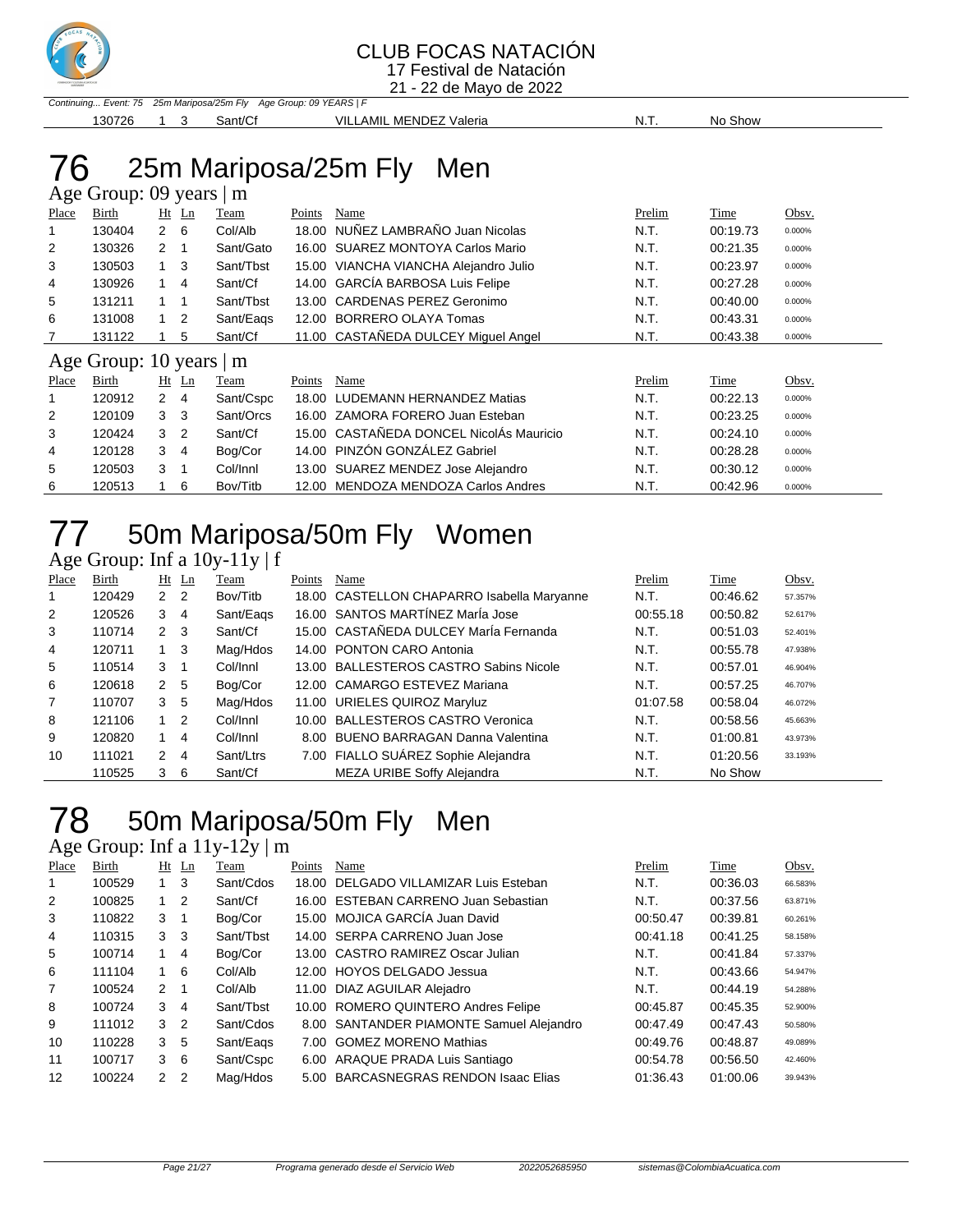

21 - 22 de Mayo de 2022

|        |  |         | Continuing Event: 75 25m Mariposa/25m Fly Age Group: 09 YEARS   F |      |         |
|--------|--|---------|-------------------------------------------------------------------|------|---------|
| 130726 |  | Sant/Cf | VILLAMIL MENDEZ Valeria                                           | .N.T | No Show |

### 76 25m Mariposa/25m Fly Men

|       | Age Group: 09 years   m |                      |                |           |        |                                     |        |          |        |  |  |  |
|-------|-------------------------|----------------------|----------------|-----------|--------|-------------------------------------|--------|----------|--------|--|--|--|
| Place | <b>Birth</b>            |                      | $Ht$ Ln        | Team      | Points | Name                                | Prelim | Time     | Obsv.  |  |  |  |
|       | 130404                  | $\overline{2}$       | 6              | Col/Alb   | 18.00  | NUÑEZ LAMBRAÑO Juan Nicolas         | N.T.   | 00:19.73 | 0.000% |  |  |  |
| 2     | 130326                  | $\overline{2}$       | 1              | Sant/Gato | 16.00  | <b>SUAREZ MONTOYA Carlos Mario</b>  | N.T.   | 00:21.35 | 0.000% |  |  |  |
| 3     | 130503                  | $1 \quad 3$          |                | Sant/Tbst | 15.00  | VIANCHA VIANCHA Alejandro Julio     | N.T.   | 00:23.97 | 0.000% |  |  |  |
| 4     | 130926                  | $\mathbf{1}$         | 4              | Sant/Cf   | 14.00  | GARCÍA BARBOSA Luis Felipe          | N.T.   | 00:27.28 | 0.000% |  |  |  |
| 5     | 131211                  | $1 \quad$            | $\overline{1}$ | Sant/Tbst | 13.00  | CARDENAS PEREZ Geronimo             | N.T.   | 00:40.00 | 0.000% |  |  |  |
| 6     | 131008                  | 1                    | $\overline{2}$ | Sant/Eags | 12.00  | <b>BORRERO OLAYA Tomas</b>          | N.T.   | 00:43.31 | 0.000% |  |  |  |
| 7     | 131122                  |                      | 5              | Sant/Cf   |        | 11.00 CASTAÑEDA DULCEY Miguel Angel | N.T.   | 00:43.38 | 0.000% |  |  |  |
|       | Age Group: 10 years   m |                      |                |           |        |                                     |        |          |        |  |  |  |
| Place | Birth                   | Ht                   | Ln             | Team      | Points | Name                                | Prelim | Time     | Obsv.  |  |  |  |
|       | 120912                  | $\mathbf{2}^{\circ}$ | $\overline{4}$ | Sant/Cspc | 18.00  | LUDEMANN HERNANDEZ Matias           | N.T.   | 00:22.13 | 0.000% |  |  |  |
| 2     | 120109                  | 3                    | -3             | Sant/Orcs | 16.00  | ZAMORA FORERO Juan Esteban          | N.T.   | 00:23.25 | 0.000% |  |  |  |
| 3     | 120424                  | 3                    | $\overline{2}$ | Sant/Cf   | 15.00  | CASTAÑEDA DONCEL NicolAs Mauricio   | N.T.   | 00:24.10 | 0.000% |  |  |  |
| 4     | 120128                  | 3                    | 4              | Bog/Cor   | 14.00  | PINZÓN GONZÁLEZ Gabriel             | N.T.   | 00:28.28 | 0.000% |  |  |  |
| 5     | 120503                  | 3                    | 1              | Col/Innl  | 13.00  | SUAREZ MENDEZ Jose Alejandro        | N.T.   | 00:30.12 | 0.000% |  |  |  |
| 6     | 120513                  |                      | 6              | Bov/Titb  | 12.00  | MENDOZA MENDOZA Carlos Andres       | N.T.   | 00:42.96 | 0.000% |  |  |  |

# 50m Mariposa/50m Fly Women

Age Group: Inf a 10y-11y | f

| Place | Birth  |                | Ht Ln          | Team      | Points | Name                                       | Prelim   | Time     | Obsv.   |
|-------|--------|----------------|----------------|-----------|--------|--------------------------------------------|----------|----------|---------|
| 1     | 120429 | 2 <sub>2</sub> |                | Bov/Titb  |        | 18.00 CASTELLON CHAPARRO Isabella Maryanne | N.T.     | 00:46.62 | 57.357% |
| 2     | 120526 | 3              | -4             | Sant/Eags |        | 16.00 SANTOS MARTÍNEZ MarÍa Jose           | 00:55.18 | 00:50.82 | 52.617% |
| 3     | 110714 | $2 \quad 3$    |                | Sant/Cf   |        | 15.00 CASTAÑEDA DULCEY MarÍa Fernanda      | N.T.     | 00:51.03 | 52.401% |
| 4     | 120711 | $1 \quad 3$    |                | Mag/Hdos  |        | 14.00 PONTON CARO Antonia                  | N.T.     | 00:55.78 | 47.938% |
| 5     | 110514 | 3              |                | Col/Innl  |        | 13.00 BALLESTEROS CASTRO Sabins Nicole     | N.T.     | 00:57.01 | 46.904% |
| 6     | 120618 | 2              | -5             | Bog/Cor   |        | 12.00 CAMARGO ESTEVEZ Mariana              | N.T.     | 00:57.25 | 46.707% |
| 7     | 110707 | 3              | 5              | Mag/Hdos  |        | 11.00 URIELES QUIROZ Maryluz               | 01:07.58 | 00:58.04 | 46.072% |
| 8     | 121106 | $1\quad 2$     |                | Col/Innl  |        | 10.00 BALLESTEROS CASTRO Veronica          | N.T.     | 00:58.56 | 45.663% |
| 9     | 120820 |                | -4             | Col/Innl  |        | 8.00 BUENO BARRAGAN Danna Valentina        | N.T.     | 01:00.81 | 43.973% |
| 10    | 111021 | 2              | $\overline{4}$ | Sant/Ltrs |        | 7.00 FIALLO SUÁREZ Sophie Alejandra        | N.T.     | 01:20.56 | 33.193% |
|       | 110525 | 3              | - 6            | Sant/Cf   |        | MEZA URIBE Soffy Alejandra                 | N.T.     | No Show  |         |

## 50m Mariposa/50m Fly Men

### Age Group: Inf a  $11y-12y \mid m$

| Place | Birth  |               | $Ht$ Ln        | Team      | Points | Name                                     | Prelim   | Time     | Obsv.   |
|-------|--------|---------------|----------------|-----------|--------|------------------------------------------|----------|----------|---------|
|       | 100529 |               | 3              | Sant/Cdos |        | 18.00 DELGADO VILLAMIZAR Luis Esteban    | N.T.     | 00:36.03 | 66.583% |
| 2     | 100825 | 1.            | 2              | Sant/Cf   |        | 16.00 ESTEBAN CARRENO Juan Sebastian     | N.T.     | 00:37.56 | 63.871% |
| 3     | 110822 | 3             | 1              | Bog/Cor   |        | 15.00 MOJICA GARCÍA Juan David           | 00:50.47 | 00:39.81 | 60.261% |
| 4     | 110315 | 3             | 3              | Sant/Tbst |        | 14.00 SERPA CARRENO Juan Jose            | 00:41.18 | 00:41.25 | 58.158% |
| 5     | 100714 |               | 4              | Bog/Cor   |        | 13.00 CASTRO RAMIREZ Oscar Julian        | N.T.     | 00:41.84 | 57.337% |
| 6     | 111104 | 1.            | 6              | Col/Alb   |        | 12.00 HOYOS DELGADO Jessua               | N.T.     | 00:43.66 | 54.947% |
| 7     | 100524 | $\mathcal{P}$ | 1              | Col/Alb   |        | 11.00 DIAZ AGUILAR Alejadro              | N.T.     | 00:44.19 | 54.288% |
| 8     | 100724 | 3             | 4              | Sant/Tbst |        | 10.00 ROMERO QUINTERO Andres Felipe      | 00:45.87 | 00:45.35 | 52.900% |
| 9     | 111012 | 3             | $\overline{2}$ | Sant/Cdos |        | 8.00 SANTANDER PIAMONTE Samuel Alejandro | 00:47.49 | 00:47.43 | 50.580% |
| 10    | 110228 | 3             | 5              | Sant/Eags |        | 7.00 GOMEZ MORENO Mathias                | 00:49.76 | 00:48.87 | 49.089% |
| 11    | 100717 | 3             | 6              | Sant/Cspc |        | 6.00 ARAQUE PRADA Luis Santiago          | 00:54.78 | 00:56.50 | 42.460% |
| 12    | 100224 | $\mathcal{P}$ | $\overline{2}$ | Mag/Hdos  |        | 5.00 BARCASNEGRAS RENDON Isaac Elias     | 01:36.43 | 01:00.06 | 39.943% |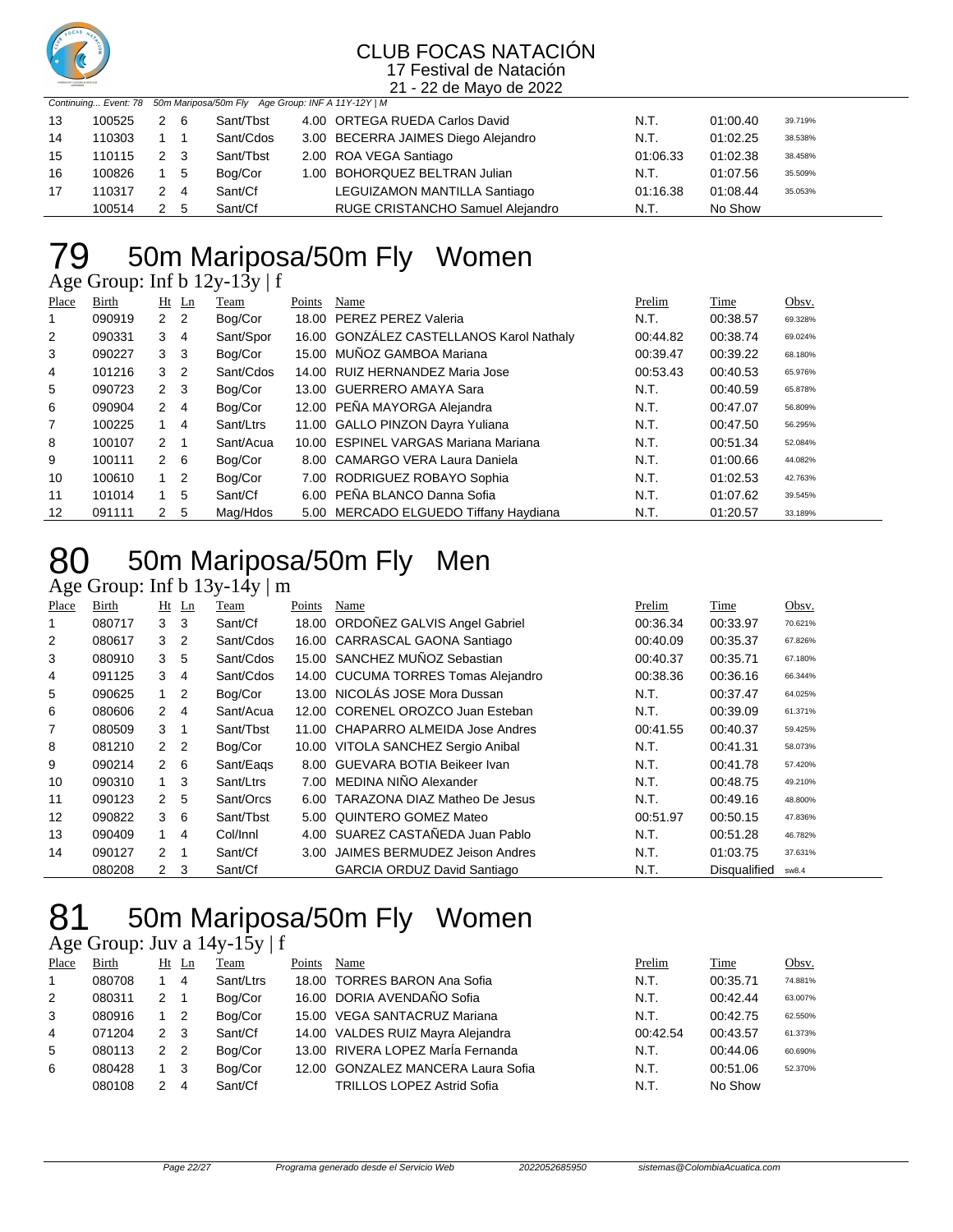

21 - 22 de Mayo de 2022

|    |        |             |     | Continuing Event: 78 50m Mariposa/50m Fly Age Group: INF A 11Y-12Y   M |                                     |          |          |         |
|----|--------|-------------|-----|------------------------------------------------------------------------|-------------------------------------|----------|----------|---------|
| 13 | 100525 | 2           | - 6 | Sant/Tbst                                                              | 4.00 ORTEGA RUEDA Carlos David      | N.T.     | 01:00.40 | 39.719% |
| 14 | 110303 |             |     | Sant/Cdos                                                              | 3.00 BECERRA JAIMES Diego Alejandro | N.T.     | 01:02.25 | 38.538% |
| 15 | 110115 | 2 3         |     | Sant/Tbst                                                              | 2.00 ROA VEGA Santiago              | 01:06.33 | 01:02.38 | 38.458% |
| 16 | 100826 | 1 5         |     | Bog/Cor                                                                | 1.00 BOHORQUEZ BELTRAN Julian       | N.T.     | 01:07.56 | 35.509% |
| 17 | 110317 | $2 \quad 4$ |     | Sant/Cf                                                                | LEGUIZAMON MANTILLA Santiago        | 01:16.38 | 01:08.44 | 35.053% |
|    | 100514 |             | - 5 | Sant/Cf                                                                | RUGE CRISTANCHO Samuel Alejandro    | N.T.     | No Show  |         |

## 50m Mariposa/50m Fly Women

Age Group: Inf b 12y-13y | f

| Place          | Birth  |                | $Ht$ Ln                    | Team      | Points | Name                                     | Prelim   | Time     | Obsv.   |
|----------------|--------|----------------|----------------------------|-----------|--------|------------------------------------------|----------|----------|---------|
| 1              | 090919 | 2 <sub>2</sub> |                            | Bog/Cor   |        | 18.00 PEREZ PEREZ Valeria                | N.T.     | 00:38.57 | 69.328% |
| $\overline{2}$ | 090331 | 3              | $\overline{4}$             | Sant/Spor |        | 16.00 GONZÁLEZ CASTELLANOS Karol Nathaly | 00:44.82 | 00:38.74 | 69.024% |
| 3              | 090227 | 3              | - 3                        | Bog/Cor   |        | 15.00 MUÑOZ GAMBOA Mariana               | 00:39.47 | 00:39.22 | 68.180% |
| 4              | 101216 | 3              | $\overline{\phantom{0}}^2$ | Sant/Cdos |        | 14.00 RUIZ HERNANDEZ Maria Jose          | 00:53.43 | 00:40.53 | 65.976% |
| 5              | 090723 | $2 \quad 3$    |                            | Bog/Cor   |        | 13.00 GUERRERO AMAYA Sara                | N.T.     | 00:40.59 | 65.878% |
| 6              | 090904 | $2 \quad 4$    |                            | Bog/Cor   |        | 12.00 PEÑA MAYORGA Alejandra             | N.T.     | 00:47.07 | 56.809% |
| $\overline{7}$ | 100225 |                | $\overline{4}$             | Sant/Ltrs |        | 11.00 GALLO PINZON Dayra Yuliana         | N.T.     | 00:47.50 | 56.295% |
| 8              | 100107 | $2 \quad 1$    |                            | Sant/Acua |        | 10.00 ESPINEL VARGAS Mariana Mariana     | N.T.     | 00:51.34 | 52.084% |
| 9              | 100111 | $2\quad 6$     |                            | Bog/Cor   |        | 8.00 CAMARGO VERA Laura Daniela          | N.T.     | 01:00.66 | 44.082% |
| 10             | 100610 | $1\quad 2$     |                            | Bog/Cor   |        | 7.00 RODRIGUEZ ROBAYO Sophia             | N.T.     | 01:02.53 | 42.763% |
| 11             | 101014 | $1 \quad$      | - 5                        | Sant/Cf   |        | 6.00 PEÑA BLANCO Danna Sofia             | N.T.     | 01:07.62 | 39.545% |
| 12             | 091111 | 2              | -5                         | Mag/Hdos  |        | 5.00 MERCADO ELGUEDO Tiffany Haydiana    | N.T.     | 01:20.57 | 33.189% |

## 80 50m Mariposa/50m Fly Men

Age Group: Inf b 13y-14y | m

| Place | Birth  |                | $Ht$ Ln        | Team      | Points | Name                                | Prelim   | Time                | Obsv.   |
|-------|--------|----------------|----------------|-----------|--------|-------------------------------------|----------|---------------------|---------|
|       | 080717 | 3              | -3             | Sant/Cf   |        | 18.00 ORDOÑEZ GALVIS Angel Gabriel  | 00:36.34 | 00:33.97            | 70.621% |
| 2     | 080617 | 3              | $\overline{2}$ | Sant/Cdos |        | 16.00 CARRASCAL GAONA Santiago      | 00:40.09 | 00:35.37            | 67.826% |
| 3     | 080910 | 3              | 5              | Sant/Cdos |        | 15.00 SANCHEZ MUÑOZ Sebastian       | 00:40.37 | 00:35.71            | 67.180% |
| 4     | 091125 | 3              | 4              | Sant/Cdos |        | 14.00 CUCUMA TORRES Tomas Alejandro | 00:38.36 | 00:36.16            | 66.344% |
| 5     | 090625 | 1              | $\overline{2}$ | Bog/Cor   |        | 13.00 NICOLÁS JOSE Mora Dussan      | N.T.     | 00:37.47            | 64.025% |
| 6     | 080606 | $\mathbf{2}$   | 4              | Sant/Acua |        | 12.00 CORENEL OROZCO Juan Esteban   | N.T.     | 00:39.09            | 61.371% |
| 7     | 080509 | 3              |                | Sant/Tbst |        | 11.00 CHAPARRO ALMEIDA Jose Andres  | 00:41.55 | 00:40.37            | 59.425% |
| 8     | 081210 | $\mathbf{2}$   | $\overline{2}$ | Bog/Cor   |        | 10.00 VITOLA SANCHEZ Sergio Anibal  | N.T.     | 00:41.31            | 58.073% |
| 9     | 090214 | $2\quad 6$     |                | Sant/Eags |        | 8.00 GUEVARA BOTIA Beikeer Ivan     | N.T.     | 00:41.78            | 57.420% |
| 10    | 090310 | $1 \quad 3$    |                | Sant/Ltrs |        | 7.00 MEDINA NIÑO Alexander          | N.T.     | 00:48.75            | 49.210% |
| 11    | 090123 | $\mathbf{2}$   | - 5            | Sant/Orcs | 6.00   | TARAZONA DIAZ Matheo De Jesus       | N.T.     | 00:49.16            | 48.800% |
| 12    | 090822 | 3              | 6              | Sant/Tbst |        | 5.00 QUINTERO GOMEZ Mateo           | 00:51.97 | 00:50.15            | 47.836% |
| 13    | 090409 | $1 \quad$      | 4              | Col/Innl  |        | 4.00 SUAREZ CASTAÑEDA Juan Pablo    | N.T.     | 00:51.28            | 46.782% |
| 14    | 090127 | 2              | -1             | Sant/Cf   | 3.00   | JAIMES BERMUDEZ Jeison Andres       | N.T.     | 01:03.75            | 37.631% |
|       | 080208 | $\overline{2}$ | 3              | Sant/Cf   |        | <b>GARCIA ORDUZ David Santiago</b>  | N.T.     | <b>Disqualified</b> | sw8.4   |

## 81 50m Mariposa/50m Fly Women

Age Group: Juv a 14y-15y | f

| Place | Birth  |               | Ht Ln | Team      | Points | Name                               | Prelim   | Time     | Obsv.   |
|-------|--------|---------------|-------|-----------|--------|------------------------------------|----------|----------|---------|
|       | 080708 |               | 4     | Sant/Ltrs |        | 18.00 TORRES BARON Ana Sofia       | N.T.     | 00:35.71 | 74.881% |
| 2     | 080311 | $\mathcal{P}$ |       | Bog/Cor   |        | 16.00 DORIA AVENDAÑO Sofia         | N.T.     | 00:42.44 | 63.007% |
| 3     | 080916 |               |       | Bog/Cor   |        | 15.00 VEGA SANTACRUZ Mariana       | N.T.     | 00:42.75 | 62.550% |
| 4     | 071204 | $\mathcal{P}$ | 3     | Sant/Cf   |        | 14.00 VALDES RUIZ Mayra Alejandra  | 00:42.54 | 00:43.57 | 61.373% |
| 5     | 080113 | $\mathcal{P}$ | -2    | Bog/Cor   |        | 13.00 RIVERA LOPEZ MarÍa Fernanda  | N.T.     | 00:44.06 | 60.690% |
| 6     | 080428 |               | 3     | Bog/Cor   |        | 12.00 GONZALEZ MANCERA Laura Sofia | N.T.     | 00:51.06 | 52.370% |
|       | 080108 | 2             | 4     | Sant/Cf   |        | <b>TRILLOS LOPEZ Astrid Sofia</b>  | N.T.     | No Show  |         |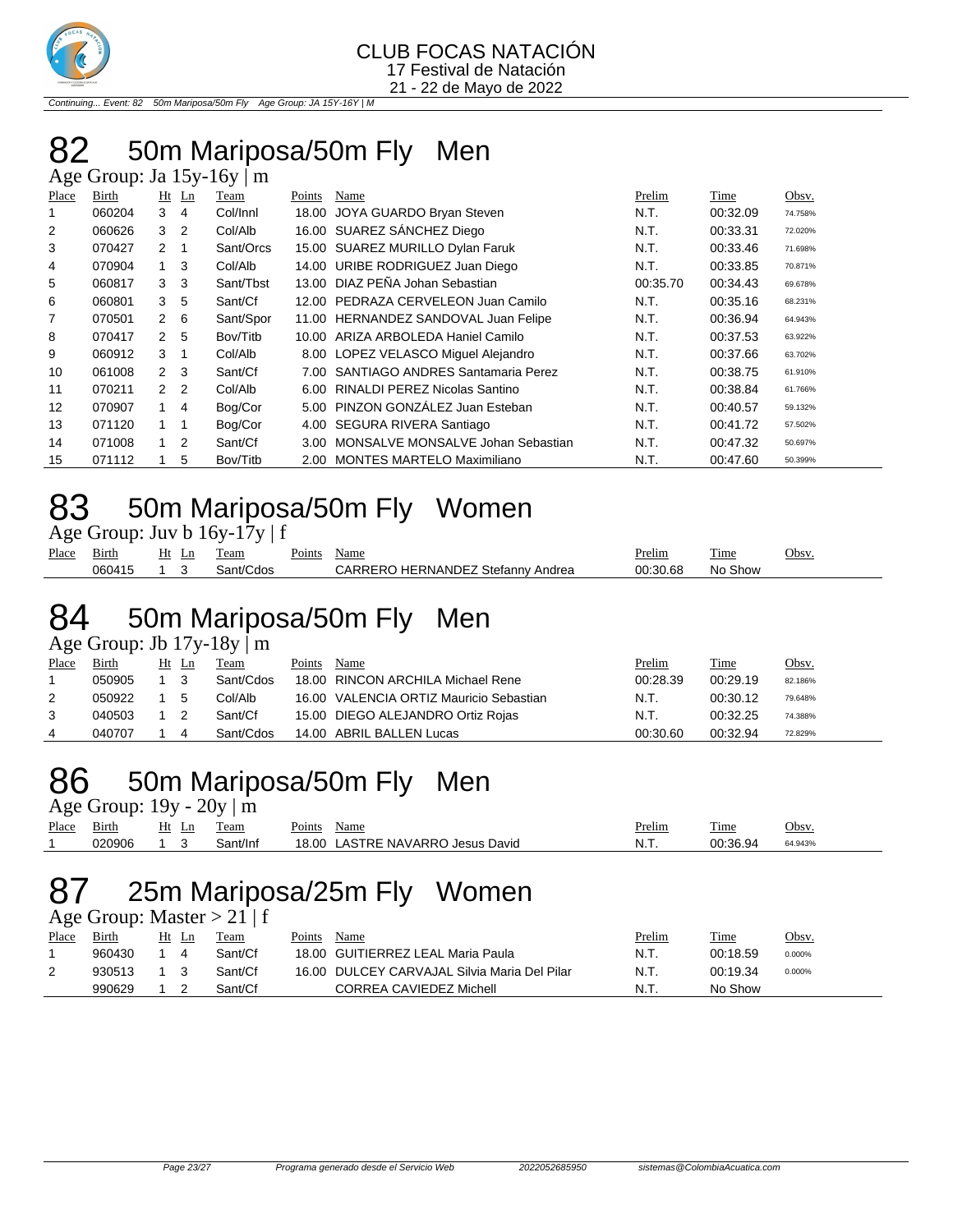

Continuing... Event: 82 50m Mariposa/50m Fly Age Group: JA 15Y-16Y | M

### 50m Mariposa/50m Fly Men

| Place | Birth  | $Ht$ Ln        |                | Team      | Points | Name                                   | Prelim   | Time     | Obsv.   |
|-------|--------|----------------|----------------|-----------|--------|----------------------------------------|----------|----------|---------|
| 1     | 060204 | 3              | 4              | Col/Innl  | 18.00  | JOYA GUARDO Bryan Steven               | N.T.     | 00:32.09 | 74.758% |
| 2     | 060626 | 3              | $\overline{2}$ | Col/Alb   |        | 16.00 SUAREZ SÁNCHEZ Diego             | N.T.     | 00:33.31 | 72.020% |
| 3     | 070427 | $\mathbf{2}$   |                | Sant/Orcs |        | 15.00 SUAREZ MURILLO Dylan Faruk       | N.T.     | 00:33.46 | 71.698% |
| 4     | 070904 | 1              | -3             | Col/Alb   |        | 14.00 URIBE RODRIGUEZ Juan Diego       | N.T.     | 00:33.85 | 70.871% |
| 5     | 060817 | 3              | -3             | Sant/Tbst |        | 13.00 DIAZ PEÑA Johan Sebastian        | 00:35.70 | 00:34.43 | 69.678% |
| 6     | 060801 | 3              | -5             | Sant/Cf   |        | 12.00 PEDRAZA CERVELEON Juan Camilo    | N.T.     | 00:35.16 | 68.231% |
| 7     | 070501 | $\overline{2}$ | - 6            | Sant/Spor |        | 11.00 HERNANDEZ SANDOVAL Juan Felipe   | N.T.     | 00:36.94 | 64.943% |
| 8     | 070417 | $\mathcal{P}$  | -5             | Bov/Titb  |        | 10.00 ARIZA ARBOLEDA Haniel Camilo     | N.T.     | 00:37.53 | 63.922% |
| 9     | 060912 | 3              |                | Col/Alb   |        | 8.00 LOPEZ VELASCO Miquel Alejandro    | N.T.     | 00:37.66 | 63.702% |
| 10    | 061008 | 2 <sub>3</sub> |                | Sant/Cf   |        | 7.00 SANTIAGO ANDRES Santamaria Perez  | N.T.     | 00:38.75 | 61.910% |
| 11    | 070211 | 2 <sub>2</sub> |                | Col/Alb   |        | 6.00 RINALDI PEREZ Nicolas Santino     | N.T.     | 00:38.84 | 61.766% |
| 12    | 070907 | 1              | 4              | Bog/Cor   |        | 5.00 PINZON GONZÁLEZ Juan Esteban      | N.T.     | 00:40.57 | 59.132% |
| 13    | 071120 | 1              | -1             | Bog/Cor   |        | 4.00 SEGURA RIVERA Santiago            | N.T.     | 00:41.72 | 57.502% |
| 14    | 071008 | 1              | $\overline{2}$ | Sant/Cf   |        | 3.00 MONSALVE MONSALVE Johan Sebastian | N.T.     | 00:47.32 | 50.697% |
| 15    | 071112 |                | 5              | Bov/Titb  |        | 2.00 MONTES MARTELO Maximiliano        | N.T.     | 00:47.60 | 50.399% |

### 50m Mariposa/50m Fly Women

| Age Group: Juv b $16y-17y \mid f$ |  |
|-----------------------------------|--|
|-----------------------------------|--|

| Place | -<br>Birth | Ht | LШ | eam  | $\sim$<br>Points | Name                                         | Prelim      | m.<br>1 ime | Jbsy |
|-------|------------|----|----|------|------------------|----------------------------------------------|-------------|-------------|------|
|       | 060415     |    |    | ء∩ا∩ |                  | $\sim$<br>Andrea<br>Stefann∖<br>RNANI<br>. . | -c<br>00:30 | ີ how<br>NC |      |

### 50m Mariposa/50m Fly Men

Age Group: Jb  $17y-18y$  m

| Place | Birth  | Ht Ln | Team      | Points | Name                                    | <u>Prelim</u> | <u>Time</u> | Obsv.   |
|-------|--------|-------|-----------|--------|-----------------------------------------|---------------|-------------|---------|
|       | 050905 |       | Sant/Cdos |        | 18.00 RINCON ARCHILA Michael Rene       | 00:28.39      | 00:29.19    | 82.186% |
| 2     | 050922 | -5    | Col/Alb   |        | 16.00 VALENCIA ORTIZ Mauricio Sebastian | N.T.          | 00:30.12    | 79.648% |
| 3     | 040503 |       | Sant/Cf   |        | 15.00 DIEGO ALEJANDRO Ortiz Rojas       | N.T.          | 00:32.25    | 74.388% |
| 4     | 040707 | 4     | Sant/Cdos |        | 14.00 ABRIL BALLEN Lucas                | 00:30.60      | 00:32.94    | 72.829% |

### 50m Mariposa/50m Fly Men

Age Group:  $19y - 20y \mid m$ 

|       | .                 |    |          |                                  |        |          |         |
|-------|-------------------|----|----------|----------------------------------|--------|----------|---------|
| Place | $\sim$ .<br>Birth | Ht | eam      | Name<br>Points                   | Prelim | 1'ime    | Obsv.   |
|       | 220906            |    | Sant/Inf | 18.00 LASTRE NAVARRO Jesus David | -N. L  | 00.36.94 | 64.943% |

### 25m Mariposa/25m Fly Women

Age Group: Master  $> 21$  | f

| Place | Birth  | Ht | Ln | Team    | Points | Name                                         | Prelim | Time     | <u>Obsv.</u> |
|-------|--------|----|----|---------|--------|----------------------------------------------|--------|----------|--------------|
|       | 960430 |    |    | Sant/Cf |        | 18.00 GUITIERREZ LEAL Maria Paula            | N.T.   | 00:18.59 | 0.000%       |
| 2     | 930513 |    |    | Sant/Cf |        | 16.00 DULCEY CARVAJAL Silvia Maria Del Pilar | N.T.   | 00:19.34 | 0.000%       |
|       | 990629 |    |    | Sant/Cf |        | CORREA CAVIEDEZ Michell                      | N.T.   | No Show  |              |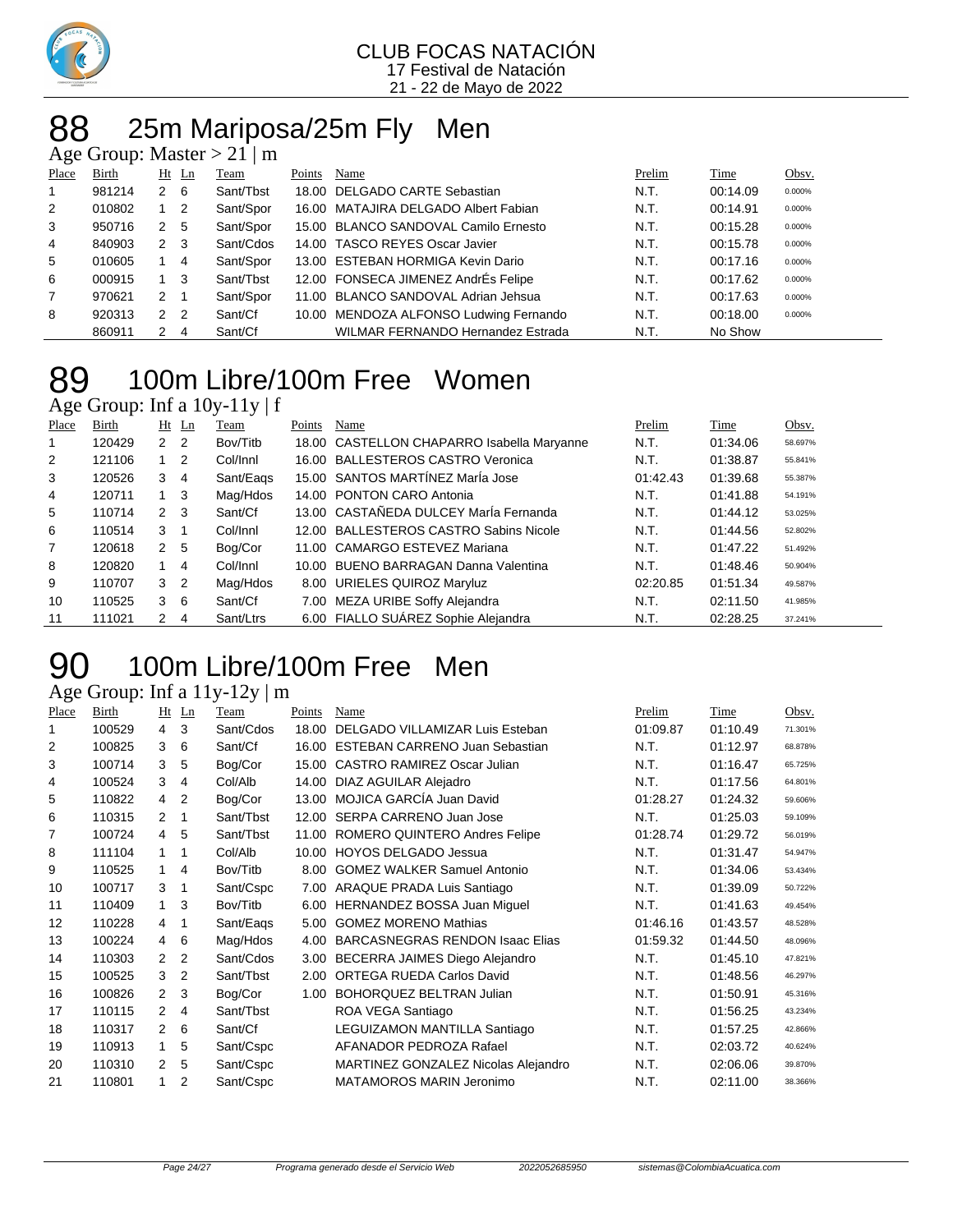

### 88 25m Mariposa/25m Fly Men

| Age Group: Master $> 21 \mid m$ |  |  |  |  |  |
|---------------------------------|--|--|--|--|--|
|---------------------------------|--|--|--|--|--|

| ີ     |        |               |                |           |        |                                          |        |          |        |
|-------|--------|---------------|----------------|-----------|--------|------------------------------------------|--------|----------|--------|
| Place | Birth  | $Ht$ Ln       |                | Team      | Points | Name                                     | Prelim | Time     | Obsv.  |
|       | 981214 | 2             | - 6            | Sant/Tbst |        | 18.00 DELGADO CARTE Sebastian            | N.T.   | 00:14.09 | 0.000% |
| 2     | 010802 |               | $\overline{2}$ | Sant/Spor |        | 16.00 MATAJIRA DELGADO Albert Fabian     | N.T.   | 00:14.91 | 0.000% |
| 3     | 950716 | 2             | - 5            | Sant/Spor |        | 15.00 BLANCO SANDOVAL Camilo Ernesto     | N.T.   | 00:15.28 | 0.000% |
| 4     | 840903 | $2 \quad 3$   |                | Sant/Cdos |        | 14.00 TASCO REYES Oscar Javier           | N.T.   | 00:15.78 | 0.000% |
| 5     | 010605 |               | 4              | Sant/Spor |        | 13.00 ESTEBAN HORMIGA Kevin Dario        | N.T.   | 00:17.16 | 0.000% |
| 6     | 000915 |               | -3             | Sant/Tbst |        | 12.00 FONSECA JIMENEZ AndrÉs Felipe      | N.T.   | 00:17.62 | 0.000% |
| 7     | 970621 | 2             |                | Sant/Spor |        | 11.00 BLANCO SANDOVAL Adrian Jehsua      | N.T.   | 00:17.63 | 0.000% |
| 8     | 920313 | 2             | $\overline{2}$ | Sant/Cf   |        | 10.00 MENDOZA ALFONSO Ludwing Fernando   | N.T.   | 00:18.00 | 0.000% |
|       | 860911 | $\mathcal{P}$ | 4              | Sant/Cf   |        | <b>WILMAR FERNANDO Hernandez Estrada</b> | N.T.   | No Show  |        |
|       |        |               |                |           |        |                                          |        |          |        |

## 100m Libre/100m Free Women

Age Group: Inf a 10y-11y | f

| Place | Birth  |                | $Ht$ Ln        | Team      | Points | Name                                       | Prelim   | Time     | Obsv.   |
|-------|--------|----------------|----------------|-----------|--------|--------------------------------------------|----------|----------|---------|
|       | 120429 | 2 <sub>2</sub> |                | Bov/Titb  |        | 18.00 CASTELLON CHAPARRO Isabella Maryanne | N.T.     | 01:34.06 | 58.697% |
| 2     | 121106 |                | $\overline{2}$ | Col/Innl  |        | 16.00 BALLESTEROS CASTRO Veronica          | N.T.     | 01:38.87 | 55.841% |
| 3     | 120526 | 3              | 4              | Sant/Eags |        | 15.00 SANTOS MARTÍNEZ MarÍa Jose           | 01:42.43 | 01:39.68 | 55.387% |
| 4     | 120711 |                | - 3            | Mag/Hdos  |        | 14.00 PONTON CARO Antonia                  | N.T.     | 01:41.88 | 54.191% |
| 5     | 110714 | 2              | - 3            | Sant/Cf   |        | 13.00 CASTAÑEDA DULCEY MarÍa Fernanda      | N.T.     | 01:44.12 | 53.025% |
| 6     | 110514 | 3              |                | Col/Innl  |        | 12.00 BALLESTEROS CASTRO Sabins Nicole     | N.T.     | 01:44.56 | 52.802% |
| 7     | 120618 | 2              | - 5            | Bog/Cor   |        | 11.00 CAMARGO ESTEVEZ Mariana              | N.T.     | 01:47.22 | 51.492% |
| 8     | 120820 |                | 4              | Col/Innl  |        | 10.00 BUENO BARRAGAN Danna Valentina       | N.T.     | 01:48.46 | 50.904% |
| 9     | 110707 | 3              | $\overline{2}$ | Mag/Hdos  |        | 8.00 URIELES QUIROZ Maryluz                | 02:20.85 | 01:51.34 | 49.587% |
| 10    | 110525 | 3              | - 6            | Sant/Cf   |        | 7.00 MEZA URIBE Soffy Alejandra            | N.T.     | 02:11.50 | 41.985% |
| 11    | 111021 | $\mathbf{2}$   | 4              | Sant/Ltrs |        | 6.00 FIALLO SUÁREZ Sophie Alejandra        | N.T.     | 02:28.25 | 37.241% |

## 100m Libre/100m Free Men

### Age Group: Inf a 11y-12y | m

| Place | Birth  | Ht             | Ln             | Team      | Points | Name                                   | Prelim   | Time     | Obsv.   |
|-------|--------|----------------|----------------|-----------|--------|----------------------------------------|----------|----------|---------|
|       | 100529 | 4              | 3              | Sant/Cdos | 18.00  | DELGADO VILLAMIZAR Luis Esteban        | 01:09.87 | 01:10.49 | 71.301% |
| 2     | 100825 | 3              | 6              | Sant/Cf   | 16.00  | <b>ESTEBAN CARRENO Juan Sebastian</b>  | N.T.     | 01:12.97 | 68.878% |
| 3     | 100714 | 3              | 5              | Bog/Cor   |        | 15.00 CASTRO RAMIREZ Oscar Julian      | N.T.     | 01:16.47 | 65.725% |
| 4     | 100524 | 3              | 4              | Col/Alb   | 14.00  | DIAZ AGUILAR Alejadro                  | N.T.     | 01:17.56 | 64.801% |
| 5     | 110822 | 4              | 2              | Bog/Cor   |        | 13.00 MOJICA GARCÍA Juan David         | 01:28.27 | 01:24.32 | 59.606% |
| 6     | 110315 | 2              | 1              | Sant/Tbst | 12.00  | SERPA CARRENO Juan Jose                | N.T.     | 01:25.03 | 59.109% |
|       | 100724 | 4              | 5              | Sant/Tbst |        | 11.00 ROMERO QUINTERO Andres Felipe    | 01:28.74 | 01:29.72 | 56.019% |
| 8     | 111104 | 1              | 1              | Col/Alb   | 10.00  | HOYOS DELGADO Jessua                   | N.T.     | 01:31.47 | 54.947% |
| 9     | 110525 | 1              | 4              | Bov/Titb  |        | 8.00 GOMEZ WALKER Samuel Antonio       | N.T.     | 01:34.06 | 53.434% |
| 10    | 100717 | 3              | 1              | Sant/Cspc | 7.00   | ARAQUE PRADA Luis Santiago             | N.T.     | 01:39.09 | 50.722% |
| 11    | 110409 | 1.             | 3              | Bov/Titb  |        | 6.00 HERNANDEZ BOSSA Juan Miguel       | N.T.     | 01:41.63 | 49.454% |
| 12    | 110228 | 4              | 1              | Sant/Eags | 5.00   | <b>GOMEZ MORENO Mathias</b>            | 01:46.16 | 01:43.57 | 48.528% |
| 13    | 100224 | 4              | 6              | Mag/Hdos  | 4.00   | <b>BARCASNEGRAS RENDON Isaac Elias</b> | 01:59.32 | 01:44.50 | 48.096% |
| 14    | 110303 | 2              | $\overline{2}$ | Sant/Cdos | 3.00   | BECERRA JAIMES Diego Alejandro         | N.T.     | 01:45.10 | 47.821% |
| 15    | 100525 | 3              | $\overline{2}$ | Sant/Tbst | 2.00   | <b>ORTEGA RUEDA Carlos David</b>       | N.T.     | 01:48.56 | 46.297% |
| 16    | 100826 | $\overline{2}$ | 3              | Bog/Cor   | 1.00   | <b>BOHORQUEZ BELTRAN Julian</b>        | N.T.     | 01:50.91 | 45.316% |
| 17    | 110115 | 2              | 4              | Sant/Tbst |        | ROA VEGA Santiago                      | N.T.     | 01:56.25 | 43.234% |
| 18    | 110317 | 2              | 6              | Sant/Cf   |        | LEGUIZAMON MANTILLA Santiago           | N.T.     | 01:57.25 | 42.866% |
| 19    | 110913 | 1              | 5              | Sant/Cspc |        | AFANADOR PEDROZA Rafael                | N.T.     | 02:03.72 | 40.624% |
| 20    | 110310 | 2              | 5              | Sant/Cspc |        | MARTINEZ GONZALEZ Nicolas Alejandro    | N.T.     | 02:06.06 | 39.870% |
| 21    | 110801 |                | 2              | Sant/Cspc |        | MATAMOROS MARIN Jeronimo               | N.T.     | 02:11.00 | 38.366% |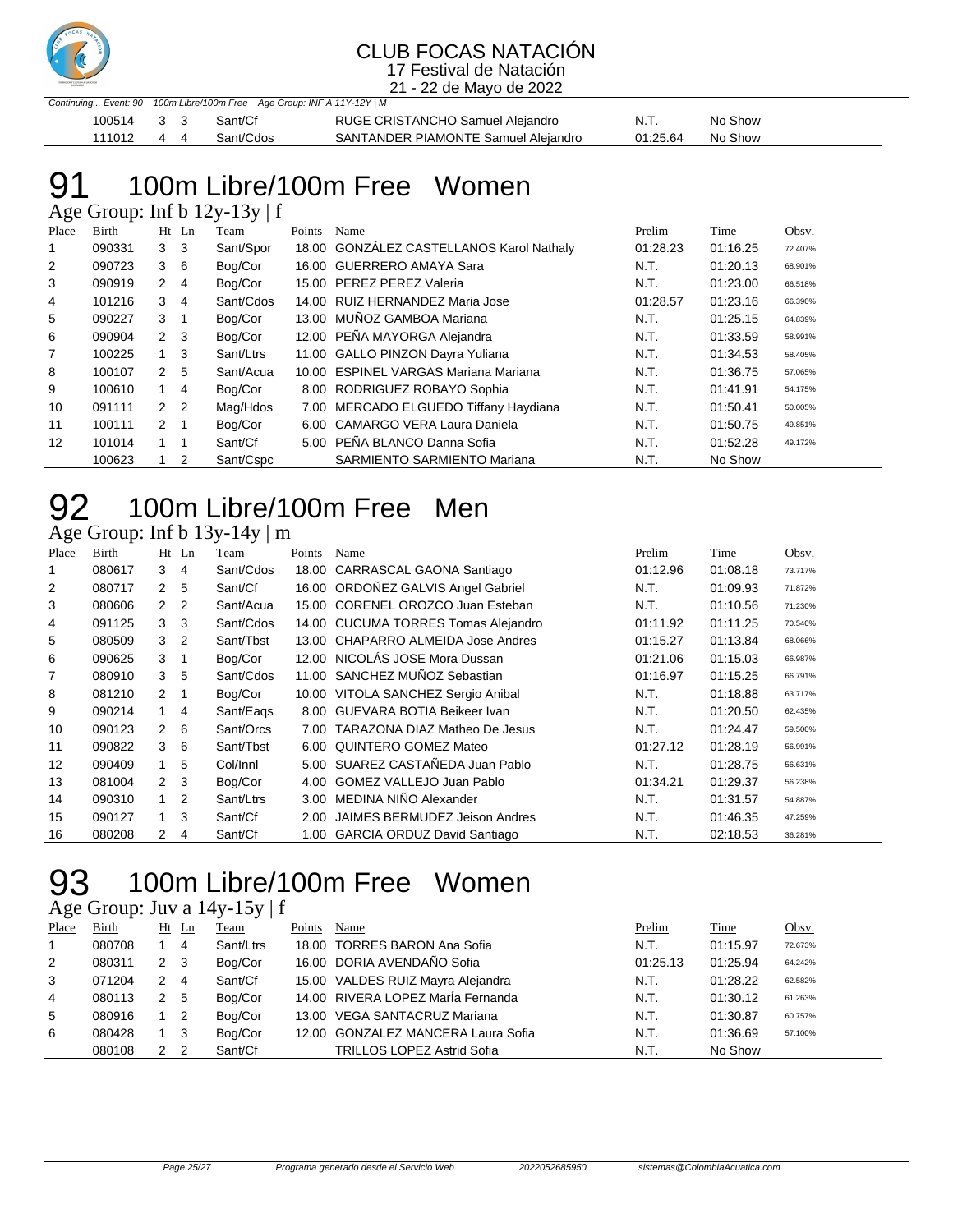

21 - 22 de Mayo de 2022

|            |    | Continuing Event: 90 100m Libre/100m Free Age Group: INF A 11Y-12Y   M |                                     |          |         |
|------------|----|------------------------------------------------------------------------|-------------------------------------|----------|---------|
| 100514 3 3 |    | Sant/Cf                                                                | RUGE CRISTANCHO Samuel Alejandro    | N.T.     | No Show |
| 111012     | 44 | Sant/Cdos                                                              | SANTANDER PIAMONTE Samuel Alejandro | 01:25.64 | No Show |

## 100m Libre/100m Free Women

Age Group: Inf b 12y-13y | f

| Place | Birth  |                | $Ht$ Ln                 | Team      | Points | Name                                     | Prelim   | Time     | Obsv.   |
|-------|--------|----------------|-------------------------|-----------|--------|------------------------------------------|----------|----------|---------|
|       | 090331 | 3              | - 3                     | Sant/Spor |        | 18.00 GONZÁLEZ CASTELLANOS Karol Nathaly | 01:28.23 | 01:16.25 | 72.407% |
| 2     | 090723 | 36             |                         | Bog/Cor   |        | 16.00 GUERRERO AMAYA Sara                | N.T.     | 01:20.13 | 68.901% |
| 3     | 090919 | 2 4            |                         | Bog/Cor   |        | 15.00 PEREZ PEREZ Valeria                | N.T.     | 01:23.00 | 66.518% |
| 4     | 101216 | 3              | -4                      | Sant/Cdos |        | 14.00 RUIZ HERNANDEZ Maria Jose          | 01:28.57 | 01:23.16 | 66.390% |
| 5     | 090227 | 3              | $\overline{\mathbf{1}}$ | Bog/Cor   |        | 13.00 MUÑOZ GAMBOA Mariana               | N.T.     | 01:25.15 | 64.839% |
| 6     | 090904 | $2 \quad 3$    |                         | Bog/Cor   |        | 12.00 PEÑA MAYORGA Alejandra             | N.T.     | 01:33.59 | 58.991% |
| 7     | 100225 | $1 \quad 3$    |                         | Sant/Ltrs |        | 11.00 GALLO PINZON Dayra Yuliana         | N.T.     | 01:34.53 | 58.405% |
| 8     | 100107 | 2              | -5                      | Sant/Acua |        | 10.00 ESPINEL VARGAS Mariana Mariana     | N.T.     | 01:36.75 | 57.065% |
| 9     | 100610 | 1              | -4                      | Bog/Cor   |        | 8.00 RODRIGUEZ ROBAYO Sophia             | N.T.     | 01:41.91 | 54.175% |
| 10    | 091111 | 2 <sub>2</sub> |                         | Mag/Hdos  |        | 7.00 MERCADO ELGUEDO Tiffany Haydiana    | N.T.     | 01:50.41 | 50.005% |
| 11    | 100111 | 2 <sub>1</sub> |                         | Bog/Cor   |        | 6.00 CAMARGO VERA Laura Daniela          | N.T.     | 01:50.75 | 49.851% |
| 12    | 101014 | $1 \quad 1$    |                         | Sant/Cf   |        | 5.00 PEÑA BLANCO Danna Sofia             | N.T.     | 01:52.28 | 49.172% |
|       | 100623 |                | 2                       | Sant/Cspc |        | SARMIENTO SARMIENTO Mariana              | N.T.     | No Show  |         |

## 100m Libre/100m Free Men

Age Group: Inf b 13y-14y | m

| Place | Birth  |                      | $Ht$ Ln        | Team      | Points | Name                                | Prelim   | Time     | Obsv.   |
|-------|--------|----------------------|----------------|-----------|--------|-------------------------------------|----------|----------|---------|
| 1     | 080617 | 3                    | 4              | Sant/Cdos |        | 18.00 CARRASCAL GAONA Santiago      | 01:12.96 | 01:08.18 | 73.717% |
| 2     | 080717 | $\mathbf{2}$         | 5              | Sant/Cf   |        | 16.00 ORDOÑEZ GALVIS Angel Gabriel  | N.T.     | 01:09.93 | 71.872% |
| 3     | 080606 | $\mathbf{2}$         | $\overline{2}$ | Sant/Acua |        | 15.00 CORENEL OROZCO Juan Esteban   | N.T.     | 01:10.56 | 71.230% |
| 4     | 091125 | 3                    | - 3            | Sant/Cdos |        | 14.00 CUCUMA TORRES Tomas Alejandro | 01:11.92 | 01:11.25 | 70.540% |
| 5     | 080509 | 3                    | $\overline{2}$ | Sant/Tbst |        | 13.00 CHAPARRO ALMEIDA Jose Andres  | 01:15.27 | 01:13.84 | 68.066% |
| 6     | 090625 | 3                    |                | Bog/Cor   |        | 12.00 NICOLÁS JOSE Mora Dussan      | 01:21.06 | 01:15.03 | 66.987% |
| 7     | 080910 | 3                    | 5              | Sant/Cdos |        | 11.00 SANCHEZ MUÑOZ Sebastian       | 01:16.97 | 01:15.25 | 66.791% |
| 8     | 081210 | 2                    |                | Bog/Cor   |        | 10.00 VITOLA SANCHEZ Sergio Anibal  | N.T.     | 01:18.88 | 63.717% |
| 9     | 090214 | $1 \quad$            | -4             | Sant/Eags |        | 8.00 GUEVARA BOTIA Beikeer Ivan     | N.T.     | 01:20.50 | 62.435% |
| 10    | 090123 | 2                    | 6              | Sant/Orcs | 7.00   | TARAZONA DIAZ Matheo De Jesus       | N.T.     | 01:24.47 | 59.500% |
| 11    | 090822 | 3                    | 6              | Sant/Tbst |        | 6.00 QUINTERO GOMEZ Mateo           | 01:27.12 | 01:28.19 | 56.991% |
| 12    | 090409 | 1                    | 5              | Col/Innl  |        | 5.00 SUAREZ CASTAÑEDA Juan Pablo    | N.T.     | 01:28.75 | 56.631% |
| 13    | 081004 | 2 <sub>3</sub>       |                | Bog/Cor   | 4.00   | GOMEZ VALLEJO Juan Pablo            | 01:34.21 | 01:29.37 | 56.238% |
| 14    | 090310 | 1                    | $\overline{2}$ | Sant/Ltrs |        | 3.00 MEDINA NIÑO Alexander          | N.T.     | 01:31.57 | 54.887% |
| 15    | 090127 | $\mathbf{1}$         | 3              | Sant/Cf   | 2.00   | JAIMES BERMUDEZ Jeison Andres       | N.T.     | 01:46.35 | 47.259% |
| 16    | 080208 | $\mathbf{2}^{\circ}$ | 4              | Sant/Cf   |        | 1.00 GARCIA ORDUZ David Santiago    | N.T.     | 02:18.53 | 36.281% |

## 100m Libre/100m Free Women

Age Group: Juv a 14y-15y | f

| Place       | <b>Birth</b> |                | $Ht$ Ln        | <b>Team</b> | Points | Name                               | Prelim   | <b>Time</b> | Obsv.   |
|-------------|--------------|----------------|----------------|-------------|--------|------------------------------------|----------|-------------|---------|
| $\mathbf 1$ | 080708       |                | 4              | Sant/Ltrs   |        | 18.00 TORRES BARON Ana Sofia       | N.T.     | 01:15.97    | 72.673% |
| 2           | 080311       | 2 <sub>3</sub> |                | Bog/Cor     |        | 16.00 DORIA AVENDAÑO Sofia         | 01:25.13 | 01:25.94    | 64.242% |
| 3           | 071204       | 2              | -4             | Sant/Cf     |        | 15.00 VALDES RUIZ Mayra Alejandra  | N.T.     | 01:28.22    | 62.582% |
| 4           | 080113       | 2              | - 5            | Bog/Cor     |        | 14.00 RIVERA LOPEZ MarÍa Fernanda  | N.T.     | 01:30.12    | 61.263% |
| 5           | 080916       |                | $\overline{2}$ | Bog/Cor     |        | 13.00 VEGA SANTACRUZ Mariana       | N.T.     | 01:30.87    | 60.757% |
| 6           | 080428       |                | - 3            | Bog/Cor     |        | 12.00 GONZALEZ MANCERA Laura Sofia | N.T.     | 01:36.69    | 57.100% |
|             | 080108       | 2              | -2             | Sant/Cf     |        | <b>TRILLOS LOPEZ Astrid Sofia</b>  | N.T.     | No Show     |         |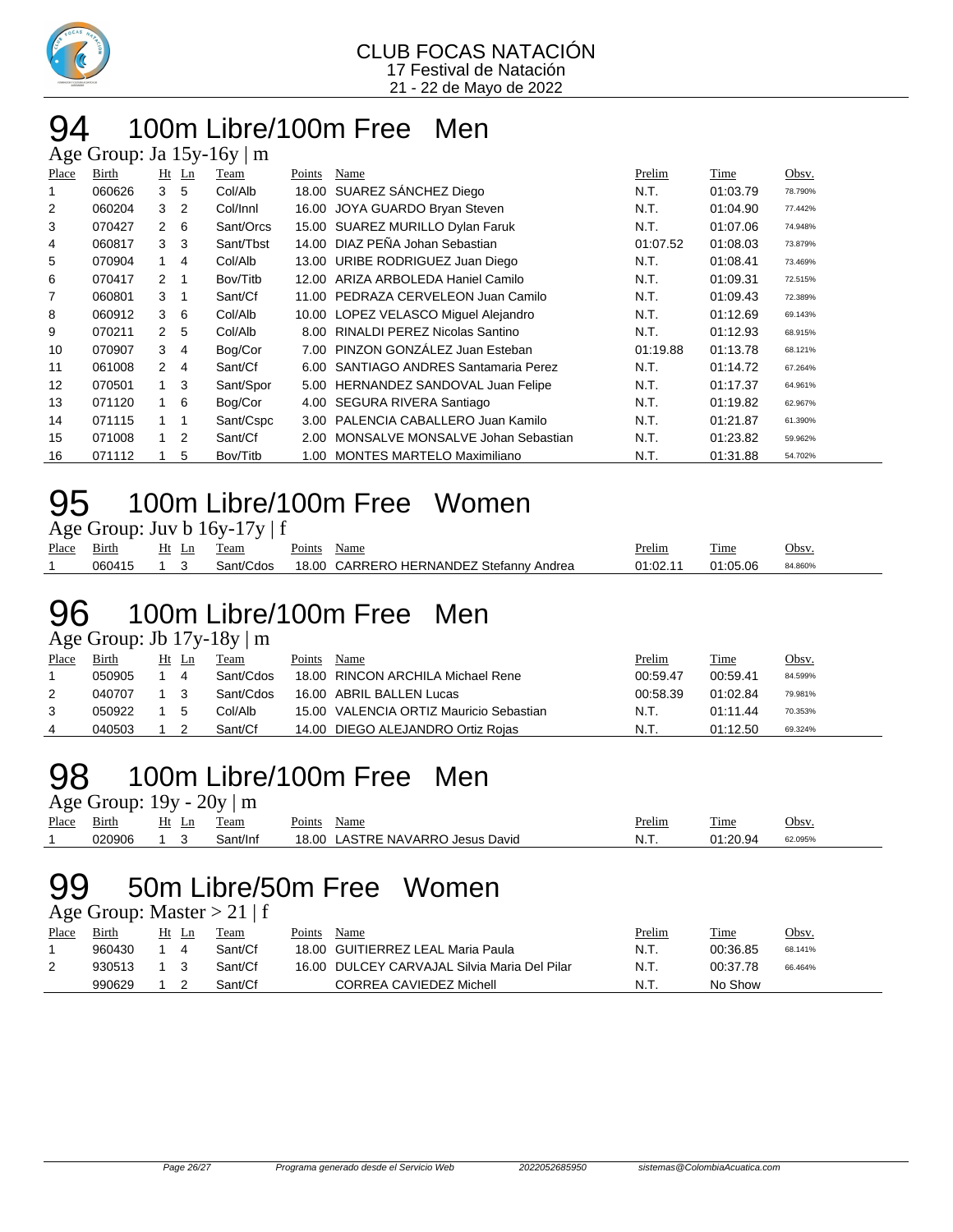

#### 100m Libre/100m Free Men ge Group: Ia  $15v-16y/m$

|                | $T_{\rm LSC}$ Oroup. $J\alpha$ To $\gamma$ - To $\gamma$   III |                |                          |           |        |                                       |          |          |         |
|----------------|----------------------------------------------------------------|----------------|--------------------------|-----------|--------|---------------------------------------|----------|----------|---------|
| Place          | Birth                                                          |                | Ht Ln                    | Team      | Points | Name                                  | Prelim   | Time     | Obsv.   |
| 1              | 060626                                                         | 3              | 5                        | Col/Alb   |        | 18.00 SUAREZ SÁNCHEZ Diego            | N.T.     | 01:03.79 | 78.790% |
| $\overline{2}$ | 060204                                                         | 3              | $\overline{2}$           | Col/Innl  | 16.00  | JOYA GUARDO Bryan Steven              | N.T.     | 01:04.90 | 77.442% |
| 3              | 070427                                                         | $\mathbf{2}$   | 6                        | Sant/Orcs |        | 15.00 SUAREZ MURILLO Dylan Faruk      | N.T.     | 01:07.06 | 74.948% |
| 4              | 060817                                                         | 3              | -3                       | Sant/Tbst |        | 14.00 DIAZ PEÑA Johan Sebastian       | 01:07.52 | 01:08.03 | 73.879% |
| 5              | 070904                                                         | $1 \quad$      | 4                        | Col/Alb   |        | 13.00 URIBE RODRIGUEZ Juan Diego      | N.T.     | 01:08.41 | 73.469% |
| 6              | 070417                                                         | $\overline{2}$ | $\overline{\phantom{0}}$ | Bov/Titb  |        | 12.00 ARIZA ARBOLEDA Haniel Camilo    | N.T.     | 01:09.31 | 72.515% |
| $\overline{7}$ | 060801                                                         | 3              | $\overline{\mathbf{1}}$  | Sant/Cf   | 11.00  | PEDRAZA CERVELEON Juan Camilo         | N.T.     | 01:09.43 | 72.389% |
| 8              | 060912                                                         | 3              | 6                        | Col/Alb   |        | 10.00 LOPEZ VELASCO Miquel Alejandro  | N.T.     | 01:12.69 | 69.143% |
| 9              | 070211                                                         | $\mathbf{2}$   | -5                       | Col/Alb   | 8.00   | <b>RINALDI PEREZ Nicolas Santino</b>  | N.T.     | 01:12.93 | 68.915% |
| 10             | 070907                                                         | 3              | $\overline{4}$           | Bog/Cor   | 7.00   | PINZON GONZÁLEZ Juan Esteban          | 01:19.88 | 01:13.78 | 68.121% |
| 11             | 061008                                                         | $\mathbf{2}$   | -4                       | Sant/Cf   |        | 6.00 SANTIAGO ANDRES Santamaria Perez | N.T.     | 01:14.72 | 67.264% |
| 12             | 070501                                                         | $1 \quad 3$    |                          | Sant/Spor | 5.00   | HERNANDEZ SANDOVAL Juan Felipe        | N.T.     | 01:17.37 | 64.961% |
| 13             | 071120                                                         |                | 6                        | Bog/Cor   |        | 4.00 SEGURA RIVERA Santiago           | N.T.     | 01:19.82 | 62.967% |
| 14             | 071115                                                         | $1 \quad 1$    |                          | Sant/Cspc | 3.00   | PALENCIA CABALLERO Juan Kamilo        | N.T.     | 01:21.87 | 61.390% |
| 15             | 071008                                                         | $\mathbf{1}$   | $\overline{2}$           | Sant/Cf   | 2.00   | MONSALVE MONSALVE Johan Sebastian     | N.T.     | 01:23.82 | 59.962% |
| 16             | 071112                                                         |                | 5                        | Bov/Titb  | 1.00   | <b>MONTES MARTELO Maximiliano</b>     | N.T.     | 01:31.88 | 54.702% |

### 100m Libre/100m Free Women

| Age Group: Juv b 16y-17y   f |  |
|------------------------------|--|
|------------------------------|--|

| Place | $\sim$ $\cdot$<br>Birth | Ht<br>Ln<br>--<br>__ | l'eam          | $\mathbf{r}$<br>Points | Name                                         | $\cdot$ $\cdot$<br>Prelim | m.<br>l'ime | Jbsv    |
|-------|-------------------------|----------------------|----------------|------------------------|----------------------------------------------|---------------------------|-------------|---------|
|       | 060415                  |                      | CdOS.<br>ant/t | <b>IR OC</b>           | J HERNANDEZ<br>CARRERO<br>Stefanny<br>Andrea | 01:02 11<br>U             | 01:05.06    | 84.860% |

## 100m Libre/100m Free Men

Age Group: Jb 17y-18y | m

| Place | Birth  | Ht | Ln | Team      | Points | Name                                    | Prelim   | Time     | Obsv.   |
|-------|--------|----|----|-----------|--------|-----------------------------------------|----------|----------|---------|
|       | 050905 |    | 4  | Sant/Cdos |        | 18.00 RINCON ARCHILA Michael Rene       | 00:59.47 | 00:59.41 | 84.599% |
| 2     | 040707 |    |    | Sant/Cdos |        | 16.00 ABRIL BALLEN Lucas                | 00:58.39 | 01:02.84 | 79.981% |
| 3     | 050922 |    | .5 | Col/Alb   |        | 15.00 VALENCIA ORTIZ Mauricio Sebastian | N.T.     | 01:11.44 | 70.353% |
| 4     | 040503 |    |    | Sant/Cf   |        | 14.00 DIEGO ALEJANDRO Ortiz Rojas       | N.T.     | 01:12.50 | 69.324% |
|       |        |    |    |           |        |                                         |          |          |         |

### 100m Libre/100m Free Men

Age Group:  $19y - 20y \mid m$ 

| Place | - 1<br>Birth | H١<br>ப | eam    | oints'<br>Name                                      | Prelim | crate.<br>Time       | Obsv    |
|-------|--------------|---------|--------|-----------------------------------------------------|--------|----------------------|---------|
|       | 020906       |         | ำt/Ini | <b>NAVARRO</b><br>18.00<br>.ASTRE<br>David<br>Jesus | N.I.   | <u>ገበ ባ⊿</u><br>---- | 62.095% |
|       |              |         |        |                                                     |        |                      |         |

### 50m Libre/50m Free Women

Age Group: Master  $> 21 \mid f$ 

| Place | Birth  | Ht | Ln | Team    | Points | Name                                         | Prelim | Time     | <u>Obsv.</u> |
|-------|--------|----|----|---------|--------|----------------------------------------------|--------|----------|--------------|
|       | 960430 |    |    | Sant/Cf |        | 18.00 GUITIERREZ LEAL Maria Paula            | N.T.   | 00:36.85 | 68.141%      |
| ∠     | 930513 |    |    | Sant/Cf |        | 16.00 DULCEY CARVAJAL Silvia Maria Del Pilar | N.T.   | 00:37.78 | 66.464%      |
|       | 990629 |    |    | Sant/Cf |        | CORREA CAVIEDEZ Michell                      | N.T.   | No Show  |              |